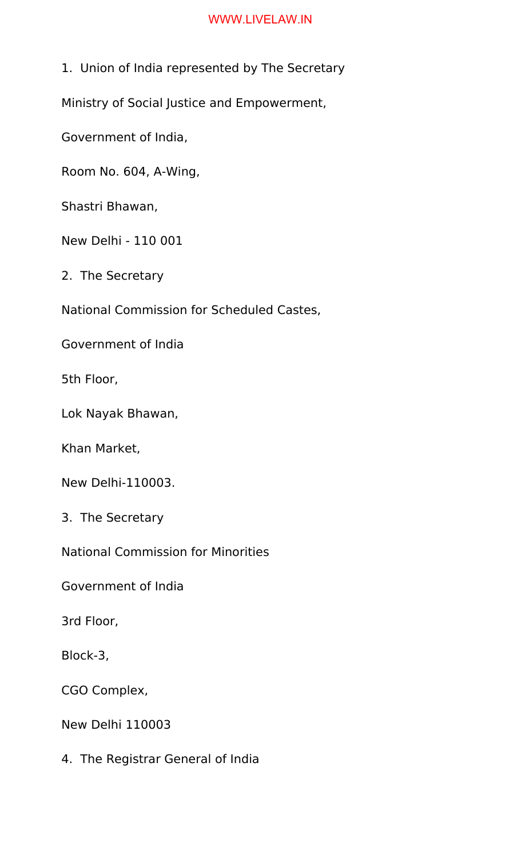1. Union of India represented by The Secretary

Ministry of Social Justice and Empowerment,

Government of India,

Room No. 604, A-Wing,

Shastri Bhawan,

New Delhi - 110 001

2. The Secretary

National Commission for Scheduled Castes,

Government of India

5th Floor,

Lok Nayak Bhawan,

Khan Market,

New Delhi-110003.

3. The Secretary

National Commission for Minorities

Government of India

3rd Floor,

Block-3,

CGO Complex,

New Delhi 110003

4. The Registrar General of India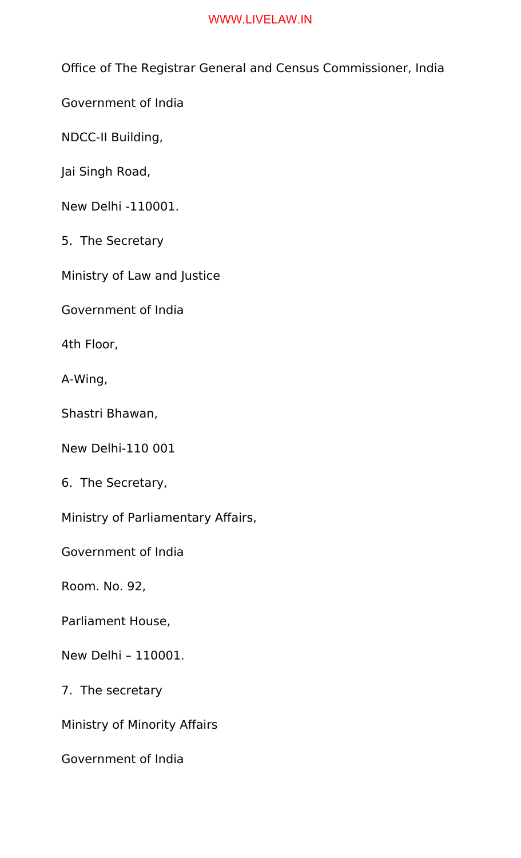Office of The Registrar General and Census Commissioner, India

Government of India

NDCC-II Building,

Jai Singh Road,

New Delhi -110001.

5. The Secretary

Ministry of Law and Justice

Government of India

4th Floor,

A-Wing,

Shastri Bhawan,

New Delhi-110 001

6. The Secretary,

Ministry of Parliamentary Affairs,

Government of India

Room. No. 92,

Parliament House,

New Delhi – 110001.

7. The secretary

Ministry of Minority Affairs

Government of India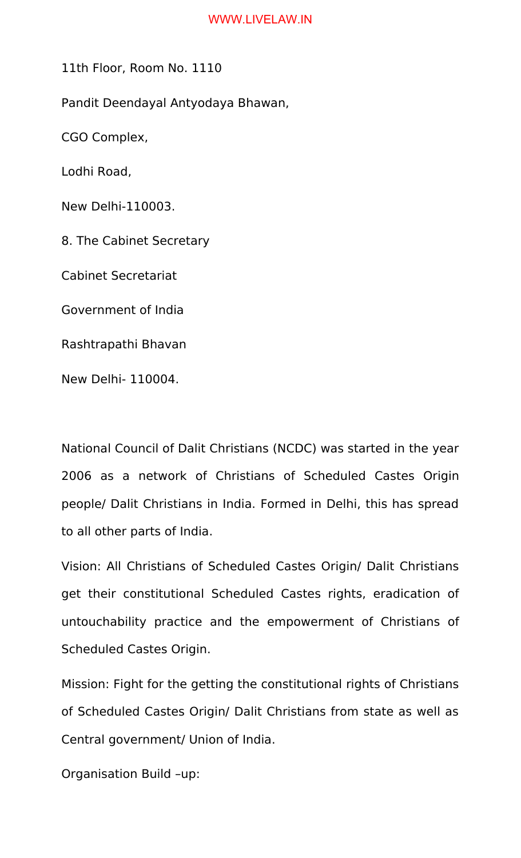11th Floor, Room No. 1110

Pandit Deendayal Antyodaya Bhawan,

CGO Complex,

Lodhi Road,

New Delhi-110003.

8. The Cabinet Secretary

Cabinet Secretariat

Government of India

Rashtrapathi Bhavan

New Delhi- 110004.

National Council of Dalit Christians (NCDC) was started in the year 2006 as a network of Christians of Scheduled Castes Origin people/ Dalit Christians in India. Formed in Delhi, this has spread to all other parts of India.

Vision: All Christians of Scheduled Castes Origin/ Dalit Christians get their constitutional Scheduled Castes rights, eradication of untouchability practice and the empowerment of Christians of Scheduled Castes Origin.

Mission: Fight for the getting the constitutional rights of Christians of Scheduled Castes Origin/ Dalit Christians from state as well as Central government/ Union of India.

Organisation Build –up: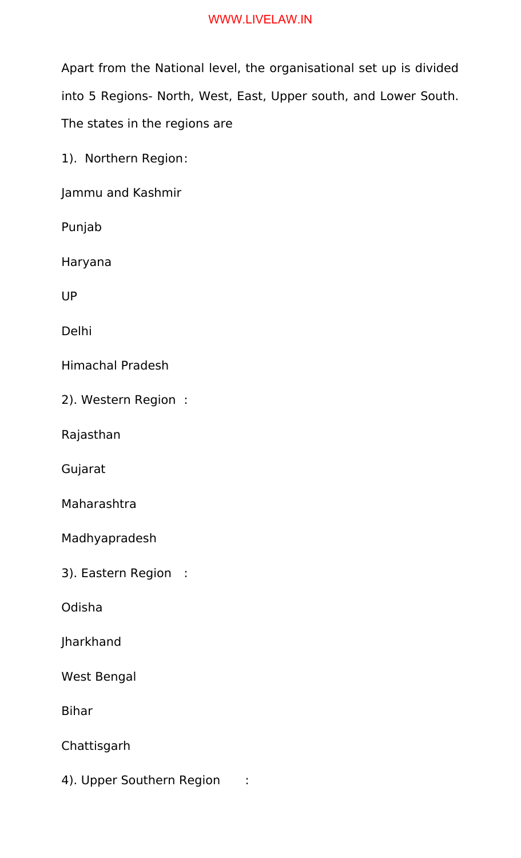Apart from the National level, the organisational set up is divided into 5 Regions- North, West, East, Upper south, and Lower South. The states in the regions are

1). Northern Region:

Jammu and Kashmir

Punjab

Haryana

UP

Delhi

Himachal Pradesh

2). Western Region :

Rajasthan

Gujarat

Maharashtra

Madhyapradesh

3). Eastern Region :

Odisha

Jharkhand

West Bengal

Bihar

Chattisgarh

4). Upper Southern Region :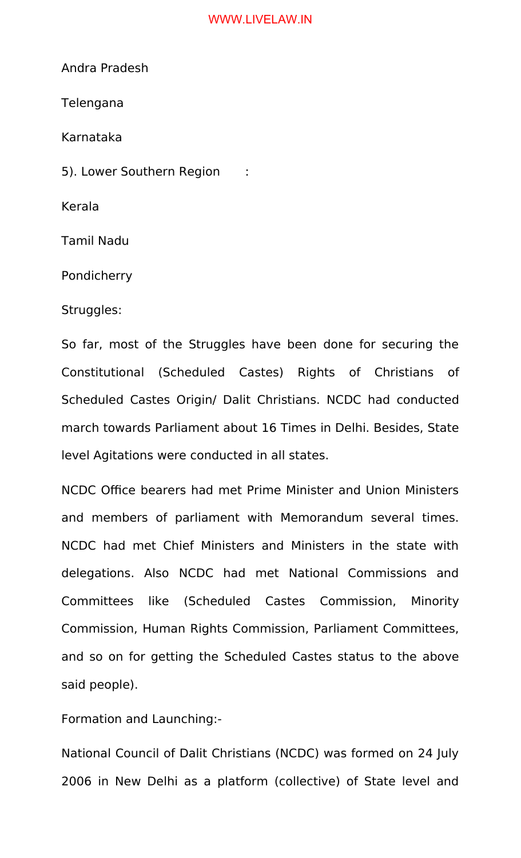Andra Pradesh

Telengana

Karnataka

5). Lower Southern Region :

Kerala

Tamil Nadu

Pondicherry

Struggles:

So far, most of the Struggles have been done for securing the Constitutional (Scheduled Castes) Rights of Christians of Scheduled Castes Origin/ Dalit Christians. NCDC had conducted march towards Parliament about 16 Times in Delhi. Besides, State level Agitations were conducted in all states.

NCDC Office bearers had met Prime Minister and Union Ministers and members of parliament with Memorandum several times. NCDC had met Chief Ministers and Ministers in the state with delegations. Also NCDC had met National Commissions and Committees like (Scheduled Castes Commission, Minority Commission, Human Rights Commission, Parliament Committees, and so on for getting the Scheduled Castes status to the above said people).

Formation and Launching:-

National Council of Dalit Christians (NCDC) was formed on 24 July 2006 in New Delhi as a platform (collective) of State level and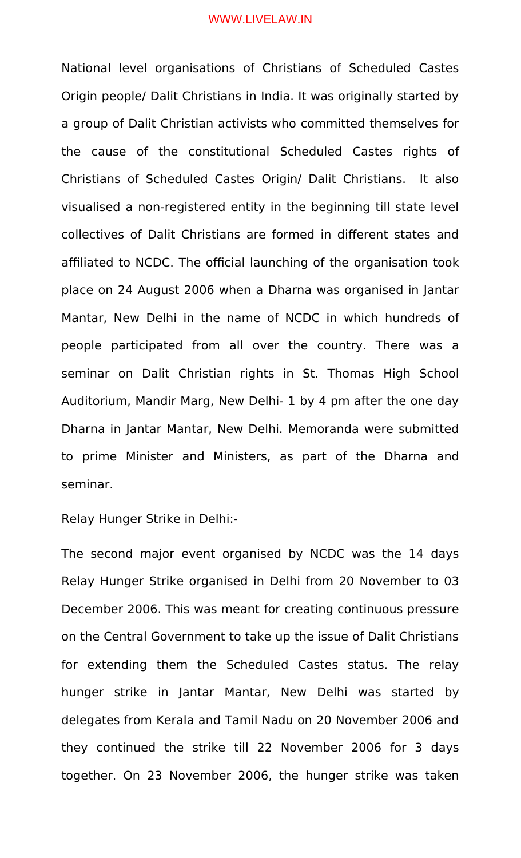National level organisations of Christians of Scheduled Castes Origin people/ Dalit Christians in India. It was originally started by a group of Dalit Christian activists who committed themselves for the cause of the constitutional Scheduled Castes rights of Christians of Scheduled Castes Origin/ Dalit Christians. It also visualised a non-registered entity in the beginning till state level collectives of Dalit Christians are formed in different states and affiliated to NCDC. The official launching of the organisation took place on 24 August 2006 when a Dharna was organised in Jantar Mantar, New Delhi in the name of NCDC in which hundreds of people participated from all over the country. There was a seminar on Dalit Christian rights in St. Thomas High School Auditorium, Mandir Marg, New Delhi- 1 by 4 pm after the one day Dharna in Jantar Mantar, New Delhi. Memoranda were submitted to prime Minister and Ministers, as part of the Dharna and seminar.

Relay Hunger Strike in Delhi:-

The second major event organised by NCDC was the 14 days Relay Hunger Strike organised in Delhi from 20 November to 03 December 2006. This was meant for creating continuous pressure on the Central Government to take up the issue of Dalit Christians for extending them the Scheduled Castes status. The relay hunger strike in Jantar Mantar, New Delhi was started by delegates from Kerala and Tamil Nadu on 20 November 2006 and they continued the strike till 22 November 2006 for 3 days together. On 23 November 2006, the hunger strike was taken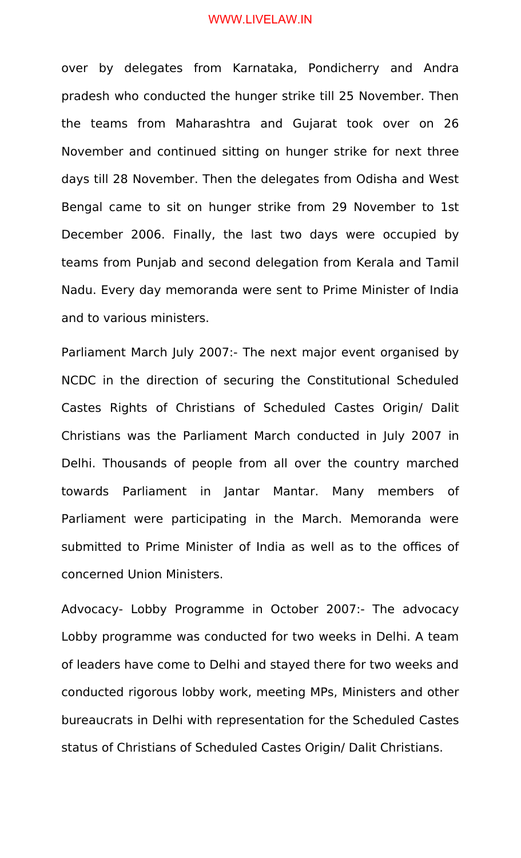over by delegates from Karnataka, Pondicherry and Andra pradesh who conducted the hunger strike till 25 November. Then the teams from Maharashtra and Gujarat took over on 26 November and continued sitting on hunger strike for next three days till 28 November. Then the delegates from Odisha and West Bengal came to sit on hunger strike from 29 November to 1st December 2006. Finally, the last two days were occupied by teams from Punjab and second delegation from Kerala and Tamil Nadu. Every day memoranda were sent to Prime Minister of India and to various ministers.

Parliament March July 2007:- The next major event organised by NCDC in the direction of securing the Constitutional Scheduled Castes Rights of Christians of Scheduled Castes Origin/ Dalit Christians was the Parliament March conducted in July 2007 in Delhi. Thousands of people from all over the country marched towards Parliament in Jantar Mantar. Many members of Parliament were participating in the March. Memoranda were submitted to Prime Minister of India as well as to the offices of concerned Union Ministers.

Advocacy- Lobby Programme in October 2007:- The advocacy Lobby programme was conducted for two weeks in Delhi. A team of leaders have come to Delhi and stayed there for two weeks and conducted rigorous lobby work, meeting MPs, Ministers and other bureaucrats in Delhi with representation for the Scheduled Castes status of Christians of Scheduled Castes Origin/ Dalit Christians.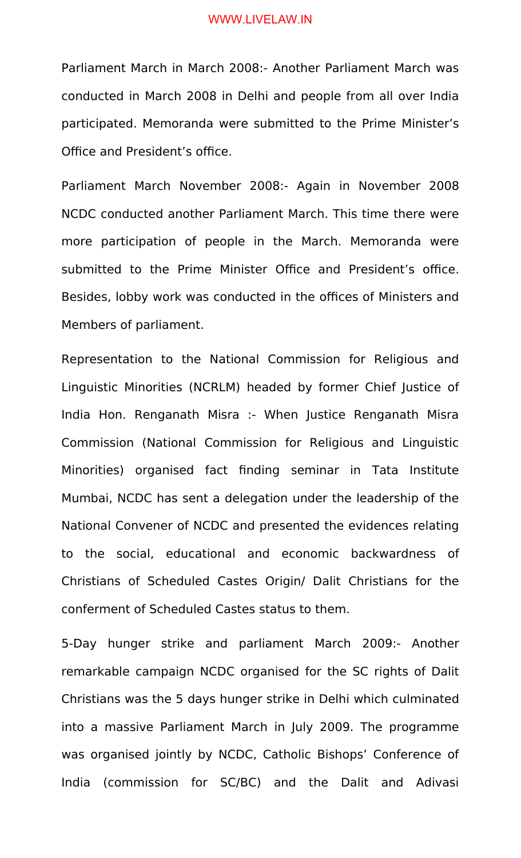Parliament March in March 2008:- Another Parliament March was conducted in March 2008 in Delhi and people from all over India participated. Memoranda were submitted to the Prime Minister's Office and President's office.

Parliament March November 2008:- Again in November 2008 NCDC conducted another Parliament March. This time there were more participation of people in the March. Memoranda were submitted to the Prime Minister Office and President's office. Besides, lobby work was conducted in the offices of Ministers and Members of parliament.

Representation to the National Commission for Religious and Linguistic Minorities (NCRLM) headed by former Chief Justice of India Hon. Renganath Misra :- When Justice Renganath Misra Commission (National Commission for Religious and Linguistic Minorities) organised fact finding seminar in Tata Institute Mumbai, NCDC has sent a delegation under the leadership of the National Convener of NCDC and presented the evidences relating to the social, educational and economic backwardness of Christians of Scheduled Castes Origin/ Dalit Christians for the conferment of Scheduled Castes status to them.

5-Day hunger strike and parliament March 2009:- Another remarkable campaign NCDC organised for the SC rights of Dalit Christians was the 5 days hunger strike in Delhi which culminated into a massive Parliament March in July 2009. The programme was organised jointly by NCDC, Catholic Bishops' Conference of India (commission for SC/BC) and the Dalit and Adivasi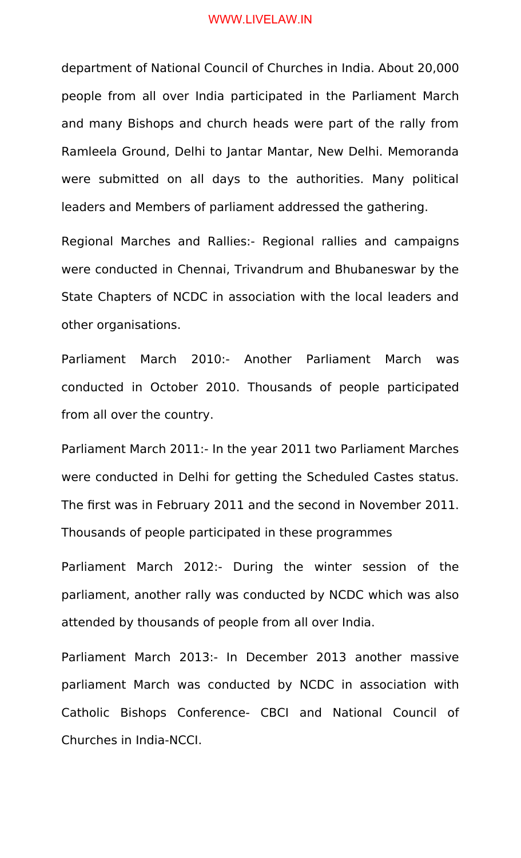department of National Council of Churches in India. About 20,000 people from all over India participated in the Parliament March and many Bishops and church heads were part of the rally from Ramleela Ground, Delhi to Jantar Mantar, New Delhi. Memoranda were submitted on all days to the authorities. Many political leaders and Members of parliament addressed the gathering.

Regional Marches and Rallies:- Regional rallies and campaigns were conducted in Chennai, Trivandrum and Bhubaneswar by the State Chapters of NCDC in association with the local leaders and other organisations.

Parliament March 2010:- Another Parliament March was conducted in October 2010. Thousands of people participated from all over the country.

Parliament March 2011:- In the year 2011 two Parliament Marches were conducted in Delhi for getting the Scheduled Castes status. The first was in February 2011 and the second in November 2011. Thousands of people participated in these programmes

Parliament March 2012:- During the winter session of the parliament, another rally was conducted by NCDC which was also attended by thousands of people from all over India.

Parliament March 2013:- In December 2013 another massive parliament March was conducted by NCDC in association with Catholic Bishops Conference- CBCI and National Council of Churches in India-NCCI.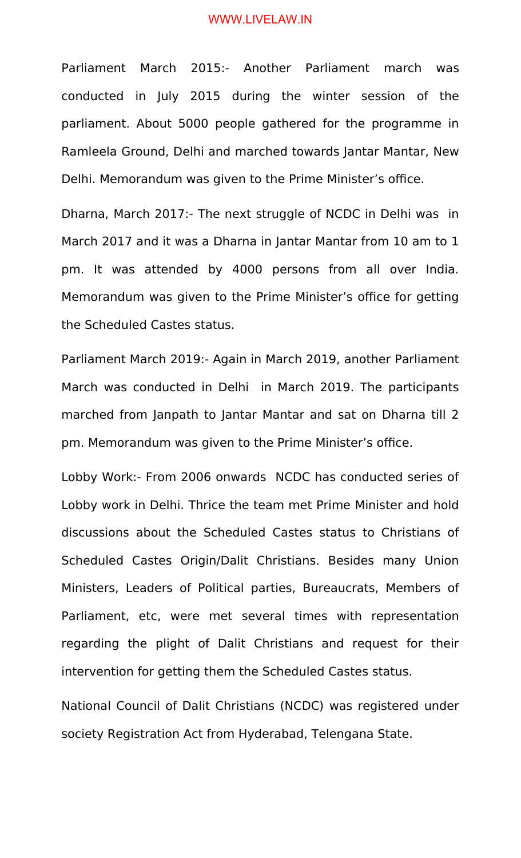Parliament March 2015:- Another Parliament march was conducted in July 2015 during the winter session of the parliament. About 5000 people gathered for the programme in Ramleela Ground, Delhi and marched towards Jantar Mantar, New Delhi. Memorandum was given to the Prime Minister's office.

Dharna, March 2017:- The next struggle of NCDC in Delhi was in March 2017 and it was a Dharna in Jantar Mantar from 10 am to 1 pm. It was attended by 4000 persons from all over India. Memorandum was given to the Prime Minister's office for getting the Scheduled Castes status.

Parliament March 2019:- Again in March 2019, another Parliament March was conducted in Delhi in March 2019. The participants marched from Janpath to Jantar Mantar and sat on Dharna till 2 pm. Memorandum was given to the Prime Minister's office.

Lobby Work:- From 2006 onwards NCDC has conducted series of Lobby work in Delhi. Thrice the team met Prime Minister and hold discussions about the Scheduled Castes status to Christians of Scheduled Castes Origin/Dalit Christians. Besides many Union Ministers, Leaders of Political parties, Bureaucrats, Members of Parliament, etc, were met several times with representation regarding the plight of Dalit Christians and request for their intervention for getting them the Scheduled Castes status.

National Council of Dalit Christians (NCDC) was registered under society Registration Act from Hyderabad, Telengana State.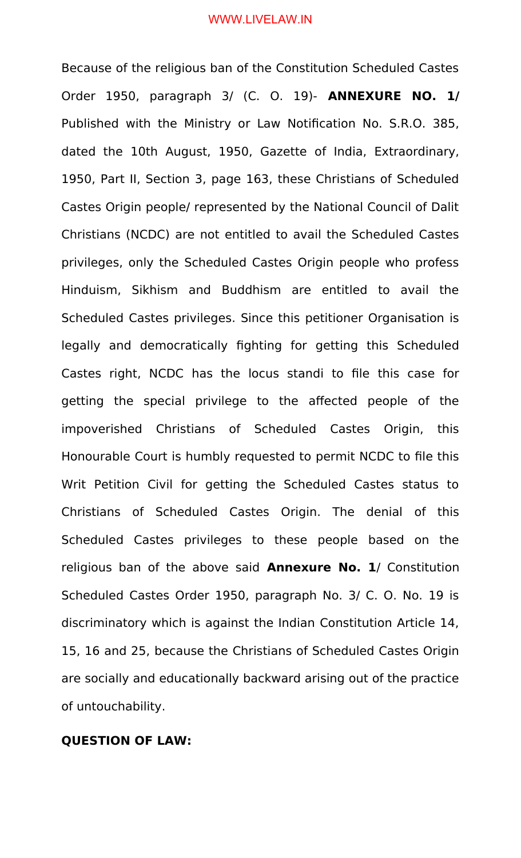Because of the religious ban of the Constitution Scheduled Castes Order 1950, paragraph 3/ (C. O. 19)- **ANNEXURE NO. 1/** Published with the Ministry or Law Notification No. S.R.O. 385, dated the 10th August, 1950, Gazette of India, Extraordinary, 1950, Part II, Section 3, page 163, these Christians of Scheduled Castes Origin people/ represented by the National Council of Dalit Christians (NCDC) are not entitled to avail the Scheduled Castes privileges, only the Scheduled Castes Origin people who profess Hinduism, Sikhism and Buddhism are entitled to avail the Scheduled Castes privileges. Since this petitioner Organisation is legally and democratically fighting for getting this Scheduled Castes right, NCDC has the locus standi to file this case for getting the special privilege to the affected people of the impoverished Christians of Scheduled Castes Origin, this Honourable Court is humbly requested to permit NCDC to file this Writ Petition Civil for getting the Scheduled Castes status to Christians of Scheduled Castes Origin. The denial of this Scheduled Castes privileges to these people based on the religious ban of the above said **Annexure No. 1**/ Constitution Scheduled Castes Order 1950, paragraph No. 3/ C. O. No. 19 is discriminatory which is against the Indian Constitution Article 14, 15, 16 and 25, because the Christians of Scheduled Castes Origin are socially and educationally backward arising out of the practice of untouchability.

## **QUESTION OF LAW:**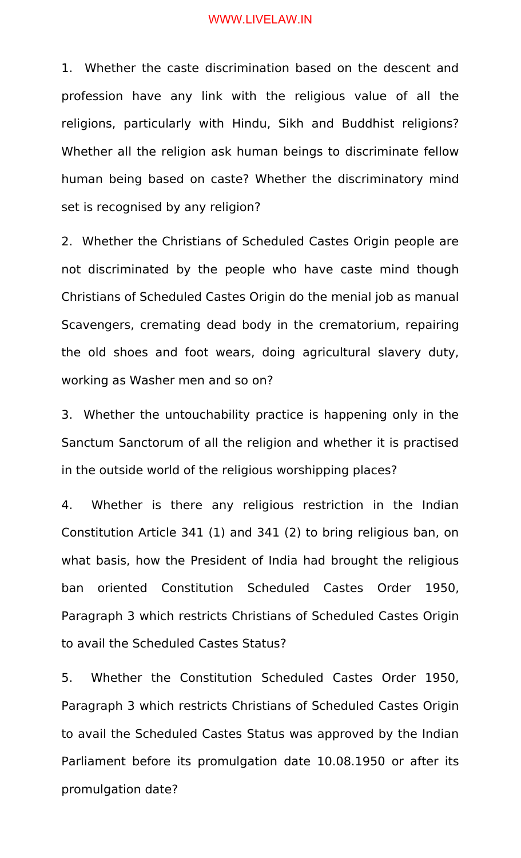1. Whether the caste discrimination based on the descent and profession have any link with the religious value of all the religions, particularly with Hindu, Sikh and Buddhist religions? Whether all the religion ask human beings to discriminate fellow human being based on caste? Whether the discriminatory mind set is recognised by any religion?

2. Whether the Christians of Scheduled Castes Origin people are not discriminated by the people who have caste mind though Christians of Scheduled Castes Origin do the menial job as manual Scavengers, cremating dead body in the crematorium, repairing the old shoes and foot wears, doing agricultural slavery duty, working as Washer men and so on?

3. Whether the untouchability practice is happening only in the Sanctum Sanctorum of all the religion and whether it is practised in the outside world of the religious worshipping places?

4. Whether is there any religious restriction in the Indian Constitution Article 341 (1) and 341 (2) to bring religious ban, on what basis, how the President of India had brought the religious ban oriented Constitution Scheduled Castes Order 1950, Paragraph 3 which restricts Christians of Scheduled Castes Origin to avail the Scheduled Castes Status?

5. Whether the Constitution Scheduled Castes Order 1950, Paragraph 3 which restricts Christians of Scheduled Castes Origin to avail the Scheduled Castes Status was approved by the Indian Parliament before its promulgation date 10.08.1950 or after its promulgation date?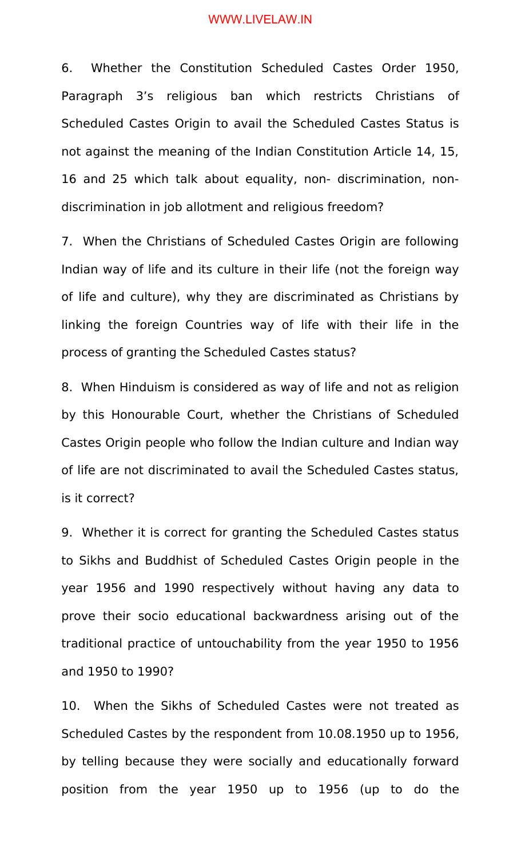6. Whether the Constitution Scheduled Castes Order 1950, Paragraph 3's religious ban which restricts Christians of Scheduled Castes Origin to avail the Scheduled Castes Status is not against the meaning of the Indian Constitution Article 14, 15, 16 and 25 which talk about equality, non- discrimination, nondiscrimination in job allotment and religious freedom?

7. When the Christians of Scheduled Castes Origin are following Indian way of life and its culture in their life (not the foreign way of life and culture), why they are discriminated as Christians by linking the foreign Countries way of life with their life in the process of granting the Scheduled Castes status?

8. When Hinduism is considered as way of life and not as religion by this Honourable Court, whether the Christians of Scheduled Castes Origin people who follow the Indian culture and Indian way of life are not discriminated to avail the Scheduled Castes status, is it correct?

9. Whether it is correct for granting the Scheduled Castes status to Sikhs and Buddhist of Scheduled Castes Origin people in the year 1956 and 1990 respectively without having any data to prove their socio educational backwardness arising out of the traditional practice of untouchability from the year 1950 to 1956 and 1950 to 1990?

10. When the Sikhs of Scheduled Castes were not treated as Scheduled Castes by the respondent from 10.08.1950 up to 1956, by telling because they were socially and educationally forward position from the year 1950 up to 1956 (up to do the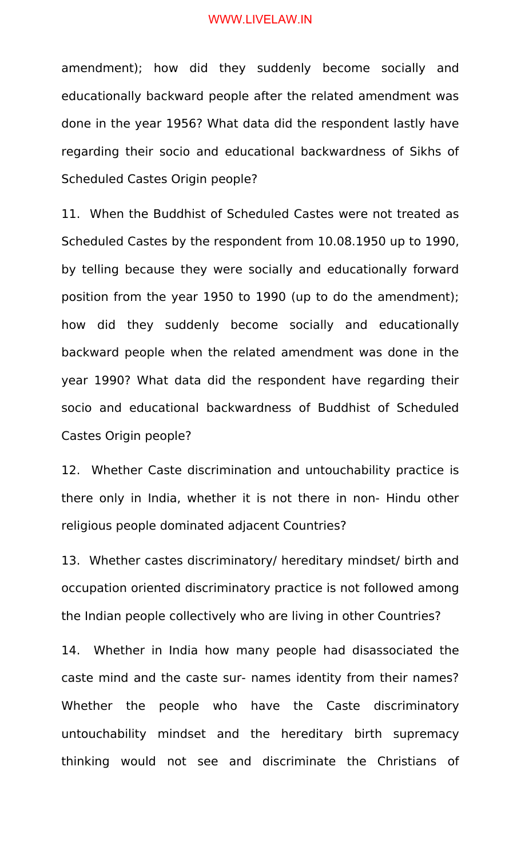amendment); how did they suddenly become socially and educationally backward people after the related amendment was done in the year 1956? What data did the respondent lastly have regarding their socio and educational backwardness of Sikhs of Scheduled Castes Origin people?

11. When the Buddhist of Scheduled Castes were not treated as Scheduled Castes by the respondent from 10.08.1950 up to 1990, by telling because they were socially and educationally forward position from the year 1950 to 1990 (up to do the amendment); how did they suddenly become socially and educationally backward people when the related amendment was done in the year 1990? What data did the respondent have regarding their socio and educational backwardness of Buddhist of Scheduled Castes Origin people?

12. Whether Caste discrimination and untouchability practice is there only in India, whether it is not there in non- Hindu other religious people dominated adjacent Countries?

13. Whether castes discriminatory/ hereditary mindset/ birth and occupation oriented discriminatory practice is not followed among the Indian people collectively who are living in other Countries?

14. Whether in India how many people had disassociated the caste mind and the caste sur- names identity from their names? Whether the people who have the Caste discriminatory untouchability mindset and the hereditary birth supremacy thinking would not see and discriminate the Christians of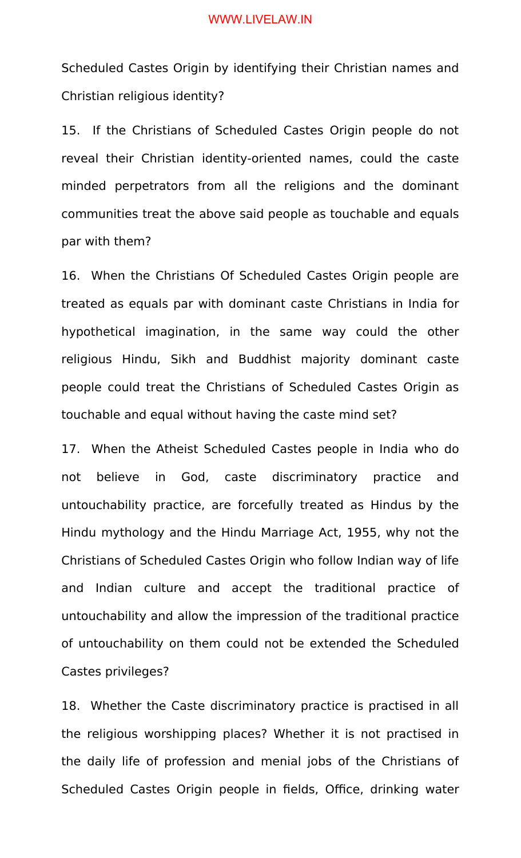Scheduled Castes Origin by identifying their Christian names and Christian religious identity?

15. If the Christians of Scheduled Castes Origin people do not reveal their Christian identity-oriented names, could the caste minded perpetrators from all the religions and the dominant communities treat the above said people as touchable and equals par with them?

16. When the Christians Of Scheduled Castes Origin people are treated as equals par with dominant caste Christians in India for hypothetical imagination, in the same way could the other religious Hindu, Sikh and Buddhist majority dominant caste people could treat the Christians of Scheduled Castes Origin as touchable and equal without having the caste mind set?

17. When the Atheist Scheduled Castes people in India who do not believe in God, caste discriminatory practice and untouchability practice, are forcefully treated as Hindus by the Hindu mythology and the Hindu Marriage Act, 1955, why not the Christians of Scheduled Castes Origin who follow Indian way of life and Indian culture and accept the traditional practice of untouchability and allow the impression of the traditional practice of untouchability on them could not be extended the Scheduled Castes privileges?

18. Whether the Caste discriminatory practice is practised in all the religious worshipping places? Whether it is not practised in the daily life of profession and menial jobs of the Christians of Scheduled Castes Origin people in fields, Office, drinking water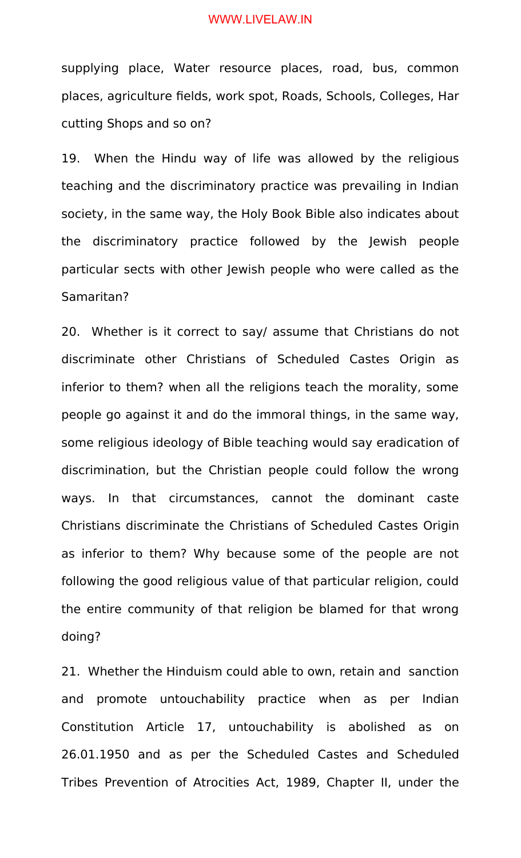supplying place, Water resource places, road, bus, common places, agriculture fields, work spot, Roads, Schools, Colleges, Har cutting Shops and so on?

19. When the Hindu way of life was allowed by the religious teaching and the discriminatory practice was prevailing in Indian society, in the same way, the Holy Book Bible also indicates about the discriminatory practice followed by the Jewish people particular sects with other Jewish people who were called as the Samaritan?

20. Whether is it correct to say/ assume that Christians do not discriminate other Christians of Scheduled Castes Origin as inferior to them? when all the religions teach the morality, some people go against it and do the immoral things, in the same way, some religious ideology of Bible teaching would say eradication of discrimination, but the Christian people could follow the wrong ways. In that circumstances, cannot the dominant caste Christians discriminate the Christians of Scheduled Castes Origin as inferior to them? Why because some of the people are not following the good religious value of that particular religion, could the entire community of that religion be blamed for that wrong doing?

21. Whether the Hinduism could able to own, retain and sanction and promote untouchability practice when as per Indian Constitution Article 17, untouchability is abolished as on 26.01.1950 and as per the Scheduled Castes and Scheduled Tribes Prevention of Atrocities Act, 1989, Chapter II, under the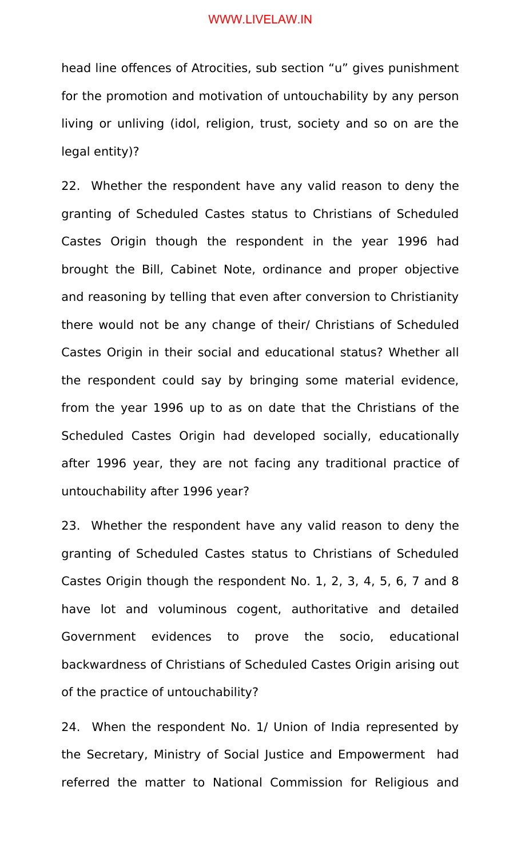head line offences of Atrocities, sub section "u" gives punishment for the promotion and motivation of untouchability by any person living or unliving (idol, religion, trust, society and so on are the legal entity)?

22. Whether the respondent have any valid reason to deny the granting of Scheduled Castes status to Christians of Scheduled Castes Origin though the respondent in the year 1996 had brought the Bill, Cabinet Note, ordinance and proper objective and reasoning by telling that even after conversion to Christianity there would not be any change of their/ Christians of Scheduled Castes Origin in their social and educational status? Whether all the respondent could say by bringing some material evidence, from the year 1996 up to as on date that the Christians of the Scheduled Castes Origin had developed socially, educationally after 1996 year, they are not facing any traditional practice of untouchability after 1996 year?

23. Whether the respondent have any valid reason to deny the granting of Scheduled Castes status to Christians of Scheduled Castes Origin though the respondent No. 1, 2, 3, 4, 5, 6, 7 and 8 have lot and voluminous cogent, authoritative and detailed Government evidences to prove the socio, educational backwardness of Christians of Scheduled Castes Origin arising out of the practice of untouchability?

24. When the respondent No. 1/ Union of India represented by the Secretary, Ministry of Social Justice and Empowerment had referred the matter to National Commission for Religious and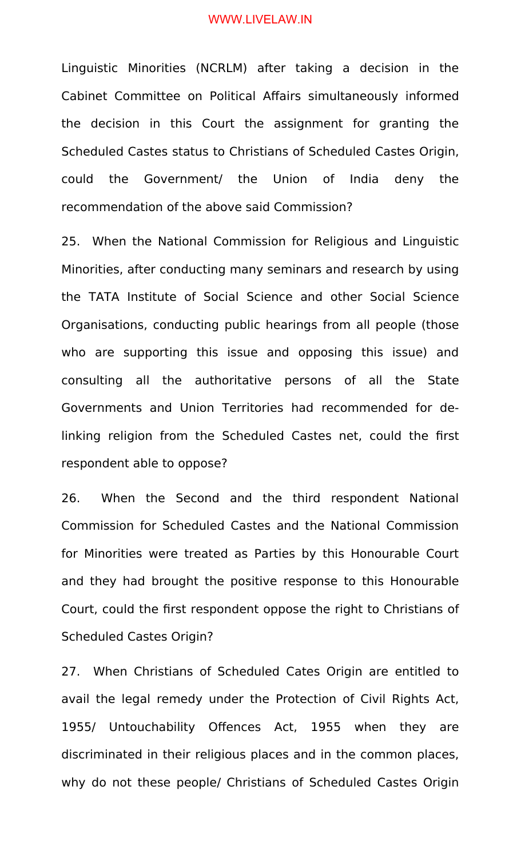Linguistic Minorities (NCRLM) after taking a decision in the Cabinet Committee on Political Affairs simultaneously informed the decision in this Court the assignment for granting the Scheduled Castes status to Christians of Scheduled Castes Origin, could the Government/ the Union of India deny the recommendation of the above said Commission?

25. When the National Commission for Religious and Linguistic Minorities, after conducting many seminars and research by using the TATA Institute of Social Science and other Social Science Organisations, conducting public hearings from all people (those who are supporting this issue and opposing this issue) and consulting all the authoritative persons of all the State Governments and Union Territories had recommended for delinking religion from the Scheduled Castes net, could the first respondent able to oppose?

26. When the Second and the third respondent National Commission for Scheduled Castes and the National Commission for Minorities were treated as Parties by this Honourable Court and they had brought the positive response to this Honourable Court, could the first respondent oppose the right to Christians of Scheduled Castes Origin?

27. When Christians of Scheduled Cates Origin are entitled to avail the legal remedy under the Protection of Civil Rights Act, 1955/ Untouchability Offences Act, 1955 when they are discriminated in their religious places and in the common places, why do not these people/ Christians of Scheduled Castes Origin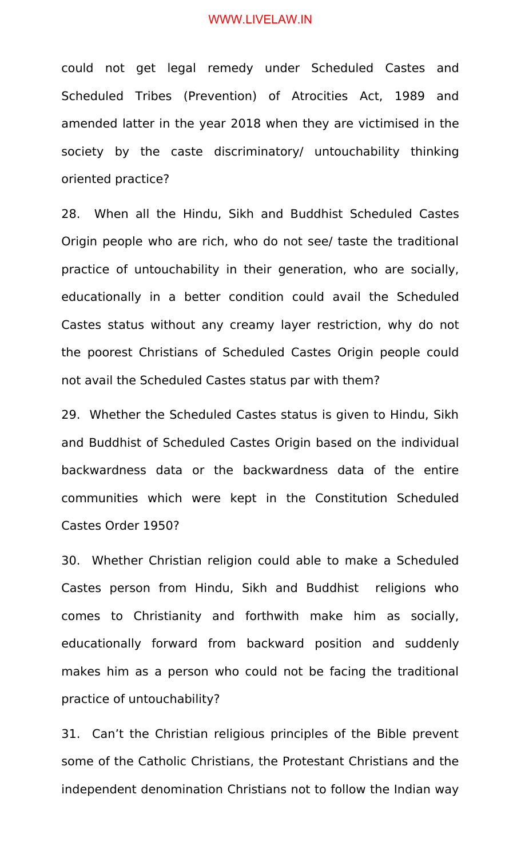could not get legal remedy under Scheduled Castes and Scheduled Tribes (Prevention) of Atrocities Act, 1989 and amended latter in the year 2018 when they are victimised in the society by the caste discriminatory/ untouchability thinking oriented practice?

28. When all the Hindu, Sikh and Buddhist Scheduled Castes Origin people who are rich, who do not see/ taste the traditional practice of untouchability in their generation, who are socially, educationally in a better condition could avail the Scheduled Castes status without any creamy layer restriction, why do not the poorest Christians of Scheduled Castes Origin people could not avail the Scheduled Castes status par with them?

29. Whether the Scheduled Castes status is given to Hindu, Sikh and Buddhist of Scheduled Castes Origin based on the individual backwardness data or the backwardness data of the entire communities which were kept in the Constitution Scheduled Castes Order 1950?

30. Whether Christian religion could able to make a Scheduled Castes person from Hindu, Sikh and Buddhist religions who comes to Christianity and forthwith make him as socially, educationally forward from backward position and suddenly makes him as a person who could not be facing the traditional practice of untouchability?

31. Can't the Christian religious principles of the Bible prevent some of the Catholic Christians, the Protestant Christians and the independent denomination Christians not to follow the Indian way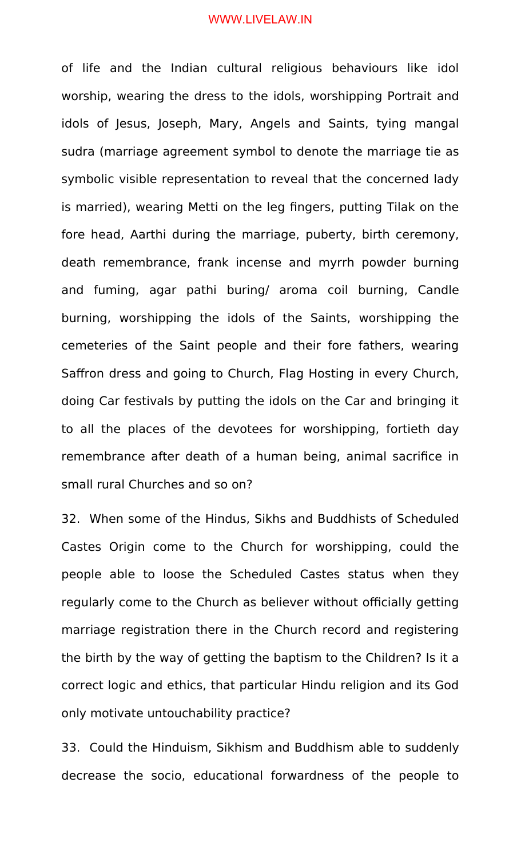of life and the Indian cultural religious behaviours like idol worship, wearing the dress to the idols, worshipping Portrait and idols of Jesus, Joseph, Mary, Angels and Saints, tying mangal sudra (marriage agreement symbol to denote the marriage tie as symbolic visible representation to reveal that the concerned lady is married), wearing Metti on the leg fingers, putting Tilak on the fore head, Aarthi during the marriage, puberty, birth ceremony, death remembrance, frank incense and myrrh powder burning and fuming, agar pathi buring/ aroma coil burning, Candle burning, worshipping the idols of the Saints, worshipping the cemeteries of the Saint people and their fore fathers, wearing Saffron dress and going to Church, Flag Hosting in every Church, doing Car festivals by putting the idols on the Car and bringing it to all the places of the devotees for worshipping, fortieth day remembrance after death of a human being, animal sacrifice in small rural Churches and so on?

32. When some of the Hindus, Sikhs and Buddhists of Scheduled Castes Origin come to the Church for worshipping, could the people able to loose the Scheduled Castes status when they regularly come to the Church as believer without officially getting marriage registration there in the Church record and registering the birth by the way of getting the baptism to the Children? Is it a correct logic and ethics, that particular Hindu religion and its God only motivate untouchability practice?

33. Could the Hinduism, Sikhism and Buddhism able to suddenly decrease the socio, educational forwardness of the people to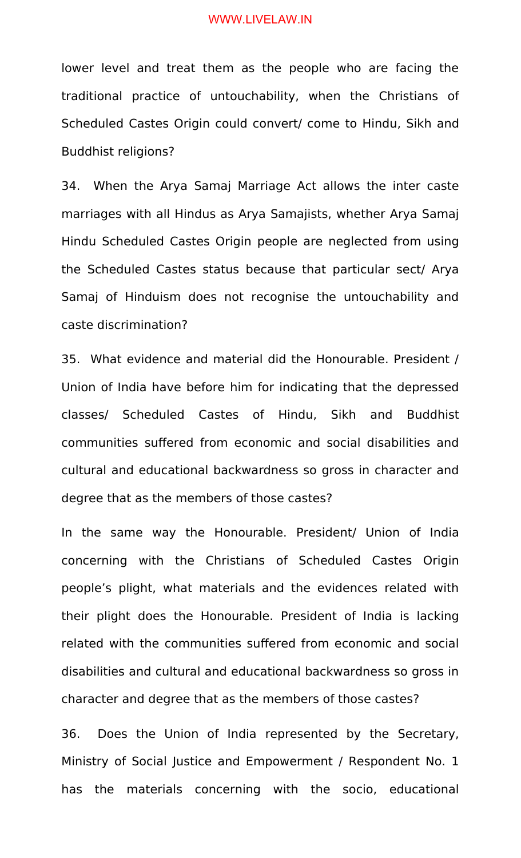lower level and treat them as the people who are facing the traditional practice of untouchability, when the Christians of Scheduled Castes Origin could convert/ come to Hindu, Sikh and Buddhist religions?

34. When the Arya Samaj Marriage Act allows the inter caste marriages with all Hindus as Arya Samajists, whether Arya Samaj Hindu Scheduled Castes Origin people are neglected from using the Scheduled Castes status because that particular sect/ Arya Samaj of Hinduism does not recognise the untouchability and caste discrimination?

35. What evidence and material did the Honourable. President / Union of India have before him for indicating that the depressed classes/ Scheduled Castes of Hindu, Sikh and Buddhist communities suffered from economic and social disabilities and cultural and educational backwardness so gross in character and degree that as the members of those castes?

In the same way the Honourable. President/ Union of India concerning with the Christians of Scheduled Castes Origin people's plight, what materials and the evidences related with their plight does the Honourable. President of India is lacking related with the communities suffered from economic and social disabilities and cultural and educational backwardness so gross in character and degree that as the members of those castes?

36. Does the Union of India represented by the Secretary, Ministry of Social Justice and Empowerment / Respondent No. 1 has the materials concerning with the socio, educational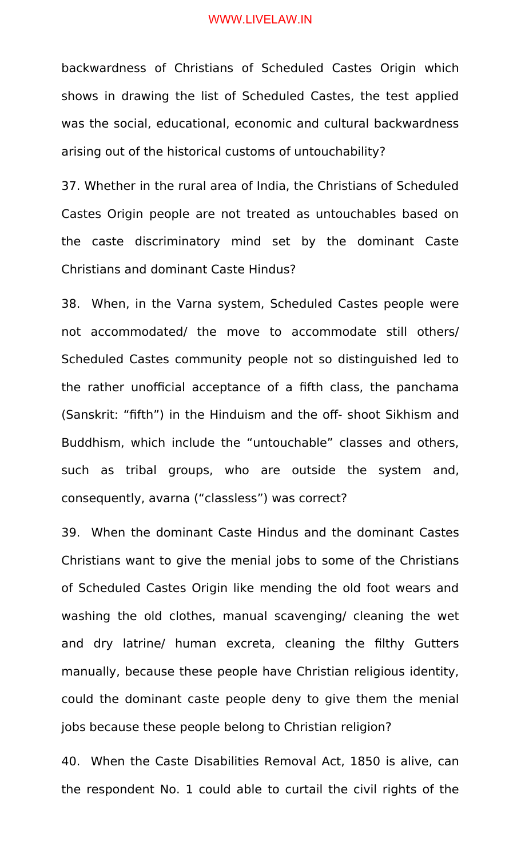backwardness of Christians of Scheduled Castes Origin which shows in drawing the list of Scheduled Castes, the test applied was the social, educational, economic and cultural backwardness arising out of the historical customs of untouchability?

37. Whether in the rural area of India, the Christians of Scheduled Castes Origin people are not treated as untouchables based on the caste discriminatory mind set by the dominant Caste Christians and dominant Caste Hindus?

38. When, in the Varna system, Scheduled Castes people were not accommodated/ the move to accommodate still others/ Scheduled Castes community people not so distinguished led to the rather unofficial acceptance of a fifth class, the panchama (Sanskrit: "fifth") in the Hinduism and the off- shoot Sikhism and Buddhism, which include the "untouchable" classes and others, such as tribal groups, who are outside the system and, consequently, avarna ("classless") was correct?

39. When the dominant Caste Hindus and the dominant Castes Christians want to give the menial jobs to some of the Christians of Scheduled Castes Origin like mending the old foot wears and washing the old clothes, manual scavenging/ cleaning the wet and dry latrine/ human excreta, cleaning the filthy Gutters manually, because these people have Christian religious identity, could the dominant caste people deny to give them the menial jobs because these people belong to Christian religion?

40. When the Caste Disabilities Removal Act, 1850 is alive, can the respondent No. 1 could able to curtail the civil rights of the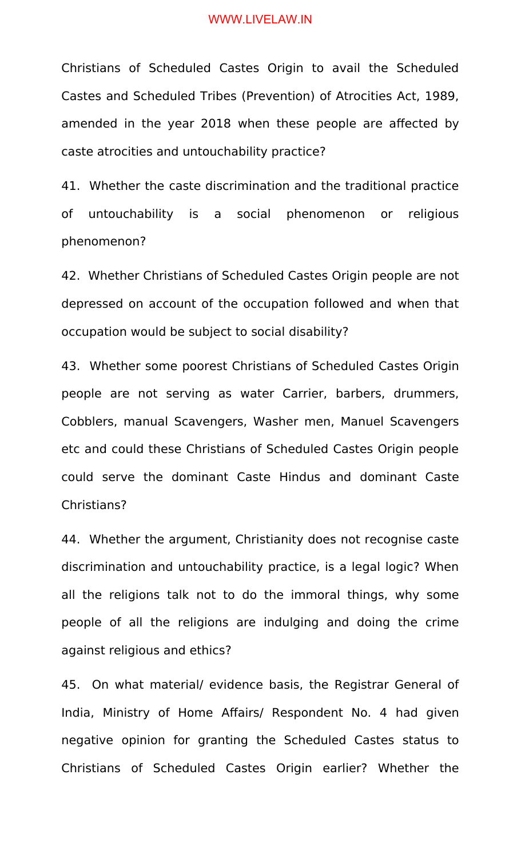Christians of Scheduled Castes Origin to avail the Scheduled Castes and Scheduled Tribes (Prevention) of Atrocities Act, 1989, amended in the year 2018 when these people are affected by caste atrocities and untouchability practice?

41. Whether the caste discrimination and the traditional practice of untouchability is a social phenomenon or religious phenomenon?

42. Whether Christians of Scheduled Castes Origin people are not depressed on account of the occupation followed and when that occupation would be subject to social disability?

43. Whether some poorest Christians of Scheduled Castes Origin people are not serving as water Carrier, barbers, drummers, Cobblers, manual Scavengers, Washer men, Manuel Scavengers etc and could these Christians of Scheduled Castes Origin people could serve the dominant Caste Hindus and dominant Caste Christians?

44. Whether the argument, Christianity does not recognise caste discrimination and untouchability practice, is a legal logic? When all the religions talk not to do the immoral things, why some people of all the religions are indulging and doing the crime against religious and ethics?

45. On what material/ evidence basis, the Registrar General of India, Ministry of Home Affairs/ Respondent No. 4 had given negative opinion for granting the Scheduled Castes status to Christians of Scheduled Castes Origin earlier? Whether the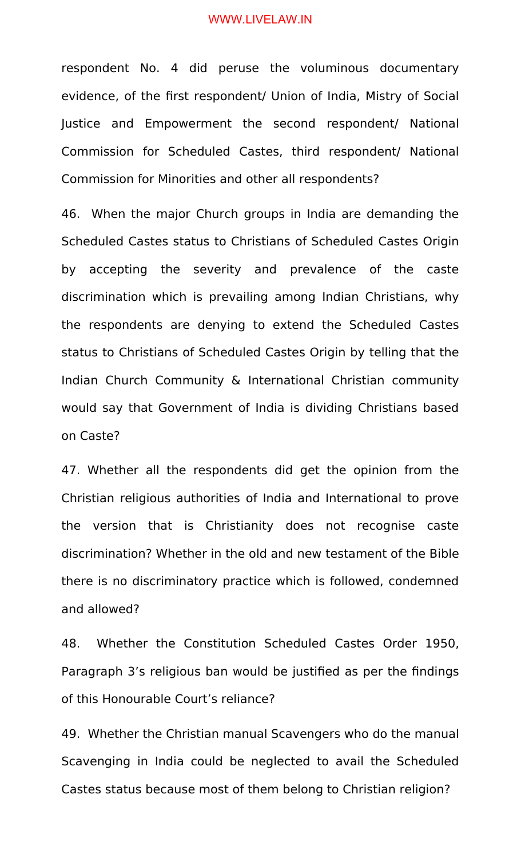respondent No. 4 did peruse the voluminous documentary evidence, of the first respondent/ Union of India, Mistry of Social Justice and Empowerment the second respondent/ National Commission for Scheduled Castes, third respondent/ National Commission for Minorities and other all respondents?

46. When the major Church groups in India are demanding the Scheduled Castes status to Christians of Scheduled Castes Origin by accepting the severity and prevalence of the caste discrimination which is prevailing among Indian Christians, why the respondents are denying to extend the Scheduled Castes status to Christians of Scheduled Castes Origin by telling that the Indian Church Community & International Christian community would say that Government of India is dividing Christians based on Caste?

47. Whether all the respondents did get the opinion from the Christian religious authorities of India and International to prove the version that is Christianity does not recognise caste discrimination? Whether in the old and new testament of the Bible there is no discriminatory practice which is followed, condemned and allowed?

48. Whether the Constitution Scheduled Castes Order 1950, Paragraph 3's religious ban would be justified as per the findings of this Honourable Court's reliance?

49. Whether the Christian manual Scavengers who do the manual Scavenging in India could be neglected to avail the Scheduled Castes status because most of them belong to Christian religion?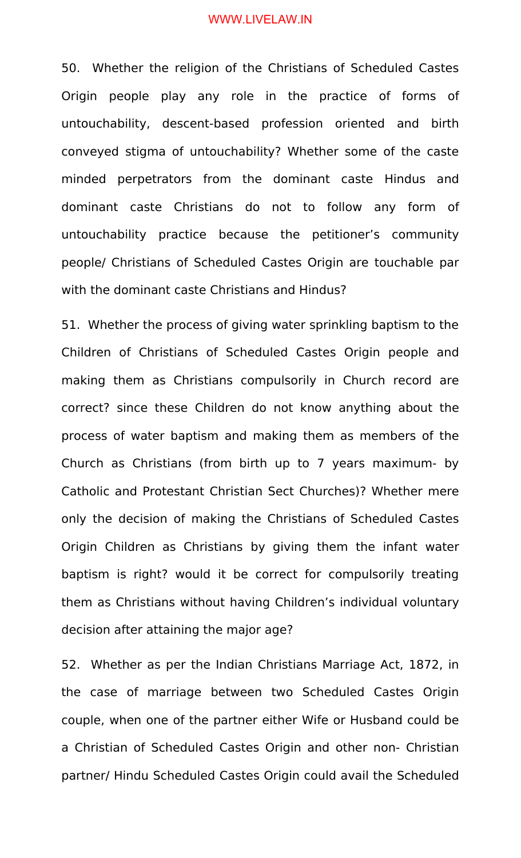50. Whether the religion of the Christians of Scheduled Castes Origin people play any role in the practice of forms of untouchability, descent-based profession oriented and birth conveyed stigma of untouchability? Whether some of the caste minded perpetrators from the dominant caste Hindus and dominant caste Christians do not to follow any form of untouchability practice because the petitioner's community people/ Christians of Scheduled Castes Origin are touchable par with the dominant caste Christians and Hindus?

51. Whether the process of giving water sprinkling baptism to the Children of Christians of Scheduled Castes Origin people and making them as Christians compulsorily in Church record are correct? since these Children do not know anything about the process of water baptism and making them as members of the Church as Christians (from birth up to 7 years maximum- by Catholic and Protestant Christian Sect Churches)? Whether mere only the decision of making the Christians of Scheduled Castes Origin Children as Christians by giving them the infant water baptism is right? would it be correct for compulsorily treating them as Christians without having Children's individual voluntary decision after attaining the major age?

52. Whether as per the Indian Christians Marriage Act, 1872, in the case of marriage between two Scheduled Castes Origin couple, when one of the partner either Wife or Husband could be a Christian of Scheduled Castes Origin and other non- Christian partner/ Hindu Scheduled Castes Origin could avail the Scheduled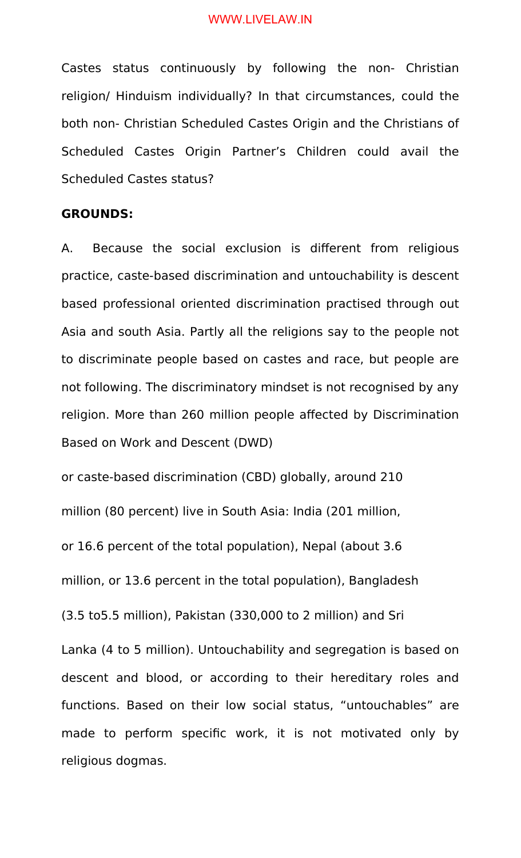Castes status continuously by following the non- Christian religion/ Hinduism individually? In that circumstances, could the both non- Christian Scheduled Castes Origin and the Christians of Scheduled Castes Origin Partner's Children could avail the Scheduled Castes status?

## **GROUNDS:**

A. Because the social exclusion is different from religious practice, caste-based discrimination and untouchability is descent based professional oriented discrimination practised through out Asia and south Asia. Partly all the religions say to the people not to discriminate people based on castes and race, but people are not following. The discriminatory mindset is not recognised by any religion. More than 260 million people affected by Discrimination Based on Work and Descent (DWD)

or caste-based discrimination (CBD) globally, around 210 million (80 percent) live in South Asia: India (201 million, or 16.6 percent of the total population), Nepal (about 3.6 million, or 13.6 percent in the total population), Bangladesh (3.5 to5.5 million), Pakistan (330,000 to 2 million) and Sri Lanka (4 to 5 million). Untouchability and segregation is based on descent and blood, or according to their hereditary roles and functions. Based on their low social status, "untouchables" are made to perform specific work, it is not motivated only by religious dogmas.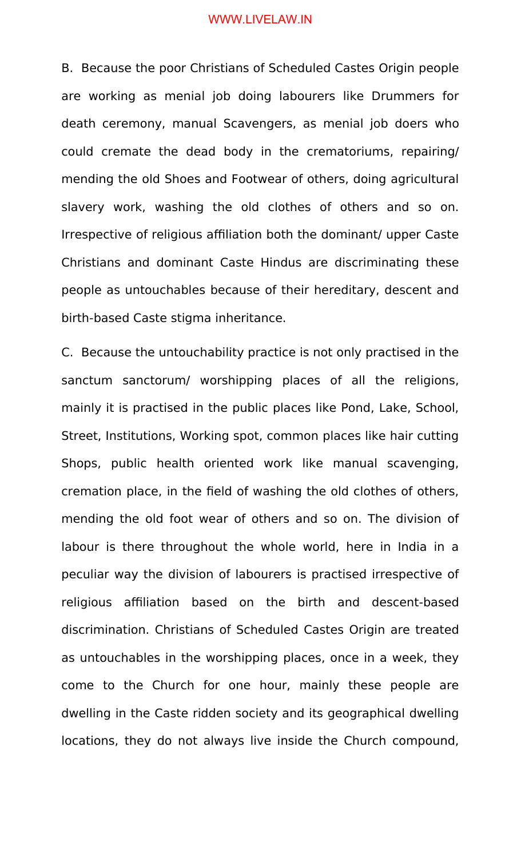B. Because the poor Christians of Scheduled Castes Origin people are working as menial job doing labourers like Drummers for death ceremony, manual Scavengers, as menial job doers who could cremate the dead body in the crematoriums, repairing/ mending the old Shoes and Footwear of others, doing agricultural slavery work, washing the old clothes of others and so on. Irrespective of religious affiliation both the dominant/ upper Caste Christians and dominant Caste Hindus are discriminating these people as untouchables because of their hereditary, descent and birth-based Caste stigma inheritance.

C. Because the untouchability practice is not only practised in the sanctum sanctorum/ worshipping places of all the religions, mainly it is practised in the public places like Pond, Lake, School, Street, Institutions, Working spot, common places like hair cutting Shops, public health oriented work like manual scavenging, cremation place, in the field of washing the old clothes of others, mending the old foot wear of others and so on. The division of labour is there throughout the whole world, here in India in a peculiar way the division of labourers is practised irrespective of religious affiliation based on the birth and descent-based discrimination. Christians of Scheduled Castes Origin are treated as untouchables in the worshipping places, once in a week, they come to the Church for one hour, mainly these people are dwelling in the Caste ridden society and its geographical dwelling locations, they do not always live inside the Church compound,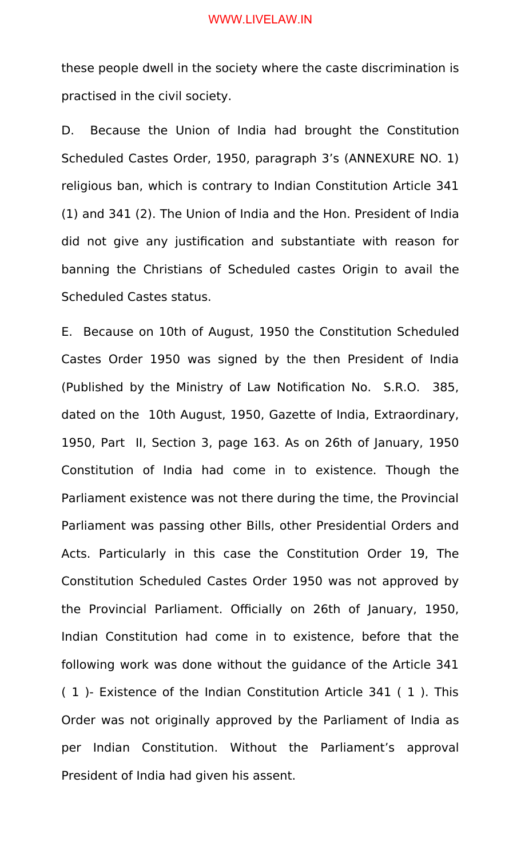these people dwell in the society where the caste discrimination is practised in the civil society.

D. Because the Union of India had brought the Constitution Scheduled Castes Order, 1950, paragraph 3's (ANNEXURE NO. 1) religious ban, which is contrary to Indian Constitution Article 341 (1) and 341 (2). The Union of India and the Hon. President of India did not give any justification and substantiate with reason for banning the Christians of Scheduled castes Origin to avail the Scheduled Castes status.

E. Because on 10th of August, 1950 the Constitution Scheduled Castes Order 1950 was signed by the then President of India (Published by the Ministry of Law Notification No. S.R.O. 385, dated on the 10th August, 1950, Gazette of India, Extraordinary, 1950, Part II, Section 3, page 163. As on 26th of January, 1950 Constitution of India had come in to existence. Though the Parliament existence was not there during the time, the Provincial Parliament was passing other Bills, other Presidential Orders and Acts. Particularly in this case the Constitution Order 19, The Constitution Scheduled Castes Order 1950 was not approved by the Provincial Parliament. Officially on 26th of January, 1950, Indian Constitution had come in to existence, before that the following work was done without the guidance of the Article 341 ( 1 )- Existence of the Indian Constitution Article 341 ( 1 ). This Order was not originally approved by the Parliament of India as per Indian Constitution. Without the Parliament's approval President of India had given his assent.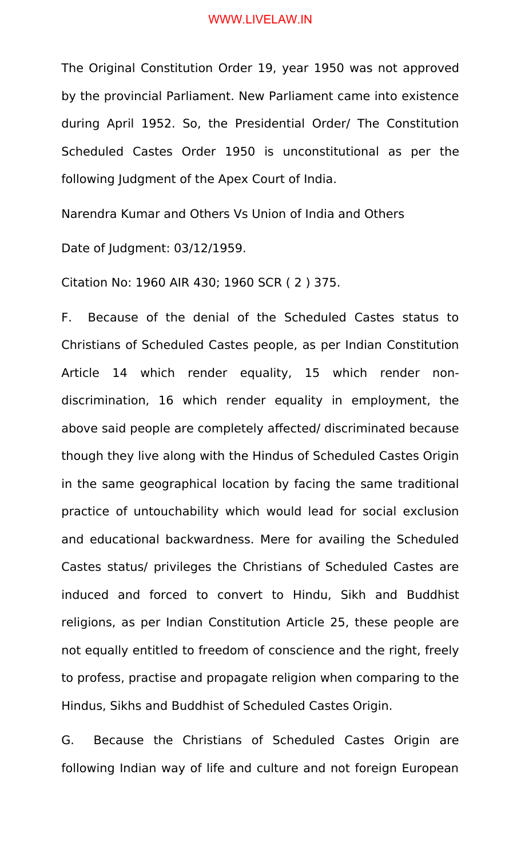The Original Constitution Order 19, year 1950 was not approved by the provincial Parliament. New Parliament came into existence during April 1952. So, the Presidential Order/ The Constitution Scheduled Castes Order 1950 is unconstitutional as per the following Judgment of the Apex Court of India.

Narendra Kumar and Others Vs Union of India and Others

Date of Judgment: 03/12/1959.

Citation No: 1960 AIR 430; 1960 SCR ( 2 ) 375.

F. Because of the denial of the Scheduled Castes status to Christians of Scheduled Castes people, as per Indian Constitution Article 14 which render equality, 15 which render nondiscrimination, 16 which render equality in employment, the above said people are completely affected/ discriminated because though they live along with the Hindus of Scheduled Castes Origin in the same geographical location by facing the same traditional practice of untouchability which would lead for social exclusion and educational backwardness. Mere for availing the Scheduled Castes status/ privileges the Christians of Scheduled Castes are induced and forced to convert to Hindu, Sikh and Buddhist religions, as per Indian Constitution Article 25, these people are not equally entitled to freedom of conscience and the right, freely to profess, practise and propagate religion when comparing to the Hindus, Sikhs and Buddhist of Scheduled Castes Origin.

G. Because the Christians of Scheduled Castes Origin are following Indian way of life and culture and not foreign European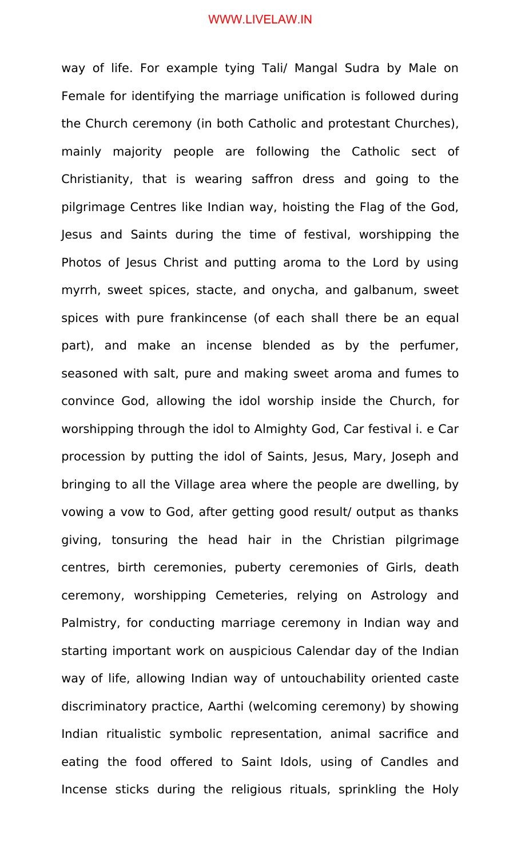way of life. For example tying Tali/ Mangal Sudra by Male on Female for identifying the marriage unification is followed during the Church ceremony (in both Catholic and protestant Churches), mainly majority people are following the Catholic sect of Christianity, that is wearing saffron dress and going to the pilgrimage Centres like Indian way, hoisting the Flag of the God, Jesus and Saints during the time of festival, worshipping the Photos of Jesus Christ and putting aroma to the Lord by using myrrh, sweet spices, stacte, and onycha, and galbanum, sweet spices with pure frankincense (of each shall there be an equal part), and make an incense blended as by the perfumer, seasoned with salt, pure and making sweet aroma and fumes to convince God, allowing the idol worship inside the Church, for worshipping through the idol to Almighty God, Car festival i. e Car procession by putting the idol of Saints, Jesus, Mary, Joseph and bringing to all the Village area where the people are dwelling, by vowing a vow to God, after getting good result/ output as thanks giving, tonsuring the head hair in the Christian pilgrimage centres, birth ceremonies, puberty ceremonies of Girls, death ceremony, worshipping Cemeteries, relying on Astrology and Palmistry, for conducting marriage ceremony in Indian way and starting important work on auspicious Calendar day of the Indian way of life, allowing Indian way of untouchability oriented caste discriminatory practice, Aarthi (welcoming ceremony) by showing Indian ritualistic symbolic representation, animal sacrifice and eating the food offered to Saint Idols, using of Candles and Incense sticks during the religious rituals, sprinkling the Holy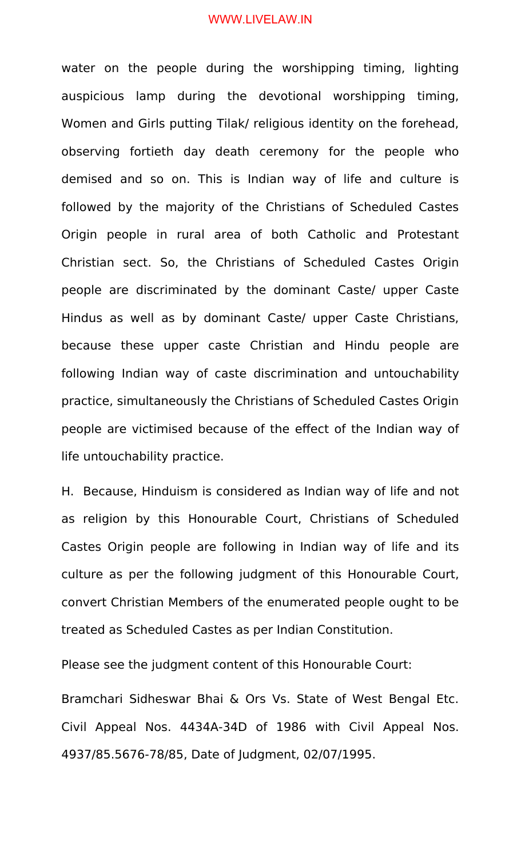water on the people during the worshipping timing, lighting auspicious lamp during the devotional worshipping timing, Women and Girls putting Tilak/ religious identity on the forehead, observing fortieth day death ceremony for the people who demised and so on. This is Indian way of life and culture is followed by the majority of the Christians of Scheduled Castes Origin people in rural area of both Catholic and Protestant Christian sect. So, the Christians of Scheduled Castes Origin people are discriminated by the dominant Caste/ upper Caste Hindus as well as by dominant Caste/ upper Caste Christians, because these upper caste Christian and Hindu people are following Indian way of caste discrimination and untouchability practice, simultaneously the Christians of Scheduled Castes Origin people are victimised because of the effect of the Indian way of life untouchability practice.

H. Because, Hinduism is considered as Indian way of life and not as religion by this Honourable Court, Christians of Scheduled Castes Origin people are following in Indian way of life and its culture as per the following judgment of this Honourable Court, convert Christian Members of the enumerated people ought to be treated as Scheduled Castes as per Indian Constitution.

Please see the judgment content of this Honourable Court:

Bramchari Sidheswar Bhai & Ors Vs. State of West Bengal Etc. Civil Appeal Nos. 4434A-34D of 1986 with Civil Appeal Nos. 4937/85.5676-78/85, Date of Judgment, 02/07/1995.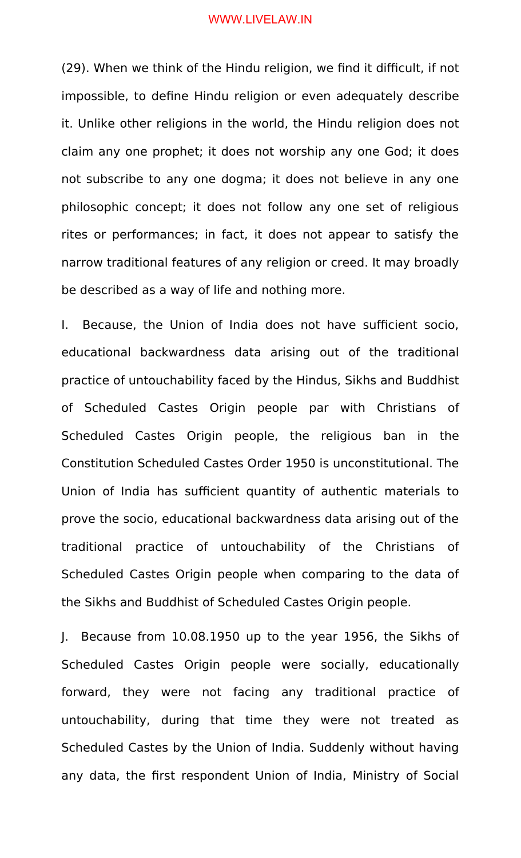(29). When we think of the Hindu religion, we find it difficult, if not impossible, to define Hindu religion or even adequately describe it. Unlike other religions in the world, the Hindu religion does not claim any one prophet; it does not worship any one God; it does not subscribe to any one dogma; it does not believe in any one philosophic concept; it does not follow any one set of religious rites or performances; in fact, it does not appear to satisfy the narrow traditional features of any religion or creed. It may broadly be described as a way of life and nothing more.

I. Because, the Union of India does not have sufficient socio, educational backwardness data arising out of the traditional practice of untouchability faced by the Hindus, Sikhs and Buddhist of Scheduled Castes Origin people par with Christians of Scheduled Castes Origin people, the religious ban in the Constitution Scheduled Castes Order 1950 is unconstitutional. The Union of India has sufficient quantity of authentic materials to prove the socio, educational backwardness data arising out of the traditional practice of untouchability of the Christians of Scheduled Castes Origin people when comparing to the data of the Sikhs and Buddhist of Scheduled Castes Origin people.

J. Because from 10.08.1950 up to the year 1956, the Sikhs of Scheduled Castes Origin people were socially, educationally forward, they were not facing any traditional practice of untouchability, during that time they were not treated as Scheduled Castes by the Union of India. Suddenly without having any data, the first respondent Union of India, Ministry of Social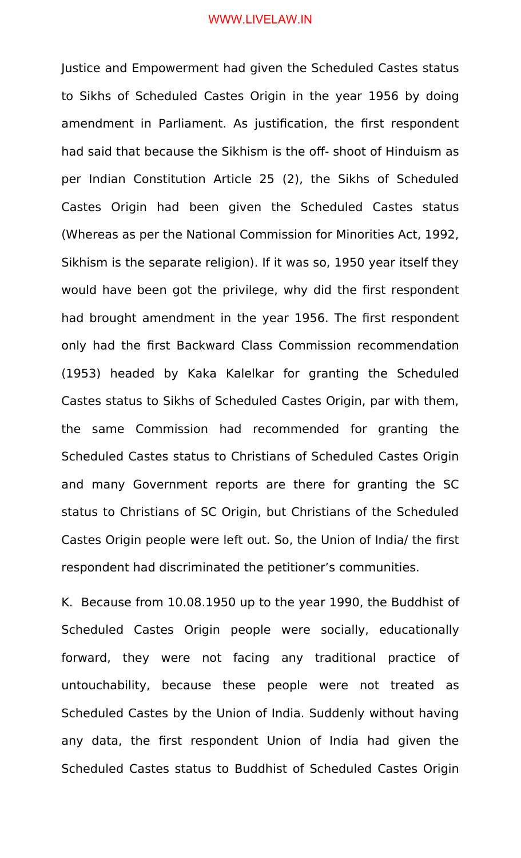Justice and Empowerment had given the Scheduled Castes status to Sikhs of Scheduled Castes Origin in the year 1956 by doing amendment in Parliament. As justification, the first respondent had said that because the Sikhism is the off- shoot of Hinduism as per Indian Constitution Article 25 (2), the Sikhs of Scheduled Castes Origin had been given the Scheduled Castes status (Whereas as per the National Commission for Minorities Act, 1992, Sikhism is the separate religion). If it was so, 1950 year itself they would have been got the privilege, why did the first respondent had brought amendment in the year 1956. The first respondent only had the first Backward Class Commission recommendation (1953) headed by Kaka Kalelkar for granting the Scheduled Castes status to Sikhs of Scheduled Castes Origin, par with them, the same Commission had recommended for granting the Scheduled Castes status to Christians of Scheduled Castes Origin and many Government reports are there for granting the SC status to Christians of SC Origin, but Christians of the Scheduled Castes Origin people were left out. So, the Union of India/ the first respondent had discriminated the petitioner's communities.

K. Because from 10.08.1950 up to the year 1990, the Buddhist of Scheduled Castes Origin people were socially, educationally forward, they were not facing any traditional practice of untouchability, because these people were not treated as Scheduled Castes by the Union of India. Suddenly without having any data, the first respondent Union of India had given the Scheduled Castes status to Buddhist of Scheduled Castes Origin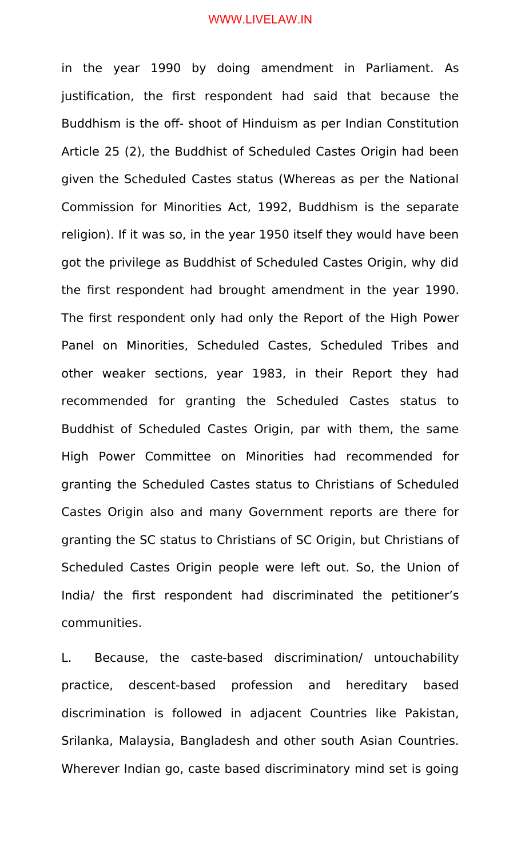in the year 1990 by doing amendment in Parliament. As justification, the first respondent had said that because the Buddhism is the off- shoot of Hinduism as per Indian Constitution Article 25 (2), the Buddhist of Scheduled Castes Origin had been given the Scheduled Castes status (Whereas as per the National Commission for Minorities Act, 1992, Buddhism is the separate religion). If it was so, in the year 1950 itself they would have been got the privilege as Buddhist of Scheduled Castes Origin, why did the first respondent had brought amendment in the year 1990. The first respondent only had only the Report of the High Power Panel on Minorities, Scheduled Castes, Scheduled Tribes and other weaker sections, year 1983, in their Report they had recommended for granting the Scheduled Castes status to Buddhist of Scheduled Castes Origin, par with them, the same High Power Committee on Minorities had recommended for granting the Scheduled Castes status to Christians of Scheduled Castes Origin also and many Government reports are there for granting the SC status to Christians of SC Origin, but Christians of Scheduled Castes Origin people were left out. So, the Union of India/ the first respondent had discriminated the petitioner's communities.

L. Because, the caste-based discrimination/ untouchability practice, descent-based profession and hereditary based discrimination is followed in adjacent Countries like Pakistan, Srilanka, Malaysia, Bangladesh and other south Asian Countries. Wherever Indian go, caste based discriminatory mind set is going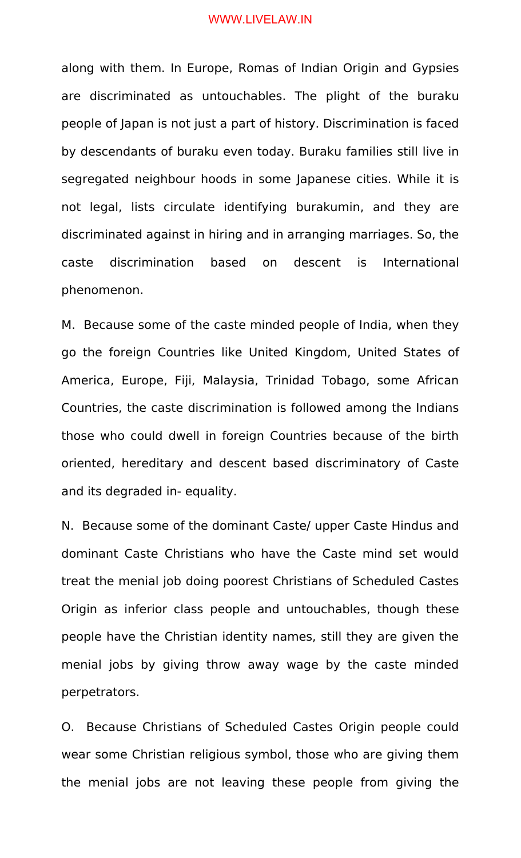along with them. In Europe, Romas of Indian Origin and Gypsies are discriminated as untouchables. The plight of the buraku people of Japan is not just a part of history. Discrimination is faced by descendants of buraku even today. Buraku families still live in segregated neighbour hoods in some Japanese cities. While it is not legal, lists circulate identifying burakumin, and they are discriminated against in hiring and in arranging marriages. So, the caste discrimination based on descent is International phenomenon.

M. Because some of the caste minded people of India, when they go the foreign Countries like United Kingdom, United States of America, Europe, Fiji, Malaysia, Trinidad Tobago, some African Countries, the caste discrimination is followed among the Indians those who could dwell in foreign Countries because of the birth oriented, hereditary and descent based discriminatory of Caste and its degraded in- equality.

N. Because some of the dominant Caste/ upper Caste Hindus and dominant Caste Christians who have the Caste mind set would treat the menial job doing poorest Christians of Scheduled Castes Origin as inferior class people and untouchables, though these people have the Christian identity names, still they are given the menial jobs by giving throw away wage by the caste minded perpetrators.

O. Because Christians of Scheduled Castes Origin people could wear some Christian religious symbol, those who are giving them the menial jobs are not leaving these people from giving the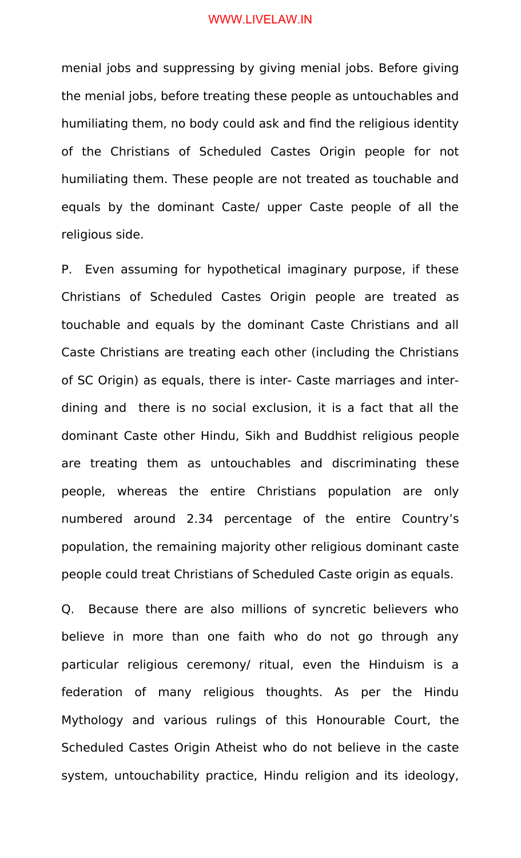menial jobs and suppressing by giving menial jobs. Before giving the menial jobs, before treating these people as untouchables and humiliating them, no body could ask and find the religious identity of the Christians of Scheduled Castes Origin people for not humiliating them. These people are not treated as touchable and equals by the dominant Caste/ upper Caste people of all the religious side.

P. Even assuming for hypothetical imaginary purpose, if these Christians of Scheduled Castes Origin people are treated as touchable and equals by the dominant Caste Christians and all Caste Christians are treating each other (including the Christians of SC Origin) as equals, there is inter- Caste marriages and interdining and there is no social exclusion, it is a fact that all the dominant Caste other Hindu, Sikh and Buddhist religious people are treating them as untouchables and discriminating these people, whereas the entire Christians population are only numbered around 2.34 percentage of the entire Country's population, the remaining majority other religious dominant caste people could treat Christians of Scheduled Caste origin as equals.

Q. Because there are also millions of syncretic believers who believe in more than one faith who do not go through any particular religious ceremony/ ritual, even the Hinduism is a federation of many religious thoughts. As per the Hindu Mythology and various rulings of this Honourable Court, the Scheduled Castes Origin Atheist who do not believe in the caste system, untouchability practice, Hindu religion and its ideology,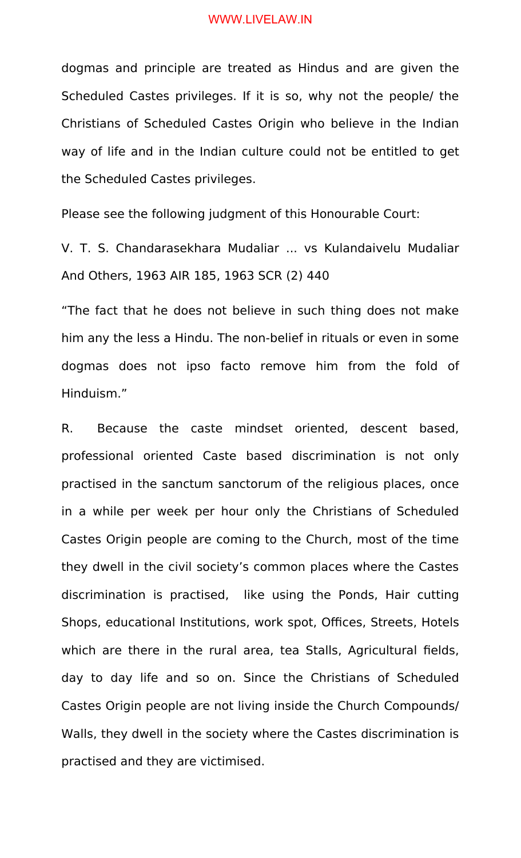dogmas and principle are treated as Hindus and are given the Scheduled Castes privileges. If it is so, why not the people/ the Christians of Scheduled Castes Origin who believe in the Indian way of life and in the Indian culture could not be entitled to get the Scheduled Castes privileges.

Please see the following judgment of this Honourable Court:

V. T. S. Chandarasekhara Mudaliar ... vs Kulandaivelu Mudaliar And Others, 1963 AIR 185, 1963 SCR (2) 440

"The fact that he does not believe in such thing does not make him any the less a Hindu. The non-belief in rituals or even in some dogmas does not ipso facto remove him from the fold of Hinduism."

R. Because the caste mindset oriented, descent based, professional oriented Caste based discrimination is not only practised in the sanctum sanctorum of the religious places, once in a while per week per hour only the Christians of Scheduled Castes Origin people are coming to the Church, most of the time they dwell in the civil society's common places where the Castes discrimination is practised, like using the Ponds, Hair cutting Shops, educational Institutions, work spot, Offices, Streets, Hotels which are there in the rural area, tea Stalls, Agricultural fields, day to day life and so on. Since the Christians of Scheduled Castes Origin people are not living inside the Church Compounds/ Walls, they dwell in the society where the Castes discrimination is practised and they are victimised.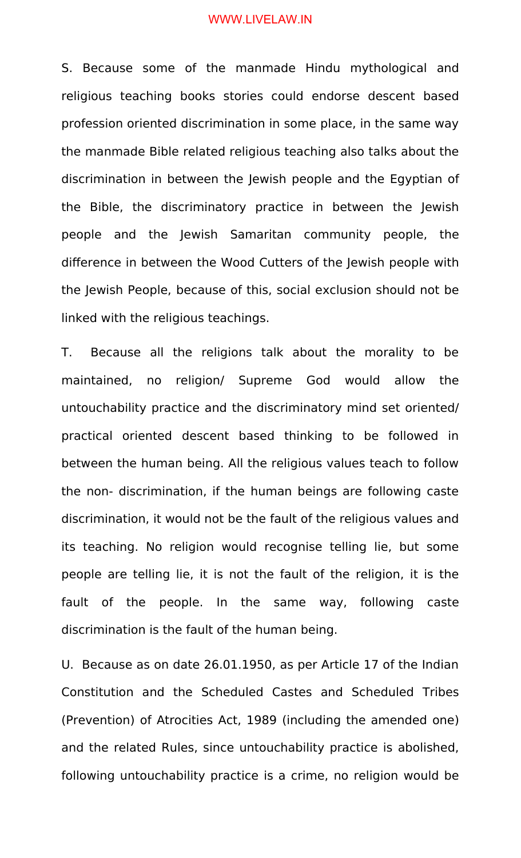S. Because some of the manmade Hindu mythological and religious teaching books stories could endorse descent based profession oriented discrimination in some place, in the same way the manmade Bible related religious teaching also talks about the discrimination in between the Jewish people and the Egyptian of the Bible, the discriminatory practice in between the Jewish people and the Jewish Samaritan community people, the difference in between the Wood Cutters of the Jewish people with the Jewish People, because of this, social exclusion should not be linked with the religious teachings.

T. Because all the religions talk about the morality to be maintained, no religion/ Supreme God would allow the untouchability practice and the discriminatory mind set oriented/ practical oriented descent based thinking to be followed in between the human being. All the religious values teach to follow the non- discrimination, if the human beings are following caste discrimination, it would not be the fault of the religious values and its teaching. No religion would recognise telling lie, but some people are telling lie, it is not the fault of the religion, it is the fault of the people. In the same way, following caste discrimination is the fault of the human being.

U. Because as on date 26.01.1950, as per Article 17 of the Indian Constitution and the Scheduled Castes and Scheduled Tribes (Prevention) of Atrocities Act, 1989 (including the amended one) and the related Rules, since untouchability practice is abolished, following untouchability practice is a crime, no religion would be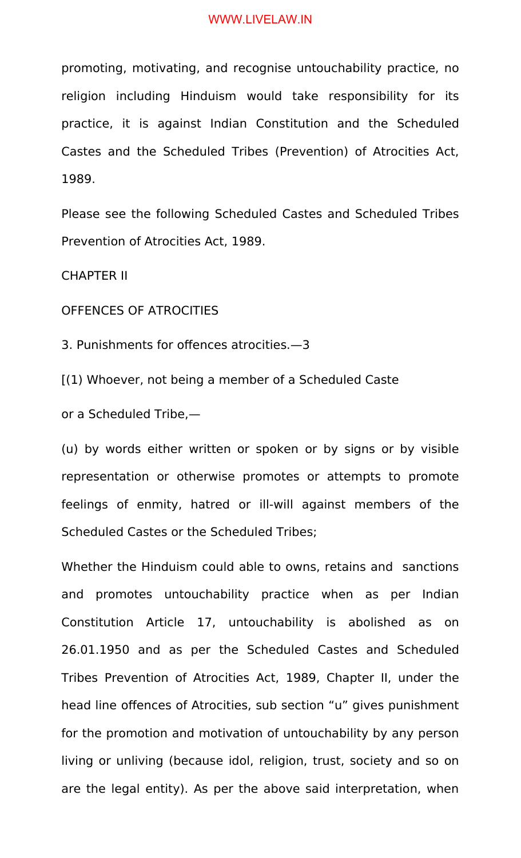promoting, motivating, and recognise untouchability practice, no religion including Hinduism would take responsibility for its practice, it is against Indian Constitution and the Scheduled Castes and the Scheduled Tribes (Prevention) of Atrocities Act, 1989.

Please see the following Scheduled Castes and Scheduled Tribes Prevention of Atrocities Act, 1989.

CHAPTER II

OFFENCES OF ATROCITIES

3. Punishments for offences atrocities.—3

[(1) Whoever, not being a member of a Scheduled Caste

or a Scheduled Tribe,—

(u) by words either written or spoken or by signs or by visible representation or otherwise promotes or attempts to promote feelings of enmity, hatred or ill-will against members of the Scheduled Castes or the Scheduled Tribes;

Whether the Hinduism could able to owns, retains and sanctions and promotes untouchability practice when as per Indian Constitution Article 17, untouchability is abolished as on 26.01.1950 and as per the Scheduled Castes and Scheduled Tribes Prevention of Atrocities Act, 1989, Chapter II, under the head line offences of Atrocities, sub section "u" gives punishment for the promotion and motivation of untouchability by any person living or unliving (because idol, religion, trust, society and so on are the legal entity). As per the above said interpretation, when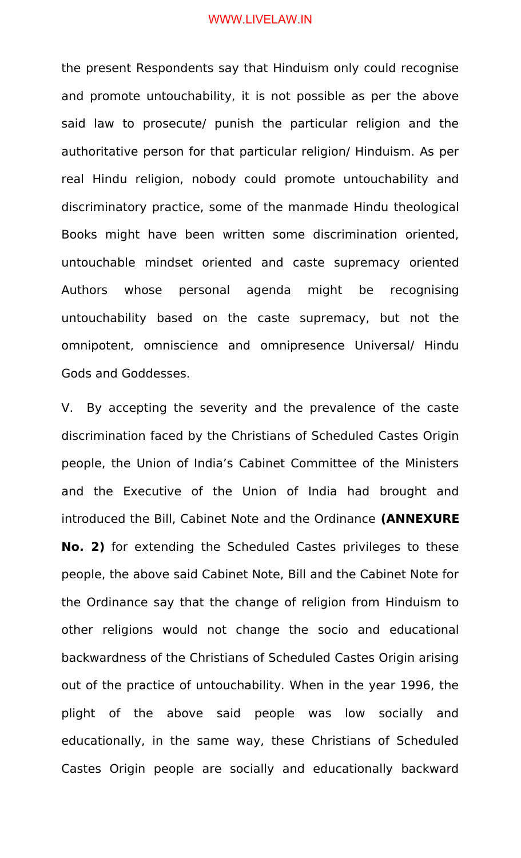the present Respondents say that Hinduism only could recognise and promote untouchability, it is not possible as per the above said law to prosecute/ punish the particular religion and the authoritative person for that particular religion/ Hinduism. As per real Hindu religion, nobody could promote untouchability and discriminatory practice, some of the manmade Hindu theological Books might have been written some discrimination oriented, untouchable mindset oriented and caste supremacy oriented Authors whose personal agenda might be recognising untouchability based on the caste supremacy, but not the omnipotent, omniscience and omnipresence Universal/ Hindu Gods and Goddesses.

V. By accepting the severity and the prevalence of the caste discrimination faced by the Christians of Scheduled Castes Origin people, the Union of India's Cabinet Committee of the Ministers and the Executive of the Union of India had brought and introduced the Bill, Cabinet Note and the Ordinance **(ANNEXURE No. 2)** for extending the Scheduled Castes privileges to these people, the above said Cabinet Note, Bill and the Cabinet Note for the Ordinance say that the change of religion from Hinduism to other religions would not change the socio and educational backwardness of the Christians of Scheduled Castes Origin arising out of the practice of untouchability. When in the year 1996, the plight of the above said people was low socially and educationally, in the same way, these Christians of Scheduled Castes Origin people are socially and educationally backward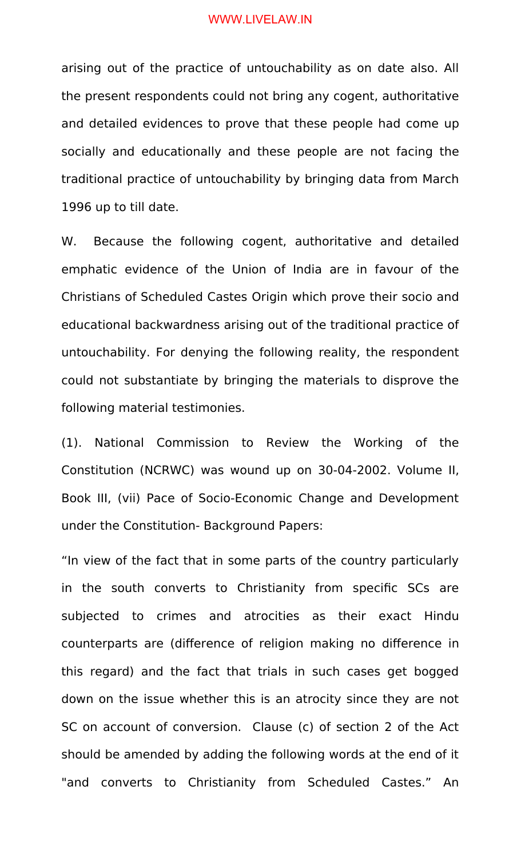arising out of the practice of untouchability as on date also. All the present respondents could not bring any cogent, authoritative and detailed evidences to prove that these people had come up socially and educationally and these people are not facing the traditional practice of untouchability by bringing data from March 1996 up to till date.

W. Because the following cogent, authoritative and detailed emphatic evidence of the Union of India are in favour of the Christians of Scheduled Castes Origin which prove their socio and educational backwardness arising out of the traditional practice of untouchability. For denying the following reality, the respondent could not substantiate by bringing the materials to disprove the following material testimonies.

(1). National Commission to Review the Working of the Constitution (NCRWC) was wound up on 30-04-2002. Volume II, Book III, (vii) Pace of Socio-Economic Change and Development under the Constitution- Background Papers:

"In view of the fact that in some parts of the country particularly in the south converts to Christianity from specific SCs are subjected to crimes and atrocities as their exact Hindu counterparts are (difference of religion making no difference in this regard) and the fact that trials in such cases get bogged down on the issue whether this is an atrocity since they are not SC on account of conversion. Clause (c) of section 2 of the Act should be amended by adding the following words at the end of it "and converts to Christianity from Scheduled Castes." An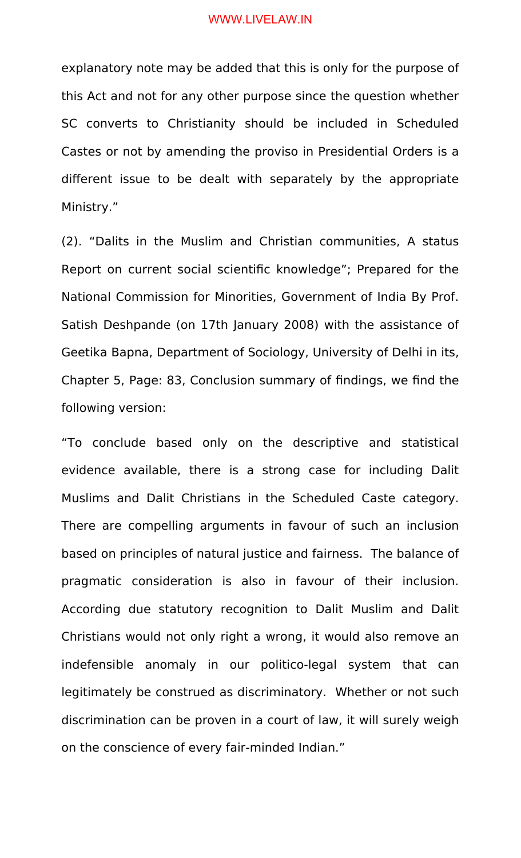explanatory note may be added that this is only for the purpose of this Act and not for any other purpose since the question whether SC converts to Christianity should be included in Scheduled Castes or not by amending the proviso in Presidential Orders is a different issue to be dealt with separately by the appropriate Ministry."

(2). "Dalits in the Muslim and Christian communities, A status Report on current social scientific knowledge"; Prepared for the National Commission for Minorities, Government of India By Prof. Satish Deshpande (on 17th January 2008) with the assistance of Geetika Bapna, Department of Sociology, University of Delhi in its, Chapter 5, Page: 83, Conclusion summary of findings, we find the following version:

"To conclude based only on the descriptive and statistical evidence available, there is a strong case for including Dalit Muslims and Dalit Christians in the Scheduled Caste category. There are compelling arguments in favour of such an inclusion based on principles of natural justice and fairness. The balance of pragmatic consideration is also in favour of their inclusion. According due statutory recognition to Dalit Muslim and Dalit Christians would not only right a wrong, it would also remove an indefensible anomaly in our politico-legal system that can legitimately be construed as discriminatory. Whether or not such discrimination can be proven in a court of law, it will surely weigh on the conscience of every fair-minded Indian."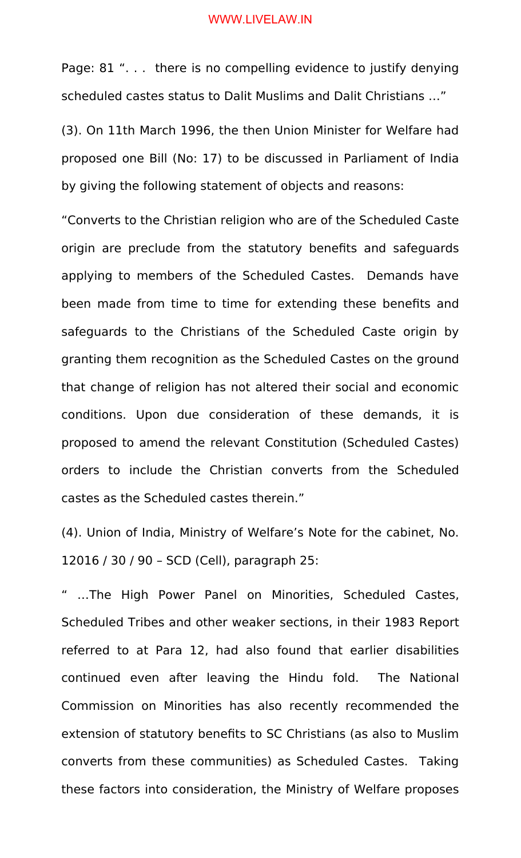Page: 81 ". . . there is no compelling evidence to justify denying scheduled castes status to Dalit Muslims and Dalit Christians …"

(3). On 11th March 1996, the then Union Minister for Welfare had proposed one Bill (No: 17) to be discussed in Parliament of India by giving the following statement of objects and reasons:

"Converts to the Christian religion who are of the Scheduled Caste origin are preclude from the statutory benefits and safeguards applying to members of the Scheduled Castes. Demands have been made from time to time for extending these benefits and safeguards to the Christians of the Scheduled Caste origin by granting them recognition as the Scheduled Castes on the ground that change of religion has not altered their social and economic conditions. Upon due consideration of these demands, it is proposed to amend the relevant Constitution (Scheduled Castes) orders to include the Christian converts from the Scheduled castes as the Scheduled castes therein."

(4). Union of India, Ministry of Welfare's Note for the cabinet, No. 12016 / 30 / 90 – SCD (Cell), paragraph 25:

" …The High Power Panel on Minorities, Scheduled Castes, Scheduled Tribes and other weaker sections, in their 1983 Report referred to at Para 12, had also found that earlier disabilities continued even after leaving the Hindu fold. The National Commission on Minorities has also recently recommended the extension of statutory benefits to SC Christians (as also to Muslim converts from these communities) as Scheduled Castes. Taking these factors into consideration, the Ministry of Welfare proposes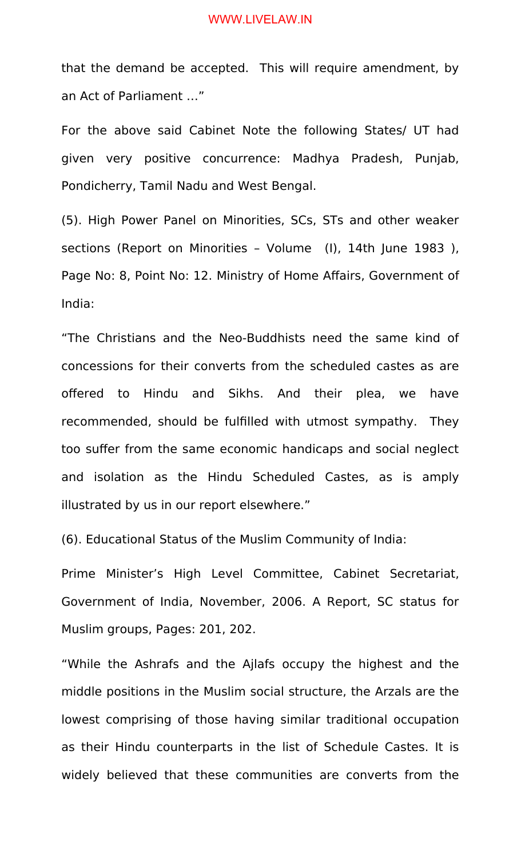that the demand be accepted. This will require amendment, by an Act of Parliament …"

For the above said Cabinet Note the following States/ UT had given very positive concurrence: Madhya Pradesh, Punjab, Pondicherry, Tamil Nadu and West Bengal.

(5). High Power Panel on Minorities, SCs, STs and other weaker sections (Report on Minorities – Volume (I), 14th June 1983 ), Page No: 8, Point No: 12. Ministry of Home Affairs, Government of India:

"The Christians and the Neo-Buddhists need the same kind of concessions for their converts from the scheduled castes as are offered to Hindu and Sikhs. And their plea, we have recommended, should be fulfilled with utmost sympathy. They too suffer from the same economic handicaps and social neglect and isolation as the Hindu Scheduled Castes, as is amply illustrated by us in our report elsewhere."

(6). Educational Status of the Muslim Community of India:

Prime Minister's High Level Committee, Cabinet Secretariat, Government of India, November, 2006. A Report, SC status for Muslim groups, Pages: 201, 202.

"While the Ashrafs and the Ajlafs occupy the highest and the middle positions in the Muslim social structure, the Arzals are the lowest comprising of those having similar traditional occupation as their Hindu counterparts in the list of Schedule Castes. It is widely believed that these communities are converts from the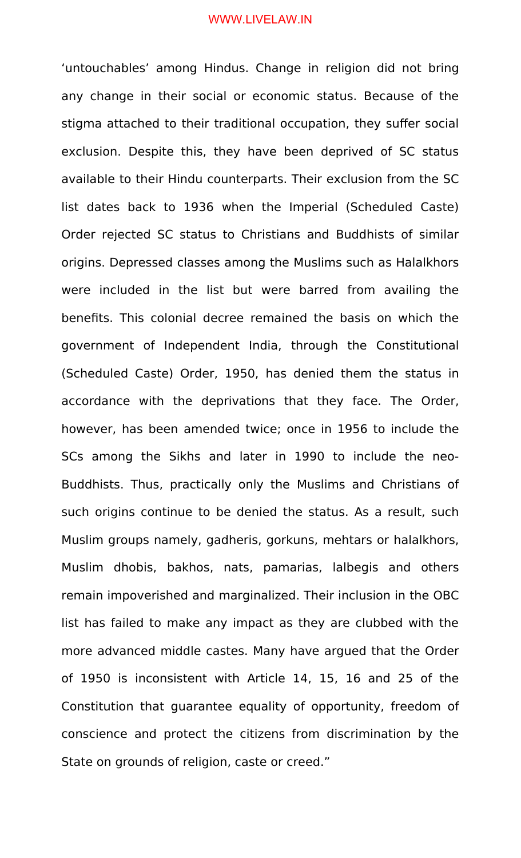'untouchables' among Hindus. Change in religion did not bring any change in their social or economic status. Because of the stigma attached to their traditional occupation, they suffer social exclusion. Despite this, they have been deprived of SC status available to their Hindu counterparts. Their exclusion from the SC list dates back to 1936 when the Imperial (Scheduled Caste) Order rejected SC status to Christians and Buddhists of similar origins. Depressed classes among the Muslims such as Halalkhors were included in the list but were barred from availing the benefits. This colonial decree remained the basis on which the government of Independent India, through the Constitutional (Scheduled Caste) Order, 1950, has denied them the status in accordance with the deprivations that they face. The Order, however, has been amended twice; once in 1956 to include the SCs among the Sikhs and later in 1990 to include the neo-Buddhists. Thus, practically only the Muslims and Christians of such origins continue to be denied the status. As a result, such Muslim groups namely, gadheris, gorkuns, mehtars or halalkhors, Muslim dhobis, bakhos, nats, pamarias, lalbegis and others remain impoverished and marginalized. Their inclusion in the OBC list has failed to make any impact as they are clubbed with the more advanced middle castes. Many have argued that the Order of 1950 is inconsistent with Article 14, 15, 16 and 25 of the Constitution that guarantee equality of opportunity, freedom of conscience and protect the citizens from discrimination by the State on grounds of religion, caste or creed."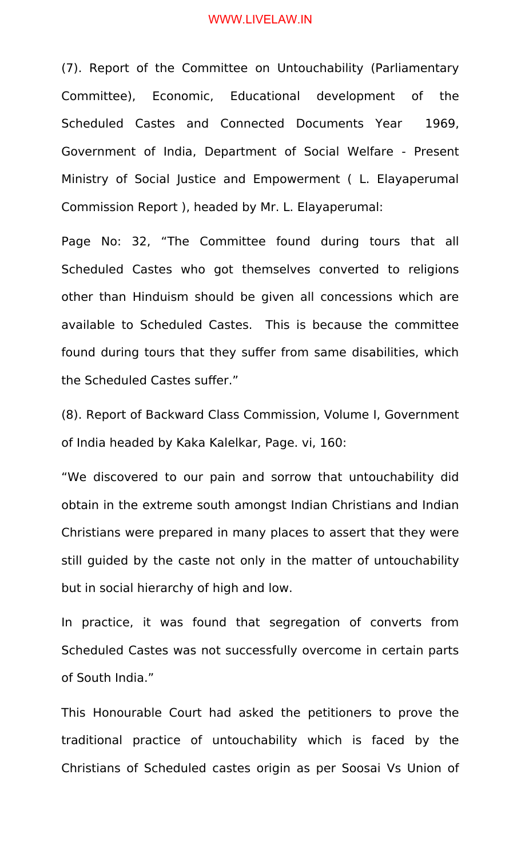(7). Report of the Committee on Untouchability (Parliamentary Committee), Economic, Educational development of the Scheduled Castes and Connected Documents Year 1969, Government of India, Department of Social Welfare - Present Ministry of Social Justice and Empowerment ( L. Elayaperumal Commission Report ), headed by Mr. L. Elayaperumal:

Page No: 32, "The Committee found during tours that all Scheduled Castes who got themselves converted to religions other than Hinduism should be given all concessions which are available to Scheduled Castes. This is because the committee found during tours that they suffer from same disabilities, which the Scheduled Castes suffer."

(8). Report of Backward Class Commission, Volume I, Government of India headed by Kaka Kalelkar, Page. vi, 160:

"We discovered to our pain and sorrow that untouchability did obtain in the extreme south amongst Indian Christians and Indian Christians were prepared in many places to assert that they were still guided by the caste not only in the matter of untouchability but in social hierarchy of high and low.

In practice, it was found that segregation of converts from Scheduled Castes was not successfully overcome in certain parts of South India."

This Honourable Court had asked the petitioners to prove the traditional practice of untouchability which is faced by the Christians of Scheduled castes origin as per Soosai Vs Union of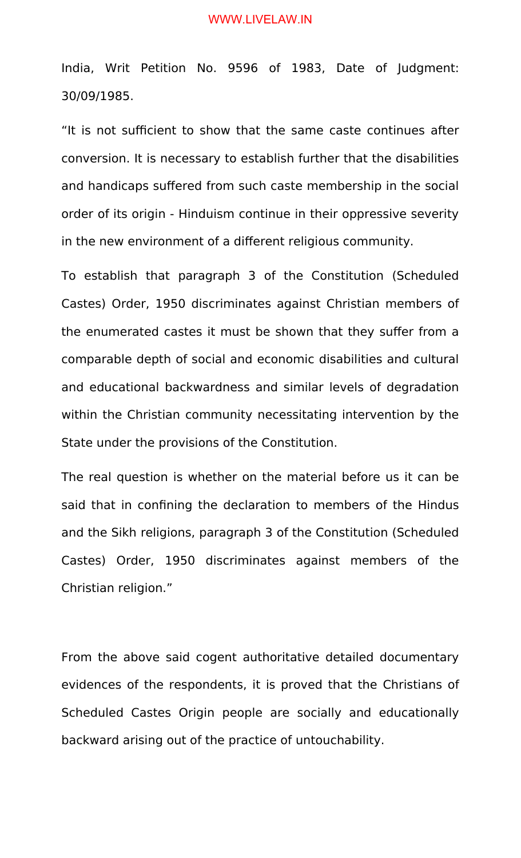India, Writ Petition No. 9596 of 1983, Date of Judgment: 30/09/1985.

"It is not sufficient to show that the same caste continues after conversion. It is necessary to establish further that the disabilities and handicaps suffered from such caste membership in the social order of its origin - Hinduism continue in their oppressive severity in the new environment of a different religious community.

To establish that paragraph 3 of the Constitution (Scheduled Castes) Order, 1950 discriminates against Christian members of the enumerated castes it must be shown that they suffer from a comparable depth of social and economic disabilities and cultural and educational backwardness and similar levels of degradation within the Christian community necessitating intervention by the State under the provisions of the Constitution.

The real question is whether on the material before us it can be said that in confining the declaration to members of the Hindus and the Sikh religions, paragraph 3 of the Constitution (Scheduled Castes) Order, 1950 discriminates against members of the Christian religion."

From the above said cogent authoritative detailed documentary evidences of the respondents, it is proved that the Christians of Scheduled Castes Origin people are socially and educationally backward arising out of the practice of untouchability.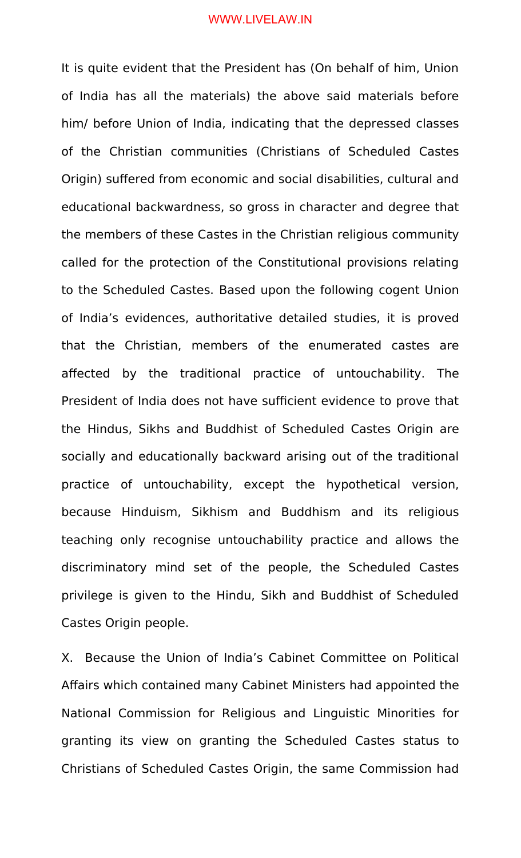It is quite evident that the President has (On behalf of him, Union of India has all the materials) the above said materials before him/ before Union of India, indicating that the depressed classes of the Christian communities (Christians of Scheduled Castes Origin) suffered from economic and social disabilities, cultural and educational backwardness, so gross in character and degree that the members of these Castes in the Christian religious community called for the protection of the Constitutional provisions relating to the Scheduled Castes. Based upon the following cogent Union of India's evidences, authoritative detailed studies, it is proved that the Christian, members of the enumerated castes are affected by the traditional practice of untouchability. The President of India does not have sufficient evidence to prove that the Hindus, Sikhs and Buddhist of Scheduled Castes Origin are socially and educationally backward arising out of the traditional practice of untouchability, except the hypothetical version, because Hinduism, Sikhism and Buddhism and its religious teaching only recognise untouchability practice and allows the discriminatory mind set of the people, the Scheduled Castes privilege is given to the Hindu, Sikh and Buddhist of Scheduled Castes Origin people.

X. Because the Union of India's Cabinet Committee on Political Affairs which contained many Cabinet Ministers had appointed the National Commission for Religious and Linguistic Minorities for granting its view on granting the Scheduled Castes status to Christians of Scheduled Castes Origin, the same Commission had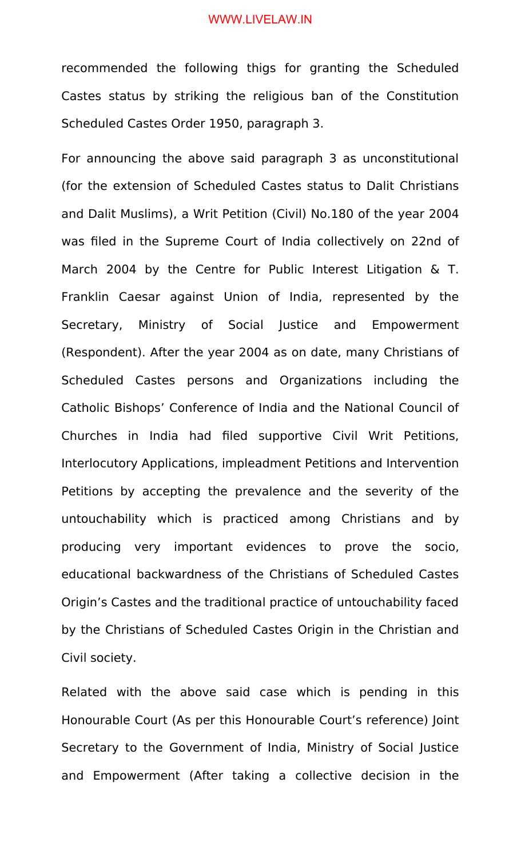recommended the following thigs for granting the Scheduled Castes status by striking the religious ban of the Constitution Scheduled Castes Order 1950, paragraph 3.

For announcing the above said paragraph 3 as unconstitutional (for the extension of Scheduled Castes status to Dalit Christians and Dalit Muslims), a Writ Petition (Civil) No.180 of the year 2004 was filed in the Supreme Court of India collectively on 22nd of March 2004 by the Centre for Public Interest Litigation & T. Franklin Caesar against Union of India, represented by the Secretary, Ministry of Social Justice and Empowerment (Respondent). After the year 2004 as on date, many Christians of Scheduled Castes persons and Organizations including the Catholic Bishops' Conference of India and the National Council of Churches in India had filed supportive Civil Writ Petitions, Interlocutory Applications, impleadment Petitions and Intervention Petitions by accepting the prevalence and the severity of the untouchability which is practiced among Christians and by producing very important evidences to prove the socio, educational backwardness of the Christians of Scheduled Castes Origin's Castes and the traditional practice of untouchability faced by the Christians of Scheduled Castes Origin in the Christian and Civil society.

Related with the above said case which is pending in this Honourable Court (As per this Honourable Court's reference) Joint Secretary to the Government of India, Ministry of Social Justice and Empowerment (After taking a collective decision in the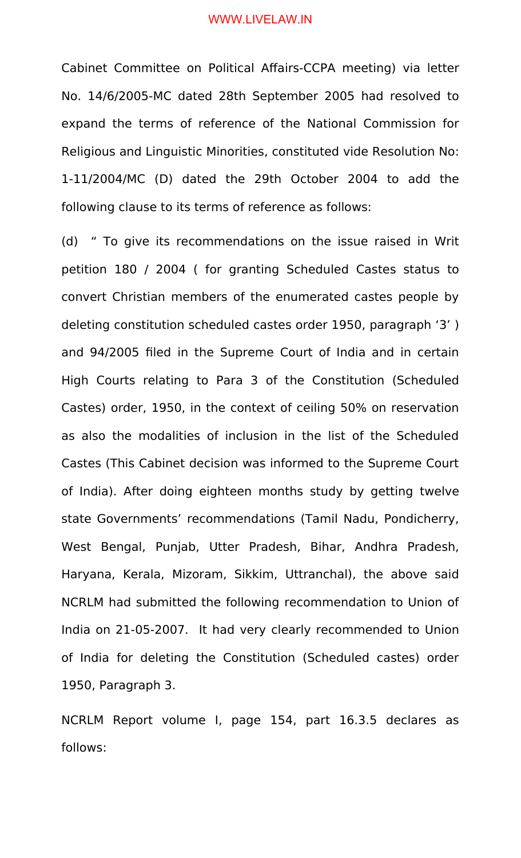Cabinet Committee on Political Affairs-CCPA meeting) via letter No. 14/6/2005-MC dated 28th September 2005 had resolved to expand the terms of reference of the National Commission for Religious and Linguistic Minorities, constituted vide Resolution No: 1-11/2004/MC (D) dated the 29th October 2004 to add the following clause to its terms of reference as follows:

(d) " To give its recommendations on the issue raised in Writ petition 180 / 2004 ( for granting Scheduled Castes status to convert Christian members of the enumerated castes people by deleting constitution scheduled castes order 1950, paragraph '3' ) and 94/2005 filed in the Supreme Court of India and in certain High Courts relating to Para 3 of the Constitution (Scheduled Castes) order, 1950, in the context of ceiling 50% on reservation as also the modalities of inclusion in the list of the Scheduled Castes (This Cabinet decision was informed to the Supreme Court of India). After doing eighteen months study by getting twelve state Governments' recommendations (Tamil Nadu, Pondicherry, West Bengal, Punjab, Utter Pradesh, Bihar, Andhra Pradesh, Haryana, Kerala, Mizoram, Sikkim, Uttranchal), the above said NCRLM had submitted the following recommendation to Union of India on 21-05-2007. It had very clearly recommended to Union of India for deleting the Constitution (Scheduled castes) order 1950, Paragraph 3.

NCRLM Report volume I, page 154, part 16.3.5 declares as follows: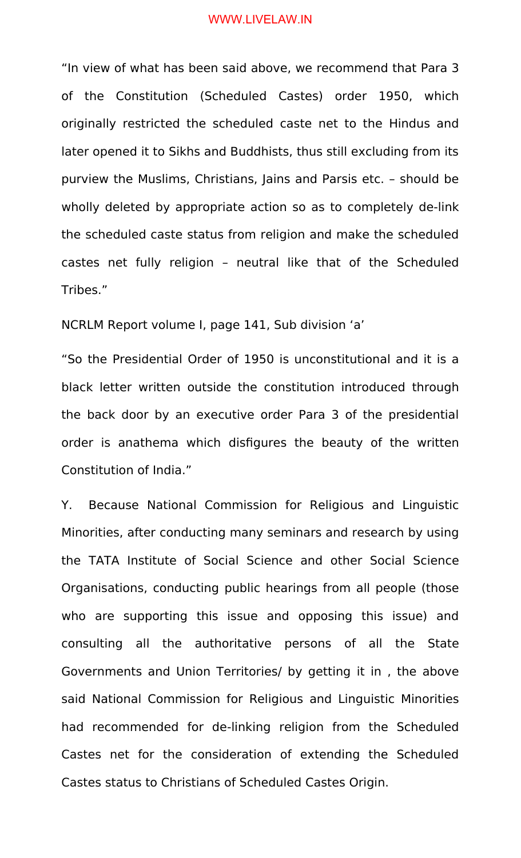"In view of what has been said above, we recommend that Para 3 of the Constitution (Scheduled Castes) order 1950, which originally restricted the scheduled caste net to the Hindus and later opened it to Sikhs and Buddhists, thus still excluding from its purview the Muslims, Christians, Jains and Parsis etc. – should be wholly deleted by appropriate action so as to completely de-link the scheduled caste status from religion and make the scheduled castes net fully religion – neutral like that of the Scheduled Tribes."

NCRLM Report volume I, page 141, Sub division 'a'

"So the Presidential Order of 1950 is unconstitutional and it is a black letter written outside the constitution introduced through the back door by an executive order Para 3 of the presidential order is anathema which disfigures the beauty of the written Constitution of India."

Y. Because National Commission for Religious and Linguistic Minorities, after conducting many seminars and research by using the TATA Institute of Social Science and other Social Science Organisations, conducting public hearings from all people (those who are supporting this issue and opposing this issue) and consulting all the authoritative persons of all the State Governments and Union Territories/ by getting it in , the above said National Commission for Religious and Linguistic Minorities had recommended for de-linking religion from the Scheduled Castes net for the consideration of extending the Scheduled Castes status to Christians of Scheduled Castes Origin.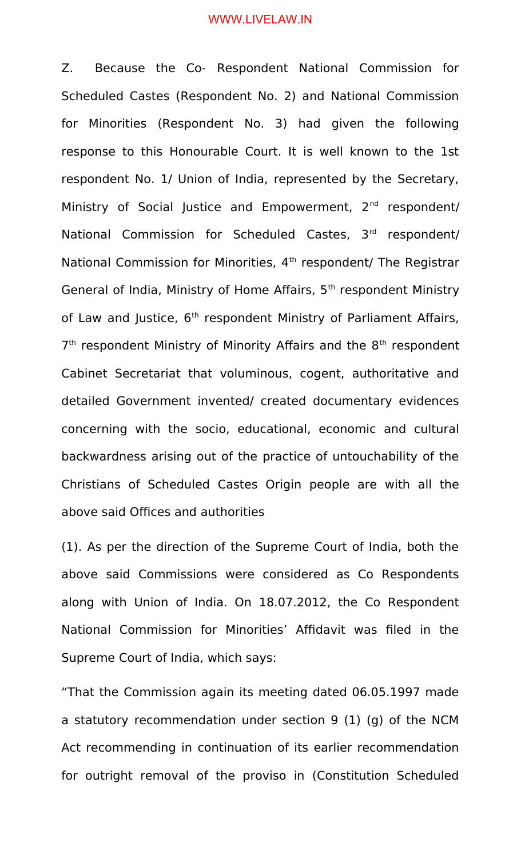Z. Because the Co- Respondent National Commission for Scheduled Castes (Respondent No. 2) and National Commission for Minorities (Respondent No. 3) had given the following response to this Honourable Court. It is well known to the 1st respondent No. 1/ Union of India, represented by the Secretary, Ministry of Social Justice and Empowerment, 2<sup>nd</sup> respondent/ National Commission for Scheduled Castes, 3rd respondent/ National Commission for Minorities, 4<sup>th</sup> respondent/ The Registrar General of India, Ministry of Home Affairs, 5<sup>th</sup> respondent Ministry of Law and Justice, 6<sup>th</sup> respondent Ministry of Parliament Affairs, 7<sup>th</sup> respondent Ministry of Minority Affairs and the 8<sup>th</sup> respondent Cabinet Secretariat that voluminous, cogent, authoritative and detailed Government invented/ created documentary evidences concerning with the socio, educational, economic and cultural backwardness arising out of the practice of untouchability of the Christians of Scheduled Castes Origin people are with all the above said Offices and authorities

(1). As per the direction of the Supreme Court of India, both the above said Commissions were considered as Co Respondents along with Union of India. On 18.07.2012, the Co Respondent National Commission for Minorities' Affidavit was filed in the Supreme Court of India, which says:

"That the Commission again its meeting dated 06.05.1997 made a statutory recommendation under section 9 (1) (g) of the NCM Act recommending in continuation of its earlier recommendation for outright removal of the proviso in (Constitution Scheduled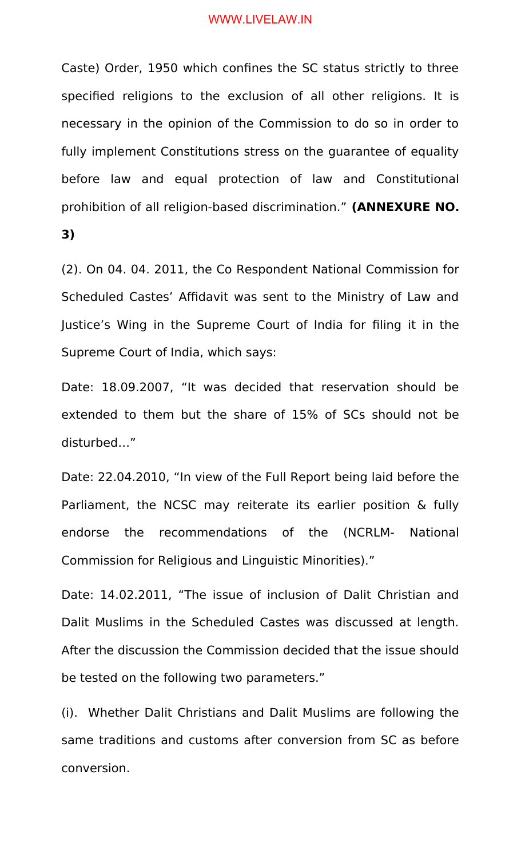Caste) Order, 1950 which confines the SC status strictly to three specified religions to the exclusion of all other religions. It is necessary in the opinion of the Commission to do so in order to fully implement Constitutions stress on the guarantee of equality before law and equal protection of law and Constitutional prohibition of all religion-based discrimination." **(ANNEXURE NO. 3)**

(2). On 04. 04. 2011, the Co Respondent National Commission for Scheduled Castes' Affidavit was sent to the Ministry of Law and Justice's Wing in the Supreme Court of India for filing it in the Supreme Court of India, which says:

Date: 18.09.2007, "It was decided that reservation should be extended to them but the share of 15% of SCs should not be disturbed…"

Date: 22.04.2010, "In view of the Full Report being laid before the Parliament, the NCSC may reiterate its earlier position & fully endorse the recommendations of the (NCRLM- National Commission for Religious and Linguistic Minorities)."

Date: 14.02.2011, "The issue of inclusion of Dalit Christian and Dalit Muslims in the Scheduled Castes was discussed at length. After the discussion the Commission decided that the issue should be tested on the following two parameters."

(i). Whether Dalit Christians and Dalit Muslims are following the same traditions and customs after conversion from SC as before conversion.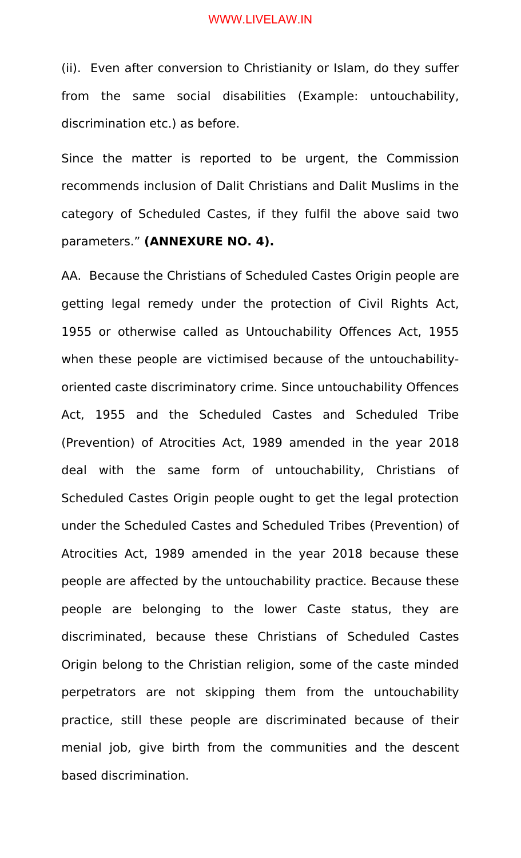(ii). Even after conversion to Christianity or Islam, do they suffer from the same social disabilities (Example: untouchability, discrimination etc.) as before.

Since the matter is reported to be urgent, the Commission recommends inclusion of Dalit Christians and Dalit Muslims in the category of Scheduled Castes, if they fulfil the above said two parameters." **(ANNEXURE NO. 4).**

AA. Because the Christians of Scheduled Castes Origin people are getting legal remedy under the protection of Civil Rights Act, 1955 or otherwise called as Untouchability Offences Act, 1955 when these people are victimised because of the untouchabilityoriented caste discriminatory crime. Since untouchability Offences Act, 1955 and the Scheduled Castes and Scheduled Tribe (Prevention) of Atrocities Act, 1989 amended in the year 2018 deal with the same form of untouchability, Christians of Scheduled Castes Origin people ought to get the legal protection under the Scheduled Castes and Scheduled Tribes (Prevention) of Atrocities Act, 1989 amended in the year 2018 because these people are affected by the untouchability practice. Because these people are belonging to the lower Caste status, they are discriminated, because these Christians of Scheduled Castes Origin belong to the Christian religion, some of the caste minded perpetrators are not skipping them from the untouchability practice, still these people are discriminated because of their menial job, give birth from the communities and the descent based discrimination.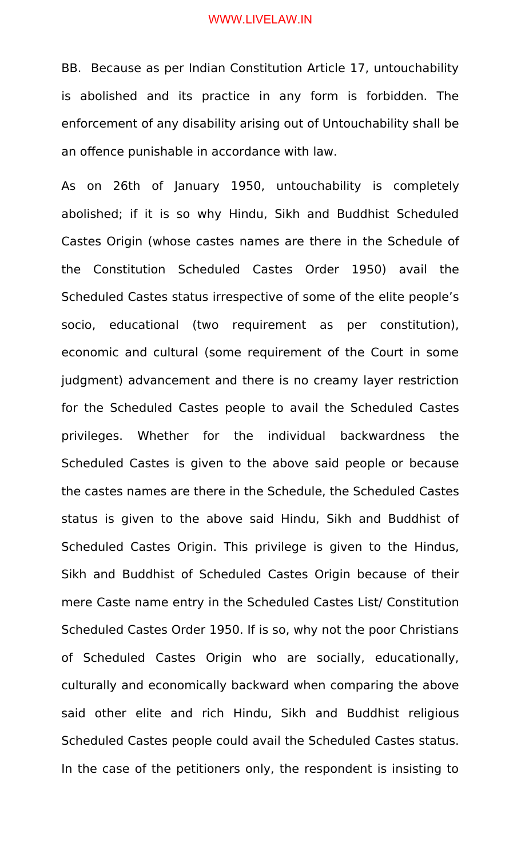BB. Because as per Indian Constitution Article 17, untouchability is abolished and its practice in any form is forbidden. The enforcement of any disability arising out of Untouchability shall be an offence punishable in accordance with law.

As on 26th of January 1950, untouchability is completely abolished; if it is so why Hindu, Sikh and Buddhist Scheduled Castes Origin (whose castes names are there in the Schedule of the Constitution Scheduled Castes Order 1950) avail the Scheduled Castes status irrespective of some of the elite people's socio, educational (two requirement as per constitution), economic and cultural (some requirement of the Court in some judgment) advancement and there is no creamy layer restriction for the Scheduled Castes people to avail the Scheduled Castes privileges. Whether for the individual backwardness the Scheduled Castes is given to the above said people or because the castes names are there in the Schedule, the Scheduled Castes status is given to the above said Hindu, Sikh and Buddhist of Scheduled Castes Origin. This privilege is given to the Hindus, Sikh and Buddhist of Scheduled Castes Origin because of their mere Caste name entry in the Scheduled Castes List/ Constitution Scheduled Castes Order 1950. If is so, why not the poor Christians of Scheduled Castes Origin who are socially, educationally, culturally and economically backward when comparing the above said other elite and rich Hindu, Sikh and Buddhist religious Scheduled Castes people could avail the Scheduled Castes status. In the case of the petitioners only, the respondent is insisting to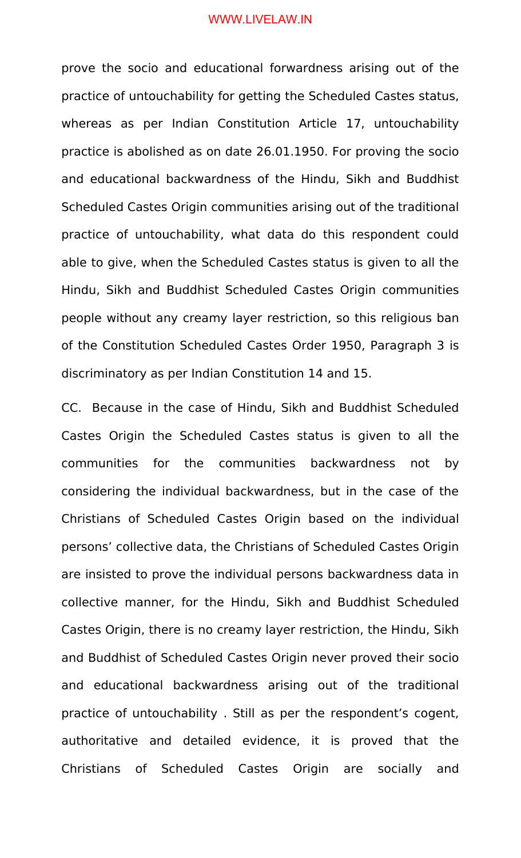prove the socio and educational forwardness arising out of the practice of untouchability for getting the Scheduled Castes status, whereas as per Indian Constitution Article 17, untouchability practice is abolished as on date 26.01.1950. For proving the socio and educational backwardness of the Hindu, Sikh and Buddhist Scheduled Castes Origin communities arising out of the traditional practice of untouchability, what data do this respondent could able to give, when the Scheduled Castes status is given to all the Hindu, Sikh and Buddhist Scheduled Castes Origin communities people without any creamy layer restriction, so this religious ban of the Constitution Scheduled Castes Order 1950, Paragraph 3 is discriminatory as per Indian Constitution 14 and 15.

CC. Because in the case of Hindu, Sikh and Buddhist Scheduled Castes Origin the Scheduled Castes status is given to all the communities for the communities backwardness not by considering the individual backwardness, but in the case of the Christians of Scheduled Castes Origin based on the individual persons' collective data, the Christians of Scheduled Castes Origin are insisted to prove the individual persons backwardness data in collective manner, for the Hindu, Sikh and Buddhist Scheduled Castes Origin, there is no creamy layer restriction, the Hindu, Sikh and Buddhist of Scheduled Castes Origin never proved their socio and educational backwardness arising out of the traditional practice of untouchability . Still as per the respondent's cogent, authoritative and detailed evidence, it is proved that the Christians of Scheduled Castes Origin are socially and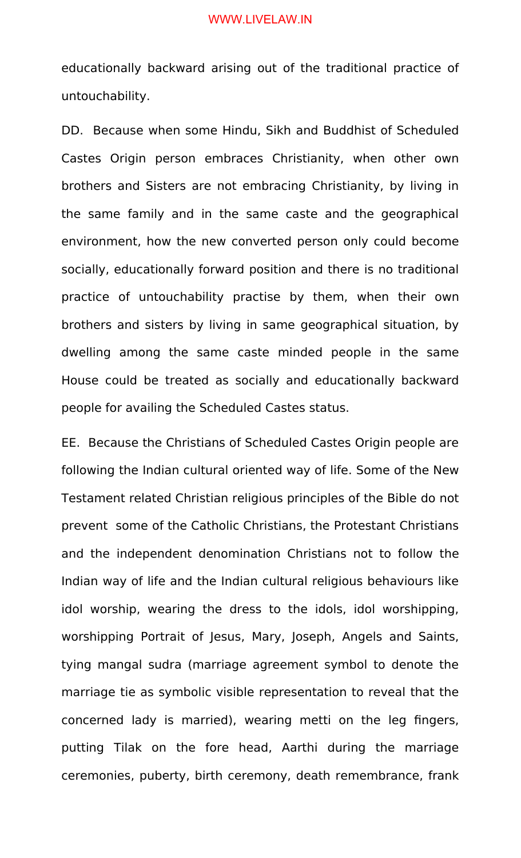educationally backward arising out of the traditional practice of untouchability.

DD. Because when some Hindu, Sikh and Buddhist of Scheduled Castes Origin person embraces Christianity, when other own brothers and Sisters are not embracing Christianity, by living in the same family and in the same caste and the geographical environment, how the new converted person only could become socially, educationally forward position and there is no traditional practice of untouchability practise by them, when their own brothers and sisters by living in same geographical situation, by dwelling among the same caste minded people in the same House could be treated as socially and educationally backward people for availing the Scheduled Castes status.

EE. Because the Christians of Scheduled Castes Origin people are following the Indian cultural oriented way of life. Some of the New Testament related Christian religious principles of the Bible do not prevent some of the Catholic Christians, the Protestant Christians and the independent denomination Christians not to follow the Indian way of life and the Indian cultural religious behaviours like idol worship, wearing the dress to the idols, idol worshipping, worshipping Portrait of Jesus, Mary, Joseph, Angels and Saints, tying mangal sudra (marriage agreement symbol to denote the marriage tie as symbolic visible representation to reveal that the concerned lady is married), wearing metti on the leg fingers, putting Tilak on the fore head, Aarthi during the marriage ceremonies, puberty, birth ceremony, death remembrance, frank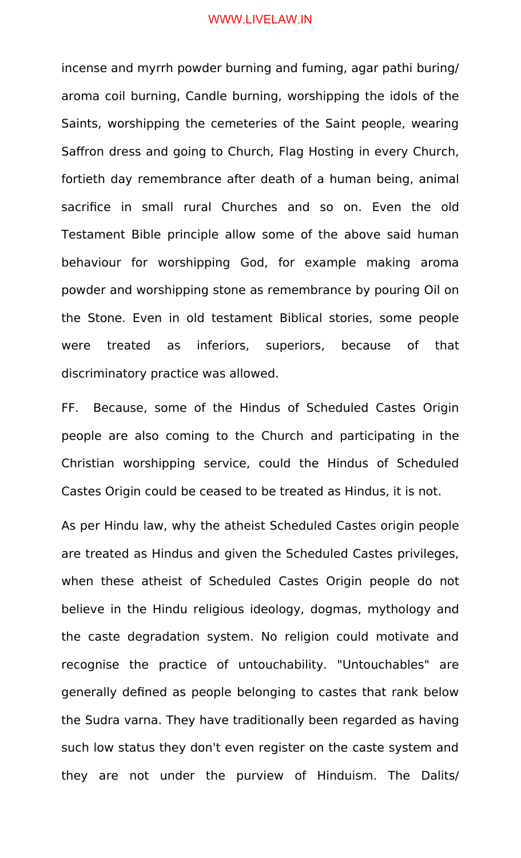incense and myrrh powder burning and fuming, agar pathi buring/ aroma coil burning, Candle burning, worshipping the idols of the Saints, worshipping the cemeteries of the Saint people, wearing Saffron dress and going to Church, Flag Hosting in every Church, fortieth day remembrance after death of a human being, animal sacrifice in small rural Churches and so on. Even the old Testament Bible principle allow some of the above said human behaviour for worshipping God, for example making aroma powder and worshipping stone as remembrance by pouring Oil on the Stone. Even in old testament Biblical stories, some people were treated as inferiors, superiors, because of that discriminatory practice was allowed.

FF. Because, some of the Hindus of Scheduled Castes Origin people are also coming to the Church and participating in the Christian worshipping service, could the Hindus of Scheduled Castes Origin could be ceased to be treated as Hindus, it is not.

As per Hindu law, why the atheist Scheduled Castes origin people are treated as Hindus and given the Scheduled Castes privileges, when these atheist of Scheduled Castes Origin people do not believe in the Hindu religious ideology, dogmas, mythology and the caste degradation system. No religion could motivate and recognise the practice of untouchability. "Untouchables" are generally defined as people belonging to castes that rank below the Sudra varna. They have traditionally been regarded as having such low status they don't even register on the caste system and they are not under the purview of Hinduism. The Dalits/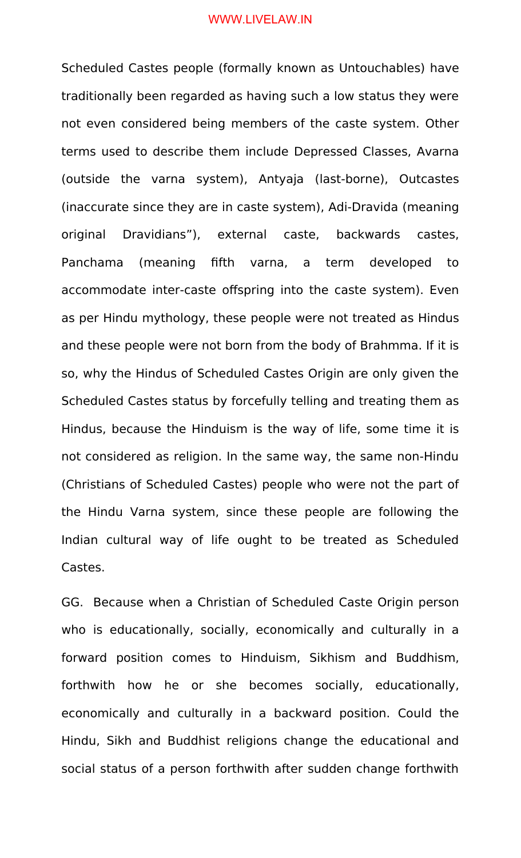Scheduled Castes people (formally known as Untouchables) have traditionally been regarded as having such a low status they were not even considered being members of the caste system. Other terms used to describe them include Depressed Classes, Avarna (outside the varna system), Antyaja (last-borne), Outcastes (inaccurate since they are in caste system), Adi-Dravida (meaning original Dravidians"), external caste, backwards castes, Panchama (meaning fifth varna, a term developed to accommodate inter-caste offspring into the caste system). Even as per Hindu mythology, these people were not treated as Hindus and these people were not born from the body of Brahmma. If it is so, why the Hindus of Scheduled Castes Origin are only given the Scheduled Castes status by forcefully telling and treating them as Hindus, because the Hinduism is the way of life, some time it is not considered as religion. In the same way, the same non-Hindu (Christians of Scheduled Castes) people who were not the part of the Hindu Varna system, since these people are following the Indian cultural way of life ought to be treated as Scheduled Castes.

GG. Because when a Christian of Scheduled Caste Origin person who is educationally, socially, economically and culturally in a forward position comes to Hinduism, Sikhism and Buddhism, forthwith how he or she becomes socially, educationally, economically and culturally in a backward position. Could the Hindu, Sikh and Buddhist religions change the educational and social status of a person forthwith after sudden change forthwith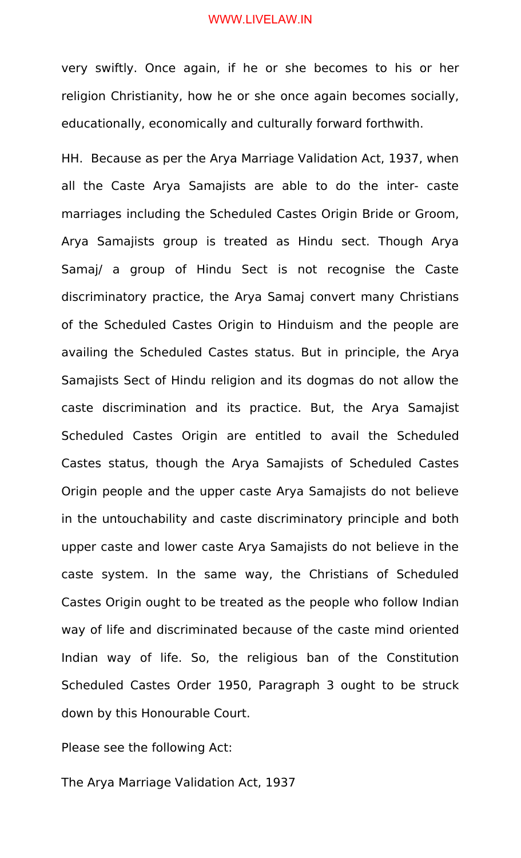very swiftly. Once again, if he or she becomes to his or her religion Christianity, how he or she once again becomes socially, educationally, economically and culturally forward forthwith.

HH. Because as per the Arya Marriage Validation Act, 1937, when all the Caste Arya Samajists are able to do the inter- caste marriages including the Scheduled Castes Origin Bride or Groom, Arya Samajists group is treated as Hindu sect. Though Arya Samaj/ a group of Hindu Sect is not recognise the Caste discriminatory practice, the Arya Samaj convert many Christians of the Scheduled Castes Origin to Hinduism and the people are availing the Scheduled Castes status. But in principle, the Arya Samajists Sect of Hindu religion and its dogmas do not allow the caste discrimination and its practice. But, the Arya Samajist Scheduled Castes Origin are entitled to avail the Scheduled Castes status, though the Arya Samajists of Scheduled Castes Origin people and the upper caste Arya Samajists do not believe in the untouchability and caste discriminatory principle and both upper caste and lower caste Arya Samajists do not believe in the caste system. In the same way, the Christians of Scheduled Castes Origin ought to be treated as the people who follow Indian way of life and discriminated because of the caste mind oriented Indian way of life. So, the religious ban of the Constitution Scheduled Castes Order 1950, Paragraph 3 ought to be struck down by this Honourable Court.

Please see the following Act:

The Arya Marriage Validation Act, 1937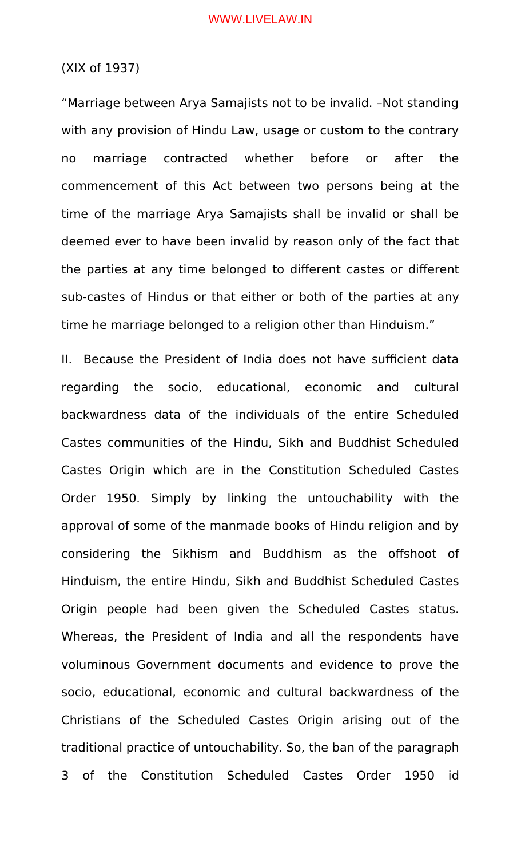# (XIX of 1937)

"Marriage between Arya Samajists not to be invalid. –Not standing with any provision of Hindu Law, usage or custom to the contrary no marriage contracted whether before or after the commencement of this Act between two persons being at the time of the marriage Arya Samajists shall be invalid or shall be deemed ever to have been invalid by reason only of the fact that the parties at any time belonged to different castes or different sub-castes of Hindus or that either or both of the parties at any time he marriage belonged to a religion other than Hinduism."

II. Because the President of India does not have sufficient data regarding the socio, educational, economic and cultural backwardness data of the individuals of the entire Scheduled Castes communities of the Hindu, Sikh and Buddhist Scheduled Castes Origin which are in the Constitution Scheduled Castes Order 1950. Simply by linking the untouchability with the approval of some of the manmade books of Hindu religion and by considering the Sikhism and Buddhism as the offshoot of Hinduism, the entire Hindu, Sikh and Buddhist Scheduled Castes Origin people had been given the Scheduled Castes status. Whereas, the President of India and all the respondents have voluminous Government documents and evidence to prove the socio, educational, economic and cultural backwardness of the Christians of the Scheduled Castes Origin arising out of the traditional practice of untouchability. So, the ban of the paragraph 3 of the Constitution Scheduled Castes Order 1950 id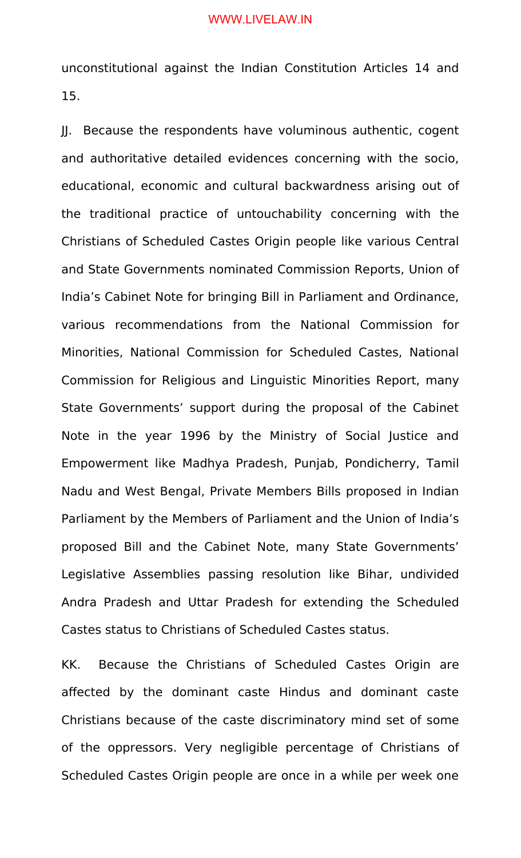unconstitutional against the Indian Constitution Articles 14 and 15.

JJ. Because the respondents have voluminous authentic, cogent and authoritative detailed evidences concerning with the socio, educational, economic and cultural backwardness arising out of the traditional practice of untouchability concerning with the Christians of Scheduled Castes Origin people like various Central and State Governments nominated Commission Reports, Union of India's Cabinet Note for bringing Bill in Parliament and Ordinance, various recommendations from the National Commission for Minorities, National Commission for Scheduled Castes, National Commission for Religious and Linguistic Minorities Report, many State Governments' support during the proposal of the Cabinet Note in the year 1996 by the Ministry of Social Justice and Empowerment like Madhya Pradesh, Punjab, Pondicherry, Tamil Nadu and West Bengal, Private Members Bills proposed in Indian Parliament by the Members of Parliament and the Union of India's proposed Bill and the Cabinet Note, many State Governments' Legislative Assemblies passing resolution like Bihar, undivided Andra Pradesh and Uttar Pradesh for extending the Scheduled Castes status to Christians of Scheduled Castes status.

KK. Because the Christians of Scheduled Castes Origin are affected by the dominant caste Hindus and dominant caste Christians because of the caste discriminatory mind set of some of the oppressors. Very negligible percentage of Christians of Scheduled Castes Origin people are once in a while per week one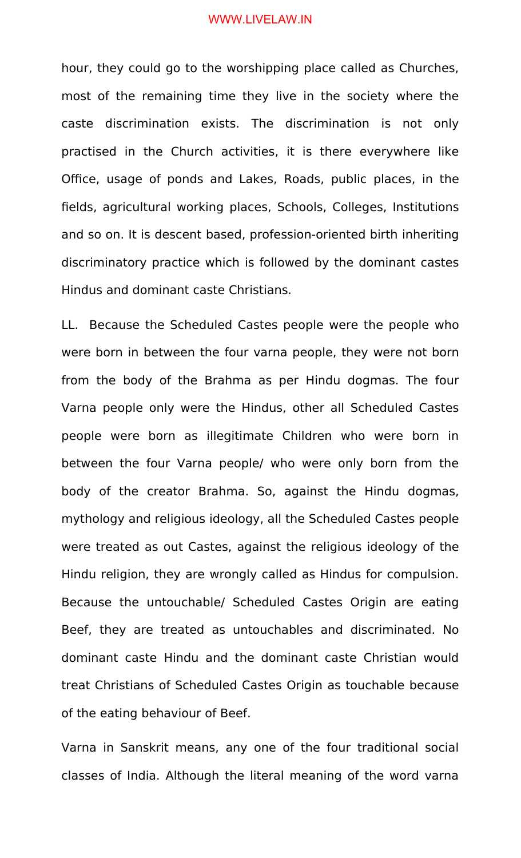hour, they could go to the worshipping place called as Churches, most of the remaining time they live in the society where the caste discrimination exists. The discrimination is not only practised in the Church activities, it is there everywhere like Office, usage of ponds and Lakes, Roads, public places, in the fields, agricultural working places, Schools, Colleges, Institutions and so on. It is descent based, profession-oriented birth inheriting discriminatory practice which is followed by the dominant castes Hindus and dominant caste Christians.

LL. Because the Scheduled Castes people were the people who were born in between the four varna people, they were not born from the body of the Brahma as per Hindu dogmas. The four Varna people only were the Hindus, other all Scheduled Castes people were born as illegitimate Children who were born in between the four Varna people/ who were only born from the body of the creator Brahma. So, against the Hindu dogmas, mythology and religious ideology, all the Scheduled Castes people were treated as out Castes, against the religious ideology of the Hindu religion, they are wrongly called as Hindus for compulsion. Because the untouchable/ Scheduled Castes Origin are eating Beef, they are treated as untouchables and discriminated. No dominant caste Hindu and the dominant caste Christian would treat Christians of Scheduled Castes Origin as touchable because of the eating behaviour of Beef.

Varna in Sanskrit means, any one of the four traditional social classes of India. Although the literal meaning of the word varna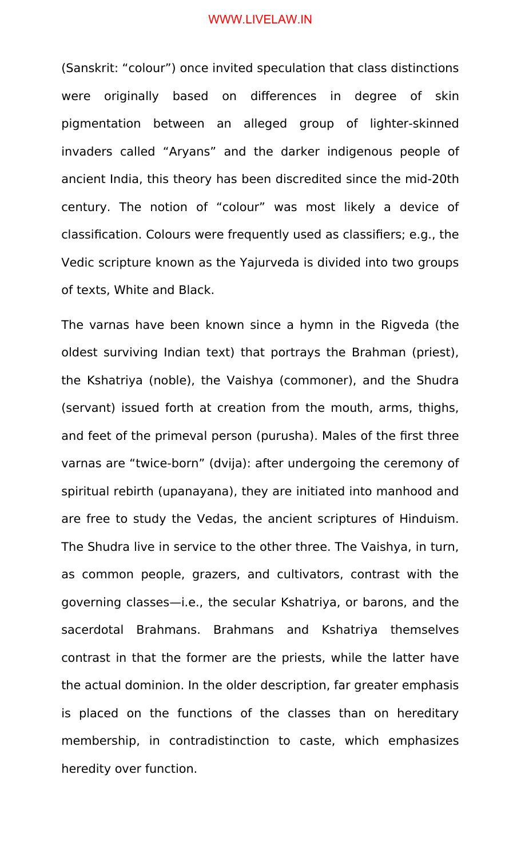(Sanskrit: "colour") once invited speculation that class distinctions were originally based on differences in degree of skin pigmentation between an alleged group of lighter-skinned invaders called "Aryans" and the darker indigenous people of ancient India, this theory has been discredited since the mid-20th century. The notion of "colour" was most likely a device of classification. Colours were frequently used as classifiers; e.g., the Vedic scripture known as the Yajurveda is divided into two groups of texts, White and Black.

The varnas have been known since a hymn in the Rigveda (the oldest surviving Indian text) that portrays the Brahman (priest), the Kshatriya (noble), the Vaishya (commoner), and the Shudra (servant) issued forth at creation from the mouth, arms, thighs, and feet of the primeval person (purusha). Males of the first three varnas are "twice-born" (dvija): after undergoing the ceremony of spiritual rebirth (upanayana), they are initiated into manhood and are free to study the Vedas, the ancient scriptures of Hinduism. The Shudra live in service to the other three. The Vaishya, in turn, as common people, grazers, and cultivators, contrast with the governing classes—i.e., the secular Kshatriya, or barons, and the sacerdotal Brahmans. Brahmans and Kshatriya themselves contrast in that the former are the priests, while the latter have the actual dominion. In the older description, far greater emphasis is placed on the functions of the classes than on hereditary membership, in contradistinction to caste, which emphasizes heredity over function.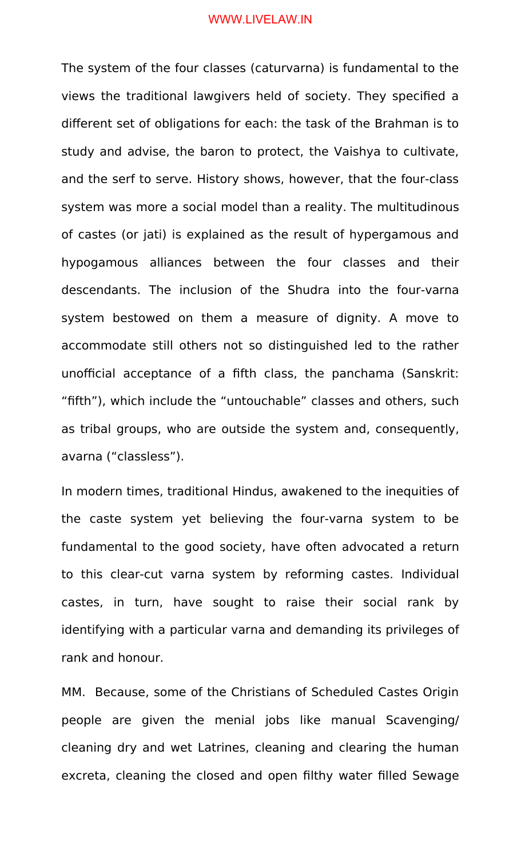The system of the four classes (caturvarna) is fundamental to the views the traditional lawgivers held of society. They specified a different set of obligations for each: the task of the Brahman is to study and advise, the baron to protect, the Vaishya to cultivate, and the serf to serve. History shows, however, that the four-class system was more a social model than a reality. The multitudinous of castes (or jati) is explained as the result of hypergamous and hypogamous alliances between the four classes and their descendants. The inclusion of the Shudra into the four-varna system bestowed on them a measure of dignity. A move to accommodate still others not so distinguished led to the rather unofficial acceptance of a fifth class, the panchama (Sanskrit: "fifth"), which include the "untouchable" classes and others, such as tribal groups, who are outside the system and, consequently, avarna ("classless").

In modern times, traditional Hindus, awakened to the inequities of the caste system yet believing the four-varna system to be fundamental to the good society, have often advocated a return to this clear-cut varna system by reforming castes. Individual castes, in turn, have sought to raise their social rank by identifying with a particular varna and demanding its privileges of rank and honour.

MM. Because, some of the Christians of Scheduled Castes Origin people are given the menial jobs like manual Scavenging/ cleaning dry and wet Latrines, cleaning and clearing the human excreta, cleaning the closed and open filthy water filled Sewage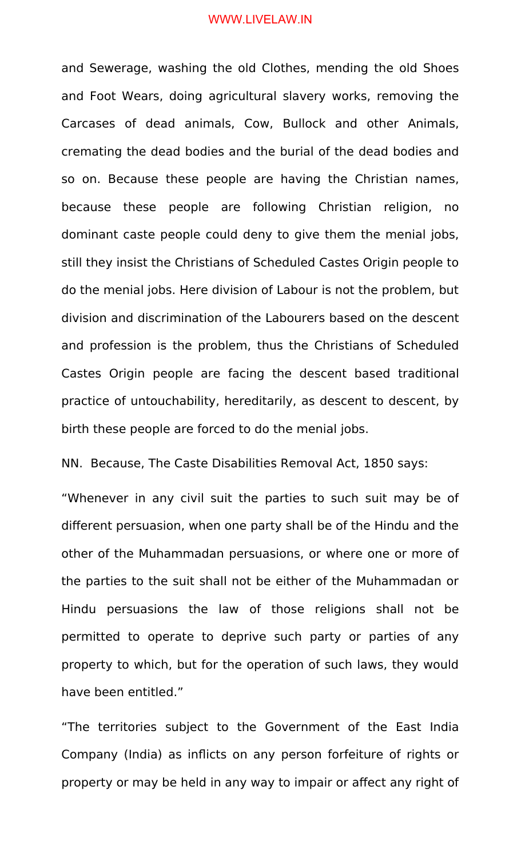and Sewerage, washing the old Clothes, mending the old Shoes and Foot Wears, doing agricultural slavery works, removing the Carcases of dead animals, Cow, Bullock and other Animals, cremating the dead bodies and the burial of the dead bodies and so on. Because these people are having the Christian names, because these people are following Christian religion, no dominant caste people could deny to give them the menial jobs, still they insist the Christians of Scheduled Castes Origin people to do the menial jobs. Here division of Labour is not the problem, but division and discrimination of the Labourers based on the descent and profession is the problem, thus the Christians of Scheduled Castes Origin people are facing the descent based traditional practice of untouchability, hereditarily, as descent to descent, by birth these people are forced to do the menial jobs.

NN. Because, The Caste Disabilities Removal Act, 1850 says:

"Whenever in any civil suit the parties to such suit may be of different persuasion, when one party shall be of the Hindu and the other of the Muhammadan persuasions, or where one or more of the parties to the suit shall not be either of the Muhammadan or Hindu persuasions the law of those religions shall not be permitted to operate to deprive such party or parties of any property to which, but for the operation of such laws, they would have been entitled."

"The territories subject to the Government of the East India Company (India) as inflicts on any person forfeiture of rights or property or may be held in any way to impair or affect any right of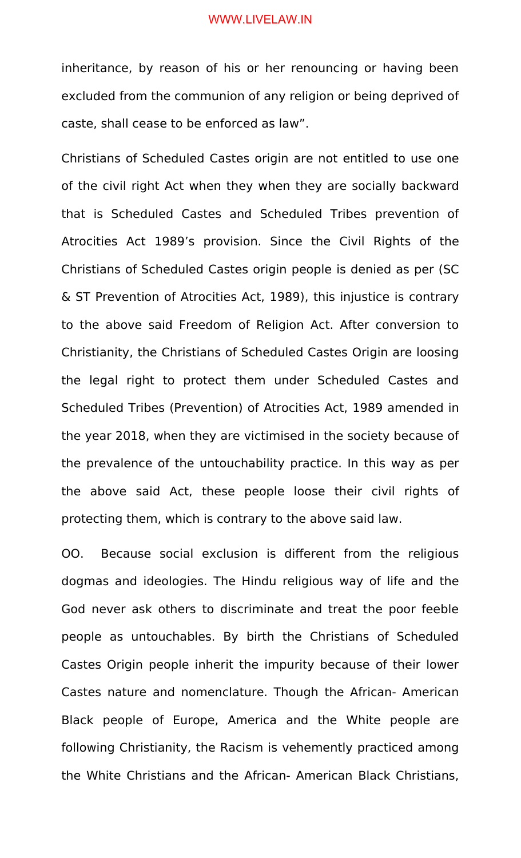inheritance, by reason of his or her renouncing or having been excluded from the communion of any religion or being deprived of caste, shall cease to be enforced as law".

Christians of Scheduled Castes origin are not entitled to use one of the civil right Act when they when they are socially backward that is Scheduled Castes and Scheduled Tribes prevention of Atrocities Act 1989's provision. Since the Civil Rights of the Christians of Scheduled Castes origin people is denied as per (SC & ST Prevention of Atrocities Act, 1989), this injustice is contrary to the above said Freedom of Religion Act. After conversion to Christianity, the Christians of Scheduled Castes Origin are loosing the legal right to protect them under Scheduled Castes and Scheduled Tribes (Prevention) of Atrocities Act, 1989 amended in the year 2018, when they are victimised in the society because of the prevalence of the untouchability practice. In this way as per the above said Act, these people loose their civil rights of protecting them, which is contrary to the above said law.

OO. Because social exclusion is different from the religious dogmas and ideologies. The Hindu religious way of life and the God never ask others to discriminate and treat the poor feeble people as untouchables. By birth the Christians of Scheduled Castes Origin people inherit the impurity because of their lower Castes nature and nomenclature. Though the African- American Black people of Europe, America and the White people are following Christianity, the Racism is vehemently practiced among the White Christians and the African- American Black Christians,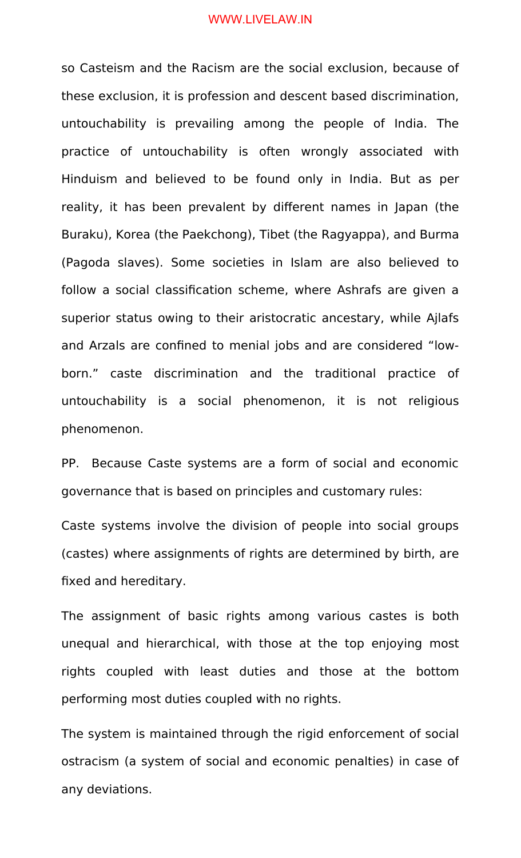so Casteism and the Racism are the social exclusion, because of these exclusion, it is profession and descent based discrimination, untouchability is prevailing among the people of India. The practice of untouchability is often wrongly associated with Hinduism and believed to be found only in India. But as per reality, it has been prevalent by different names in Japan (the Buraku), Korea (the Paekchong), Tibet (the Ragyappa), and Burma (Pagoda slaves). Some societies in Islam are also believed to follow a social classification scheme, where Ashrafs are given a superior status owing to their aristocratic ancestary, while Ajlafs and Arzals are confined to menial jobs and are considered "lowborn." caste discrimination and the traditional practice of untouchability is a social phenomenon, it is not religious phenomenon.

PP. Because Caste systems are a form of social and economic governance that is based on principles and customary rules:

Caste systems involve the division of people into social groups (castes) where assignments of rights are determined by birth, are fixed and hereditary.

The assignment of basic rights among various castes is both unequal and hierarchical, with those at the top enjoying most rights coupled with least duties and those at the bottom performing most duties coupled with no rights.

The system is maintained through the rigid enforcement of social ostracism (a system of social and economic penalties) in case of any deviations.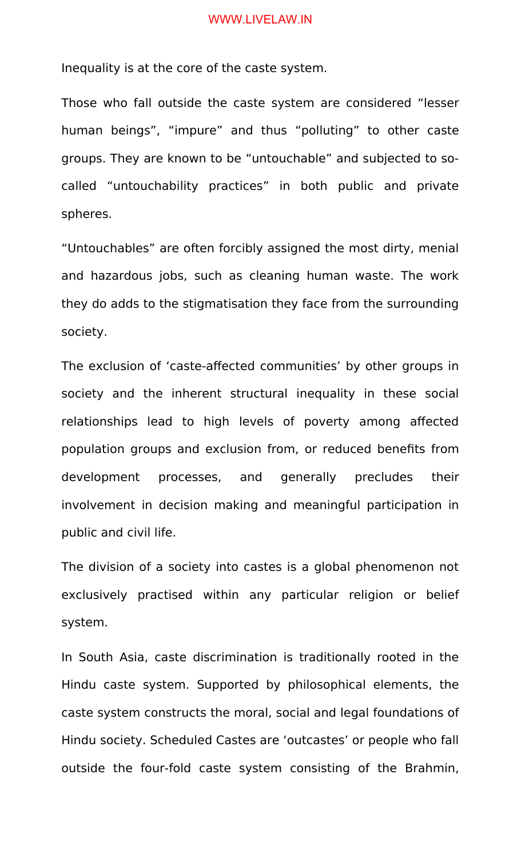Inequality is at the core of the caste system.

Those who fall outside the caste system are considered "lesser human beings", "impure" and thus "polluting" to other caste groups. They are known to be "untouchable" and subjected to socalled "untouchability practices" in both public and private spheres.

"Untouchables" are often forcibly assigned the most dirty, menial and hazardous jobs, such as cleaning human waste. The work they do adds to the stigmatisation they face from the surrounding society.

The exclusion of 'caste-affected communities' by other groups in society and the inherent structural inequality in these social relationships lead to high levels of poverty among affected population groups and exclusion from, or reduced benefits from development processes, and generally precludes their involvement in decision making and meaningful participation in public and civil life.

The division of a society into castes is a global phenomenon not exclusively practised within any particular religion or belief system.

In South Asia, caste discrimination is traditionally rooted in the Hindu caste system. Supported by philosophical elements, the caste system constructs the moral, social and legal foundations of Hindu society. Scheduled Castes are 'outcastes' or people who fall outside the four-fold caste system consisting of the Brahmin,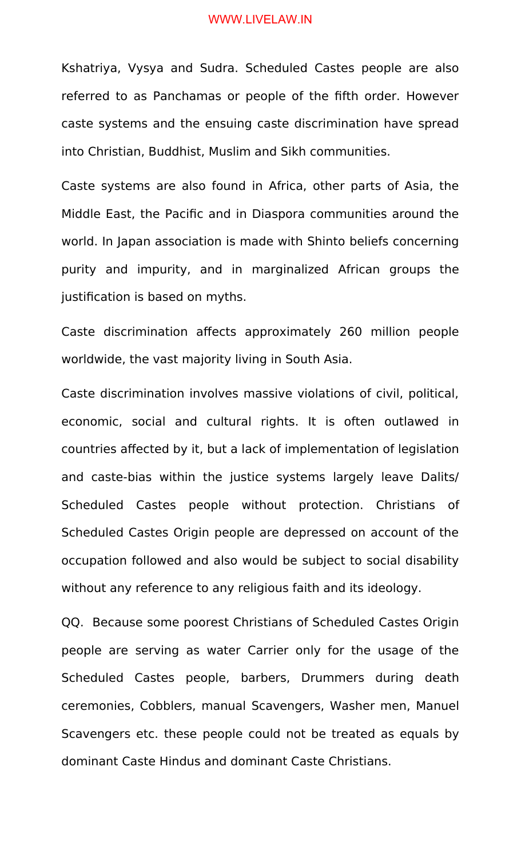Kshatriya, Vysya and Sudra. Scheduled Castes people are also referred to as Panchamas or people of the fifth order. However caste systems and the ensuing caste discrimination have spread into Christian, Buddhist, Muslim and Sikh communities.

Caste systems are also found in Africa, other parts of Asia, the Middle East, the Pacific and in Diaspora communities around the world. In Japan association is made with Shinto beliefs concerning purity and impurity, and in marginalized African groups the justification is based on myths.

Caste discrimination affects approximately 260 million people worldwide, the vast majority living in South Asia.

Caste discrimination involves massive violations of civil, political, economic, social and cultural rights. It is often outlawed in countries affected by it, but a lack of implementation of legislation and caste-bias within the justice systems largely leave Dalits/ Scheduled Castes people without protection. Christians of Scheduled Castes Origin people are depressed on account of the occupation followed and also would be subject to social disability without any reference to any religious faith and its ideology.

QQ. Because some poorest Christians of Scheduled Castes Origin people are serving as water Carrier only for the usage of the Scheduled Castes people, barbers, Drummers during death ceremonies, Cobblers, manual Scavengers, Washer men, Manuel Scavengers etc. these people could not be treated as equals by dominant Caste Hindus and dominant Caste Christians.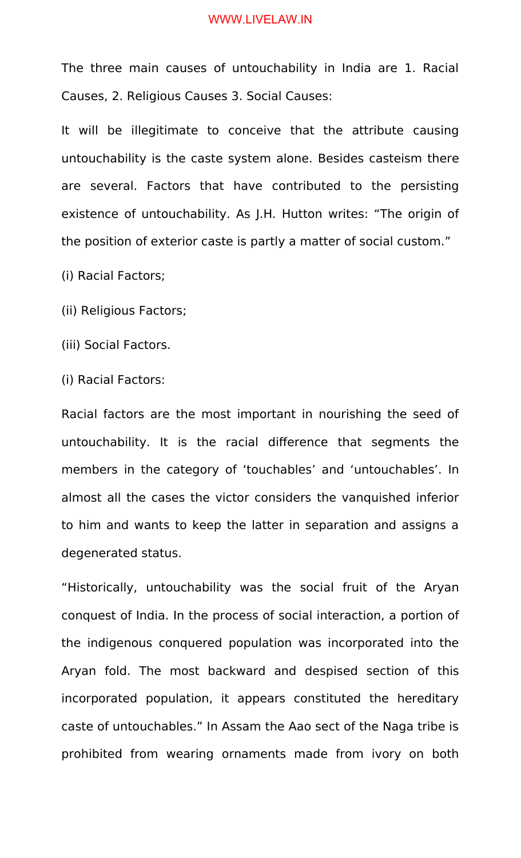The three main causes of untouchability in India are 1. Racial Causes, 2. Religious Causes 3. Social Causes:

It will be illegitimate to conceive that the attribute causing untouchability is the caste system alone. Besides casteism there are several. Factors that have contributed to the persisting existence of untouchability. As J.H. Hutton writes: "The origin of the position of exterior caste is partly a matter of social custom."

(i) Racial Factors;

(ii) Religious Factors;

(iii) Social Factors.

(i) Racial Factors:

Racial factors are the most important in nourishing the seed of untouchability. It is the racial difference that segments the members in the category of 'touchables' and 'untouchables'. In almost all the cases the victor considers the vanquished inferior to him and wants to keep the latter in separation and assigns a degenerated status.

"Historically, untouchability was the social fruit of the Aryan conquest of India. In the process of social interaction, a portion of the indigenous conquered population was incorporated into the Aryan fold. The most backward and despised section of this incorporated population, it appears constituted the hereditary caste of untouchables." In Assam the Aao sect of the Naga tribe is prohibited from wearing ornaments made from ivory on both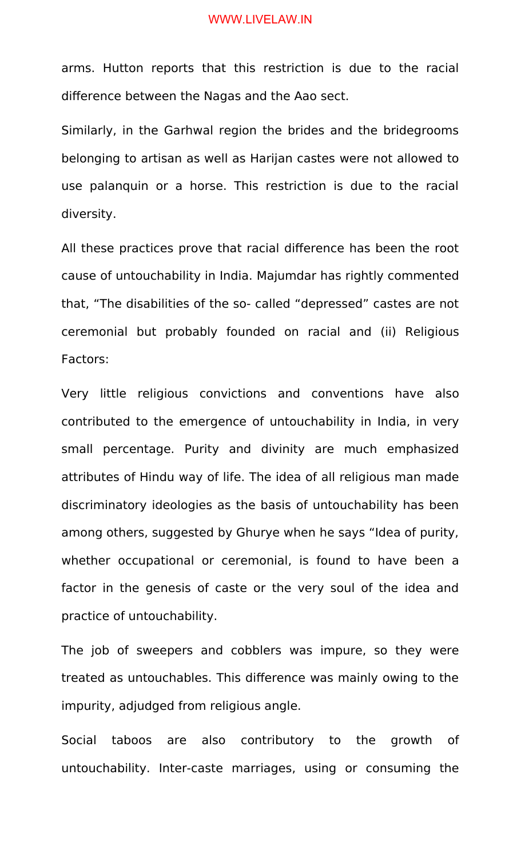arms. Hutton reports that this restriction is due to the racial difference between the Nagas and the Aao sect.

Similarly, in the Garhwal region the brides and the bridegrooms belonging to artisan as well as Harijan castes were not allowed to use palanquin or a horse. This restriction is due to the racial diversity.

All these practices prove that racial difference has been the root cause of untouchability in India. Majumdar has rightly commented that, "The disabilities of the so- called "depressed" castes are not ceremonial but probably founded on racial and (ii) Religious Factors:

Very little religious convictions and conventions have also contributed to the emergence of untouchability in India, in very small percentage. Purity and divinity are much emphasized attributes of Hindu way of life. The idea of all religious man made discriminatory ideologies as the basis of untouchability has been among others, suggested by Ghurye when he says "Idea of purity, whether occupational or ceremonial, is found to have been a factor in the genesis of caste or the very soul of the idea and practice of untouchability.

The job of sweepers and cobblers was impure, so they were treated as untouchables. This difference was mainly owing to the impurity, adjudged from religious angle.

Social taboos are also contributory to the growth of untouchability. Inter-caste marriages, using or consuming the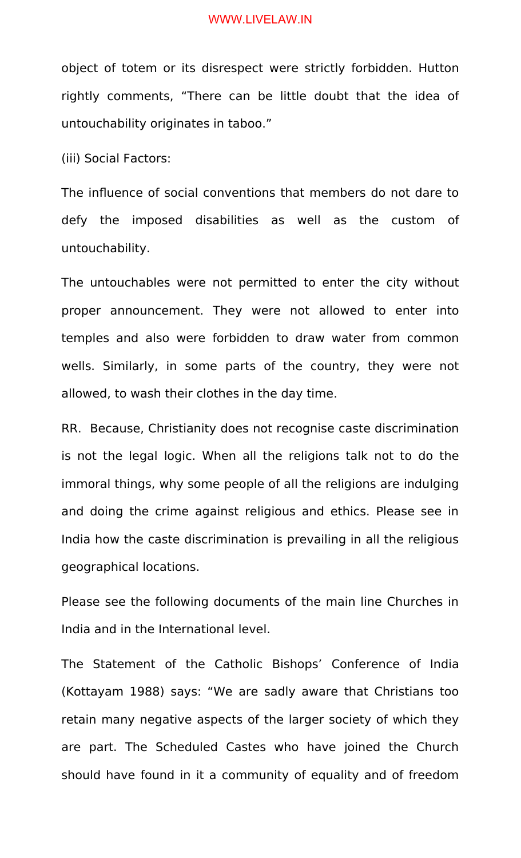object of totem or its disrespect were strictly forbidden. Hutton rightly comments, "There can be little doubt that the idea of untouchability originates in taboo."

(iii) Social Factors:

The influence of social conventions that members do not dare to defy the imposed disabilities as well as the custom of untouchability.

The untouchables were not permitted to enter the city without proper announcement. They were not allowed to enter into temples and also were forbidden to draw water from common wells. Similarly, in some parts of the country, they were not allowed, to wash their clothes in the day time.

RR. Because, Christianity does not recognise caste discrimination is not the legal logic. When all the religions talk not to do the immoral things, why some people of all the religions are indulging and doing the crime against religious and ethics. Please see in India how the caste discrimination is prevailing in all the religious geographical locations.

Please see the following documents of the main line Churches in India and in the International level.

The Statement of the Catholic Bishops' Conference of India (Kottayam 1988) says: "We are sadly aware that Christians too retain many negative aspects of the larger society of which they are part. The Scheduled Castes who have joined the Church should have found in it a community of equality and of freedom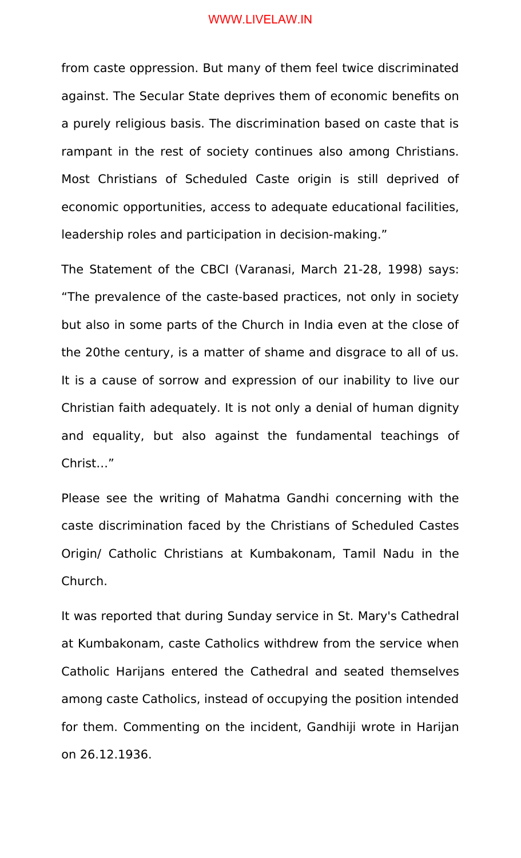from caste oppression. But many of them feel twice discriminated against. The Secular State deprives them of economic benefits on a purely religious basis. The discrimination based on caste that is rampant in the rest of society continues also among Christians. Most Christians of Scheduled Caste origin is still deprived of economic opportunities, access to adequate educational facilities, leadership roles and participation in decision-making."

The Statement of the CBCI (Varanasi, March 21-28, 1998) says: "The prevalence of the caste-based practices, not only in society but also in some parts of the Church in India even at the close of the 20the century, is a matter of shame and disgrace to all of us. It is a cause of sorrow and expression of our inability to live our Christian faith adequately. It is not only a denial of human dignity and equality, but also against the fundamental teachings of Christ…"

Please see the writing of Mahatma Gandhi concerning with the caste discrimination faced by the Christians of Scheduled Castes Origin/ Catholic Christians at Kumbakonam, Tamil Nadu in the Church.

It was reported that during Sunday service in St. Mary's Cathedral at Kumbakonam, caste Catholics withdrew from the service when Catholic Harijans entered the Cathedral and seated themselves among caste Catholics, instead of occupying the position intended for them. Commenting on the incident, Gandhiji wrote in Harijan on 26.12.1936.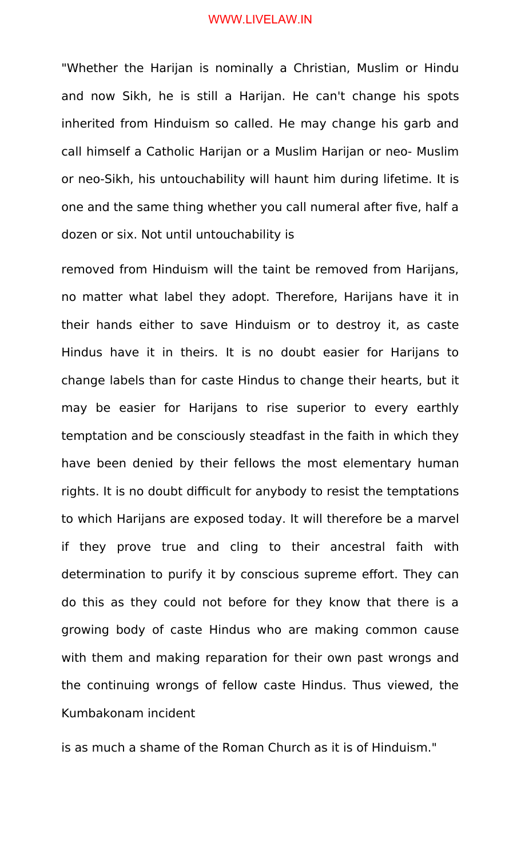"Whether the Harijan is nominally a Christian, Muslim or Hindu and now Sikh, he is still a Harijan. He can't change his spots inherited from Hinduism so called. He may change his garb and call himself a Catholic Harijan or a Muslim Harijan or neo- Muslim or neo-Sikh, his untouchability will haunt him during lifetime. It is one and the same thing whether you call numeral after five, half a dozen or six. Not until untouchability is

removed from Hinduism will the taint be removed from Harijans, no matter what label they adopt. Therefore, Harijans have it in their hands either to save Hinduism or to destroy it, as caste Hindus have it in theirs. It is no doubt easier for Harijans to change labels than for caste Hindus to change their hearts, but it may be easier for Harijans to rise superior to every earthly temptation and be consciously steadfast in the faith in which they have been denied by their fellows the most elementary human rights. It is no doubt difficult for anybody to resist the temptations to which Harijans are exposed today. It will therefore be a marvel if they prove true and cling to their ancestral faith with determination to purify it by conscious supreme effort. They can do this as they could not before for they know that there is a growing body of caste Hindus who are making common cause with them and making reparation for their own past wrongs and the continuing wrongs of fellow caste Hindus. Thus viewed, the Kumbakonam incident

is as much a shame of the Roman Church as it is of Hinduism."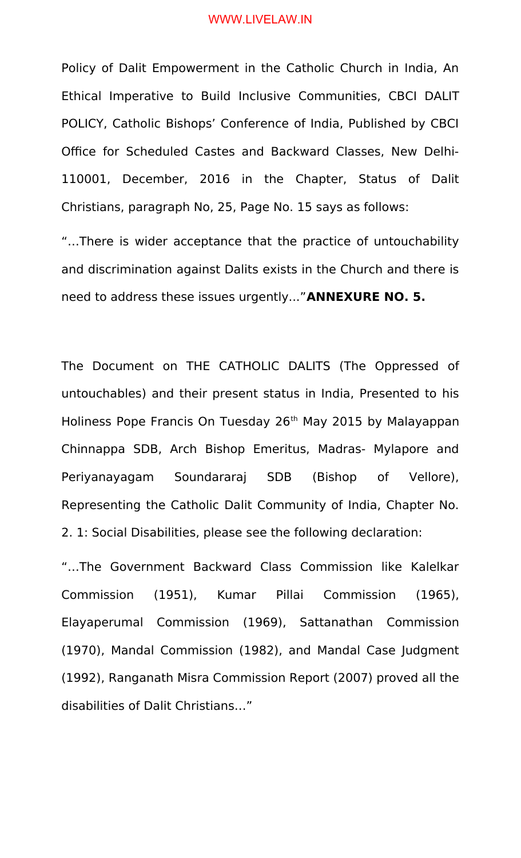Policy of Dalit Empowerment in the Catholic Church in India, An Ethical Imperative to Build Inclusive Communities, CBCI DALIT POLICY, Catholic Bishops' Conference of India, Published by CBCI Office for Scheduled Castes and Backward Classes, New Delhi-110001, December, 2016 in the Chapter, Status of Dalit Christians, paragraph No, 25, Page No. 15 says as follows:

"…There is wider acceptance that the practice of untouchability and discrimination against Dalits exists in the Church and there is need to address these issues urgently..."**ANNEXURE NO. 5.**

The Document on THE CATHOLIC DALITS (The Oppressed of untouchables) and their present status in India, Presented to his Holiness Pope Francis On Tuesday 26<sup>th</sup> May 2015 by Malayappan Chinnappa SDB, Arch Bishop Emeritus, Madras- Mylapore and Periyanayagam Soundararaj SDB (Bishop of Vellore), Representing the Catholic Dalit Community of India, Chapter No. 2. 1: Social Disabilities, please see the following declaration:

"…The Government Backward Class Commission like Kalelkar Commission (1951), Kumar Pillai Commission (1965), Elayaperumal Commission (1969), Sattanathan Commission (1970), Mandal Commission (1982), and Mandal Case Judgment (1992), Ranganath Misra Commission Report (2007) proved all the disabilities of Dalit Christians…"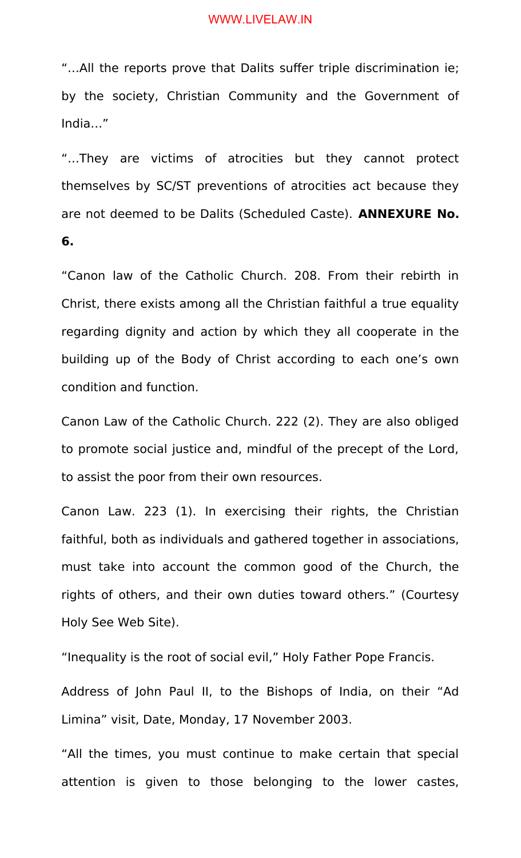"…All the reports prove that Dalits suffer triple discrimination ie; by the society, Christian Community and the Government of India…"

"…They are victims of atrocities but they cannot protect themselves by SC/ST preventions of atrocities act because they are not deemed to be Dalits (Scheduled Caste). **ANNEXURE No. 6.**

"Canon law of the Catholic Church. 208. From their rebirth in Christ, there exists among all the Christian faithful a true equality regarding dignity and action by which they all cooperate in the building up of the Body of Christ according to each one's own condition and function.

Canon Law of the Catholic Church. 222 (2). They are also obliged to promote social justice and, mindful of the precept of the Lord, to assist the poor from their own resources.

Canon Law. 223 (1). In exercising their rights, the Christian faithful, both as individuals and gathered together in associations, must take into account the common good of the Church, the rights of others, and their own duties toward others." (Courtesy Holy See Web Site).

"Inequality is the root of social evil," Holy Father Pope Francis.

Address of John Paul II, to the Bishops of India, on their "Ad Limina" visit, Date, Monday, 17 November 2003.

"All the times, you must continue to make certain that special attention is given to those belonging to the lower castes,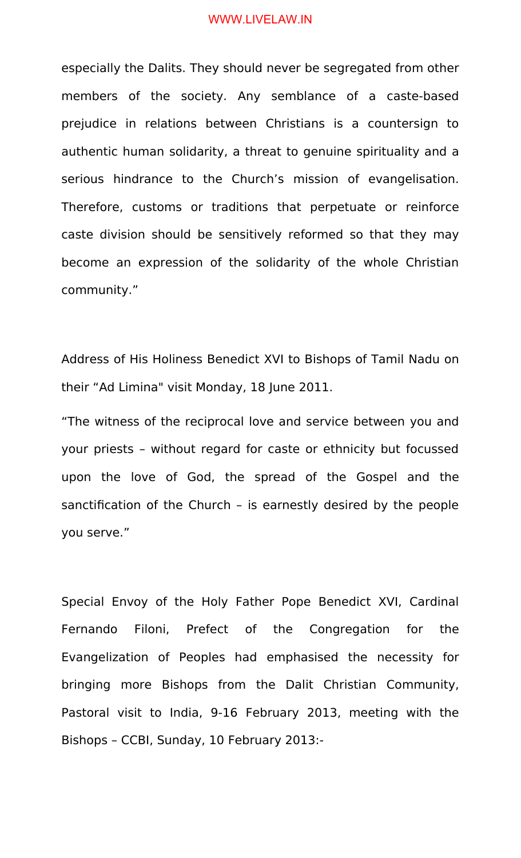especially the Dalits. They should never be segregated from other members of the society. Any semblance of a caste-based prejudice in relations between Christians is a countersign to authentic human solidarity, a threat to genuine spirituality and a serious hindrance to the Church's mission of evangelisation. Therefore, customs or traditions that perpetuate or reinforce caste division should be sensitively reformed so that they may become an expression of the solidarity of the whole Christian community."

Address of His Holiness Benedict XVI to Bishops of Tamil Nadu on their "Ad Limina" visit Monday, 18 June 2011.

"The witness of the reciprocal love and service between you and your priests – without regard for caste or ethnicity but focussed upon the love of God, the spread of the Gospel and the sanctification of the Church – is earnestly desired by the people you serve."

Special Envoy of the Holy Father Pope Benedict XVI, Cardinal Fernando Filoni, Prefect of the Congregation for the Evangelization of Peoples had emphasised the necessity for bringing more Bishops from the Dalit Christian Community, Pastoral visit to India, 9-16 February 2013, meeting with the Bishops – CCBI, Sunday, 10 February 2013:-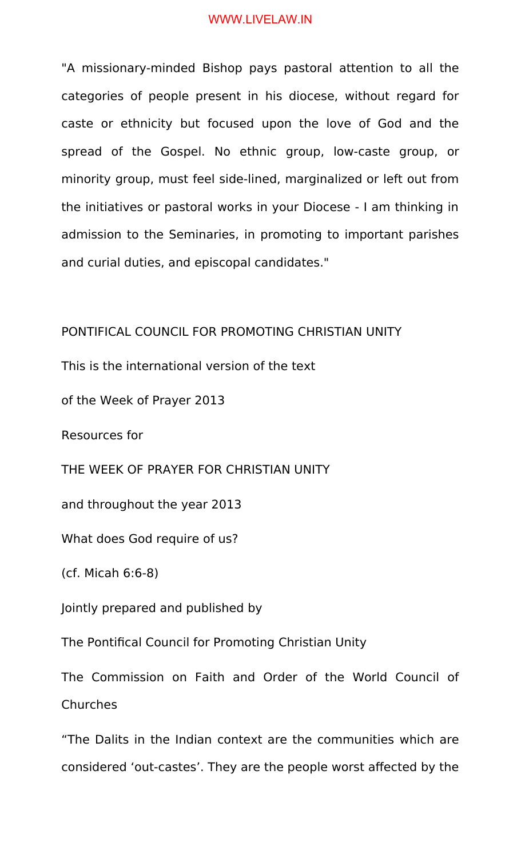"A missionary-minded Bishop pays pastoral attention to all the categories of people present in his diocese, without regard for caste or ethnicity but focused upon the love of God and the spread of the Gospel. No ethnic group, low-caste group, or minority group, must feel side-lined, marginalized or left out from the initiatives or pastoral works in your Diocese - I am thinking in admission to the Seminaries, in promoting to important parishes and curial duties, and episcopal candidates."

# PONTIFICAL COUNCIL FOR PROMOTING CHRISTIAN UNITY

This is the international version of the text

of the Week of Prayer 2013

Resources for

THE WEEK OF PRAYER FOR CHRISTIAN UNITY

and throughout the year 2013

What does God require of us?

(cf. Micah 6:6-8)

Jointly prepared and published by

The Pontifical Council for Promoting Christian Unity

The Commission on Faith and Order of the World Council of **Churches** 

"The Dalits in the Indian context are the communities which are considered 'out-castes'. They are the people worst affected by the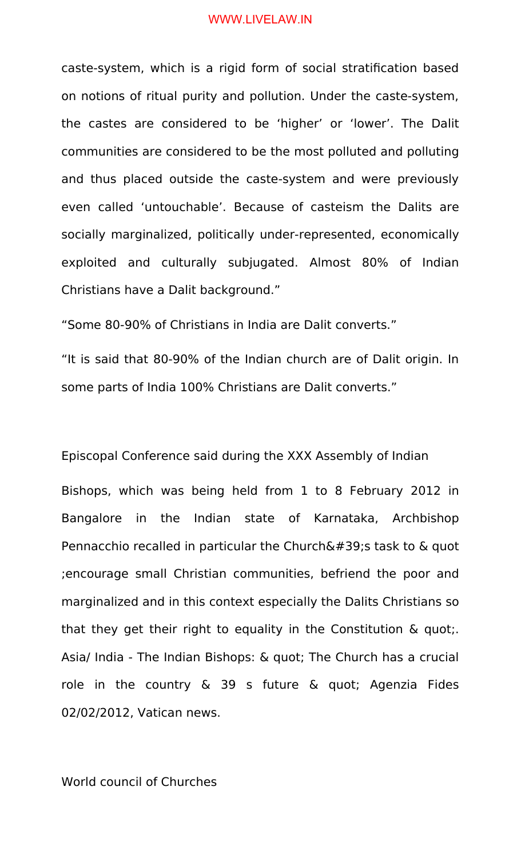caste-system, which is a rigid form of social stratification based on notions of ritual purity and pollution. Under the caste-system, the castes are considered to be 'higher' or 'lower'. The Dalit communities are considered to be the most polluted and polluting and thus placed outside the caste-system and were previously even called 'untouchable'. Because of casteism the Dalits are socially marginalized, politically under-represented, economically exploited and culturally subjugated. Almost 80% of Indian Christians have a Dalit background."

"Some 80-90% of Christians in India are Dalit converts."

"It is said that 80-90% of the Indian church are of Dalit origin. In some parts of India 100% Christians are Dalit converts."

Episcopal Conference said during the XXX Assembly of Indian Bishops, which was being held from 1 to 8 February 2012 in Bangalore in the Indian state of Karnataka, Archbishop Pennacchio recalled in particular the Church $\&\#39$ ; task to  $\&$  quot ;encourage small Christian communities, befriend the poor and marginalized and in this context especially the Dalits Christians so that they get their right to equality in the Constitution & quot;. Asia/ India - The Indian Bishops: & quot; The Church has a crucial role in the country & 39 s future & quot; Agenzia Fides 02/02/2012, Vatican news.

## World council of Churches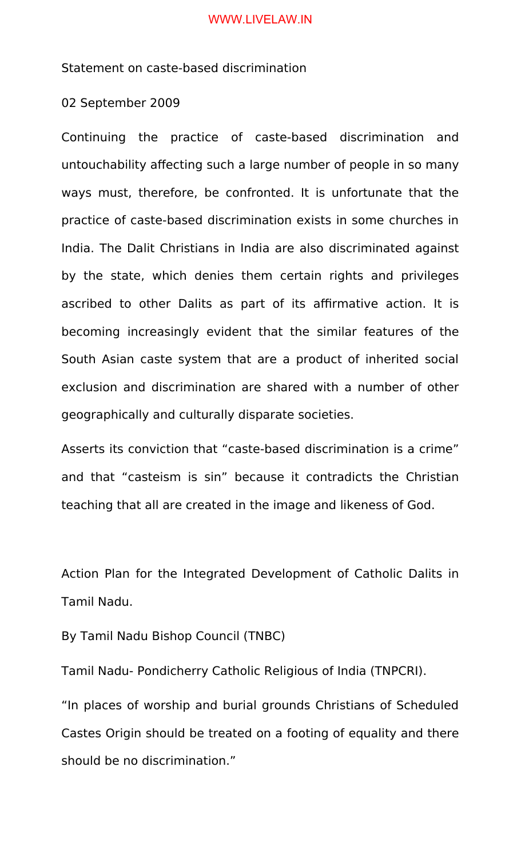Statement on caste-based discrimination

02 September 2009

Continuing the practice of caste-based discrimination and untouchability affecting such a large number of people in so many ways must, therefore, be confronted. It is unfortunate that the practice of caste-based discrimination exists in some churches in India. The Dalit Christians in India are also discriminated against by the state, which denies them certain rights and privileges ascribed to other Dalits as part of its affirmative action. It is becoming increasingly evident that the similar features of the South Asian caste system that are a product of inherited social exclusion and discrimination are shared with a number of other geographically and culturally disparate societies.

Asserts its conviction that "caste-based discrimination is a crime" and that "casteism is sin" because it contradicts the Christian teaching that all are created in the image and likeness of God.

Action Plan for the Integrated Development of Catholic Dalits in Tamil Nadu.

By Tamil Nadu Bishop Council (TNBC)

Tamil Nadu- Pondicherry Catholic Religious of India (TNPCRI).

"In places of worship and burial grounds Christians of Scheduled Castes Origin should be treated on a footing of equality and there should be no discrimination."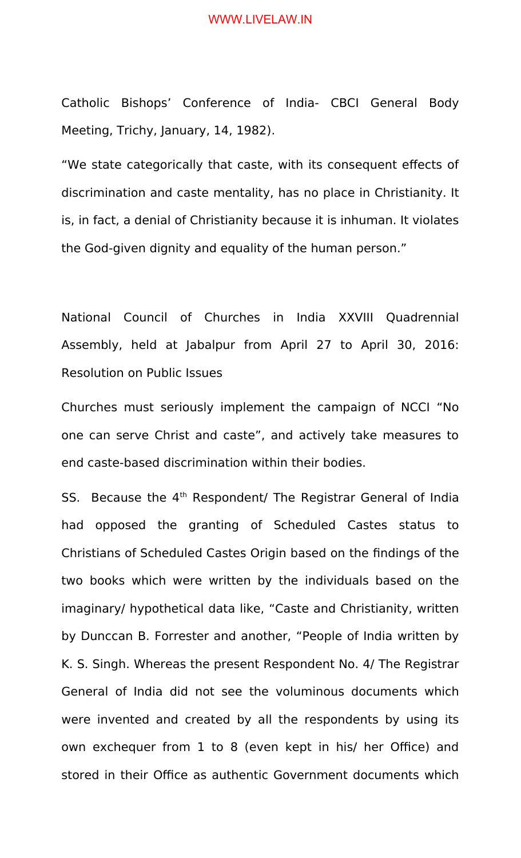Catholic Bishops' Conference of India- CBCI General Body Meeting, Trichy, January, 14, 1982).

"We state categorically that caste, with its consequent effects of discrimination and caste mentality, has no place in Christianity. It is, in fact, a denial of Christianity because it is inhuman. It violates the God-given dignity and equality of the human person."

National Council of Churches in India XXVIII Quadrennial Assembly, held at Jabalpur from April 27 to April 30, 2016: Resolution on Public Issues

Churches must seriously implement the campaign of NCCI "No one can serve Christ and caste", and actively take measures to end caste-based discrimination within their bodies.

SS. Because the 4<sup>th</sup> Respondent/ The Registrar General of India had opposed the granting of Scheduled Castes status to Christians of Scheduled Castes Origin based on the findings of the two books which were written by the individuals based on the imaginary/ hypothetical data like, "Caste and Christianity, written by Dunccan B. Forrester and another, "People of India written by K. S. Singh. Whereas the present Respondent No. 4/ The Registrar General of India did not see the voluminous documents which were invented and created by all the respondents by using its own exchequer from 1 to 8 (even kept in his/ her Office) and stored in their Office as authentic Government documents which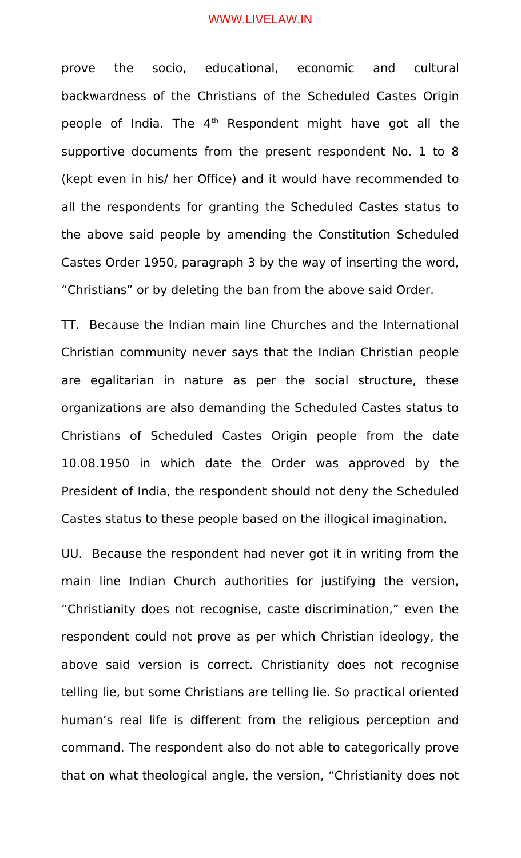prove the socio, educational, economic and cultural backwardness of the Christians of the Scheduled Castes Origin people of India. The 4<sup>th</sup> Respondent might have got all the supportive documents from the present respondent No. 1 to 8 (kept even in his/ her Office) and it would have recommended to all the respondents for granting the Scheduled Castes status to the above said people by amending the Constitution Scheduled Castes Order 1950, paragraph 3 by the way of inserting the word, "Christians" or by deleting the ban from the above said Order.

TT. Because the Indian main line Churches and the International Christian community never says that the Indian Christian people are egalitarian in nature as per the social structure, these organizations are also demanding the Scheduled Castes status to Christians of Scheduled Castes Origin people from the date 10.08.1950 in which date the Order was approved by the President of India, the respondent should not deny the Scheduled Castes status to these people based on the illogical imagination.

UU. Because the respondent had never got it in writing from the main line Indian Church authorities for justifying the version, "Christianity does not recognise, caste discrimination," even the respondent could not prove as per which Christian ideology, the above said version is correct. Christianity does not recognise telling lie, but some Christians are telling lie. So practical oriented human's real life is different from the religious perception and command. The respondent also do not able to categorically prove that on what theological angle, the version, "Christianity does not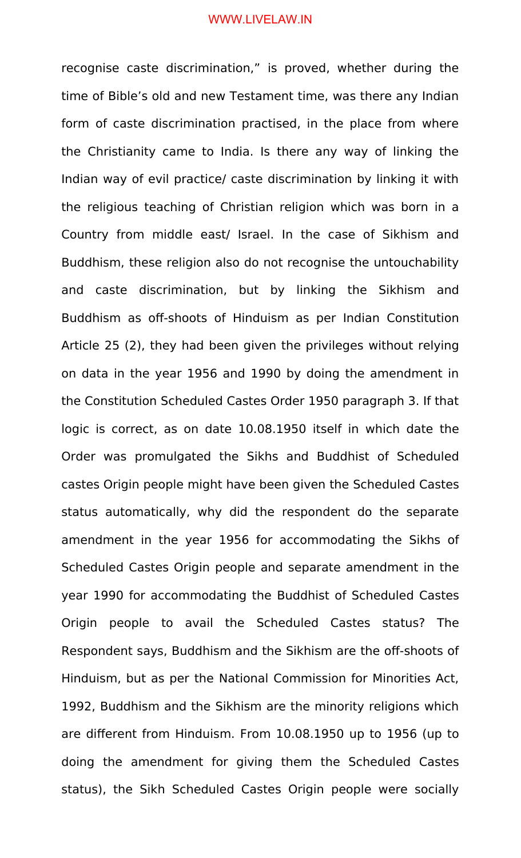recognise caste discrimination," is proved, whether during the time of Bible's old and new Testament time, was there any Indian form of caste discrimination practised, in the place from where the Christianity came to India. Is there any way of linking the Indian way of evil practice/ caste discrimination by linking it with the religious teaching of Christian religion which was born in a Country from middle east/ Israel. In the case of Sikhism and Buddhism, these religion also do not recognise the untouchability and caste discrimination, but by linking the Sikhism and Buddhism as off-shoots of Hinduism as per Indian Constitution Article 25 (2), they had been given the privileges without relying on data in the year 1956 and 1990 by doing the amendment in the Constitution Scheduled Castes Order 1950 paragraph 3. If that logic is correct, as on date 10.08.1950 itself in which date the Order was promulgated the Sikhs and Buddhist of Scheduled castes Origin people might have been given the Scheduled Castes status automatically, why did the respondent do the separate amendment in the year 1956 for accommodating the Sikhs of Scheduled Castes Origin people and separate amendment in the year 1990 for accommodating the Buddhist of Scheduled Castes Origin people to avail the Scheduled Castes status? The Respondent says, Buddhism and the Sikhism are the off-shoots of Hinduism, but as per the National Commission for Minorities Act, 1992, Buddhism and the Sikhism are the minority religions which are different from Hinduism. From 10.08.1950 up to 1956 (up to doing the amendment for giving them the Scheduled Castes status), the Sikh Scheduled Castes Origin people were socially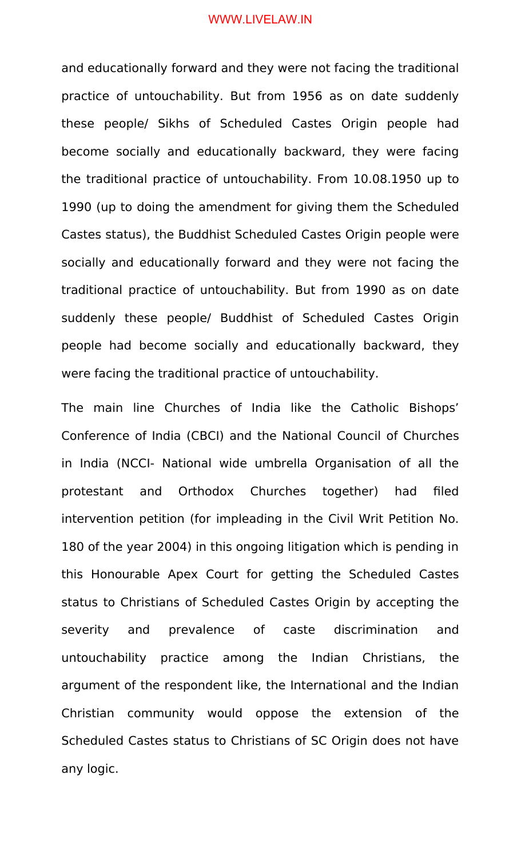and educationally forward and they were not facing the traditional practice of untouchability. But from 1956 as on date suddenly these people/ Sikhs of Scheduled Castes Origin people had become socially and educationally backward, they were facing the traditional practice of untouchability. From 10.08.1950 up to 1990 (up to doing the amendment for giving them the Scheduled Castes status), the Buddhist Scheduled Castes Origin people were socially and educationally forward and they were not facing the traditional practice of untouchability. But from 1990 as on date suddenly these people/ Buddhist of Scheduled Castes Origin people had become socially and educationally backward, they were facing the traditional practice of untouchability.

The main line Churches of India like the Catholic Bishops' Conference of India (CBCI) and the National Council of Churches in India (NCCI- National wide umbrella Organisation of all the protestant and Orthodox Churches together) had filed intervention petition (for impleading in the Civil Writ Petition No. 180 of the year 2004) in this ongoing litigation which is pending in this Honourable Apex Court for getting the Scheduled Castes status to Christians of Scheduled Castes Origin by accepting the severity and prevalence of caste discrimination and untouchability practice among the Indian Christians, the argument of the respondent like, the International and the Indian Christian community would oppose the extension of the Scheduled Castes status to Christians of SC Origin does not have any logic.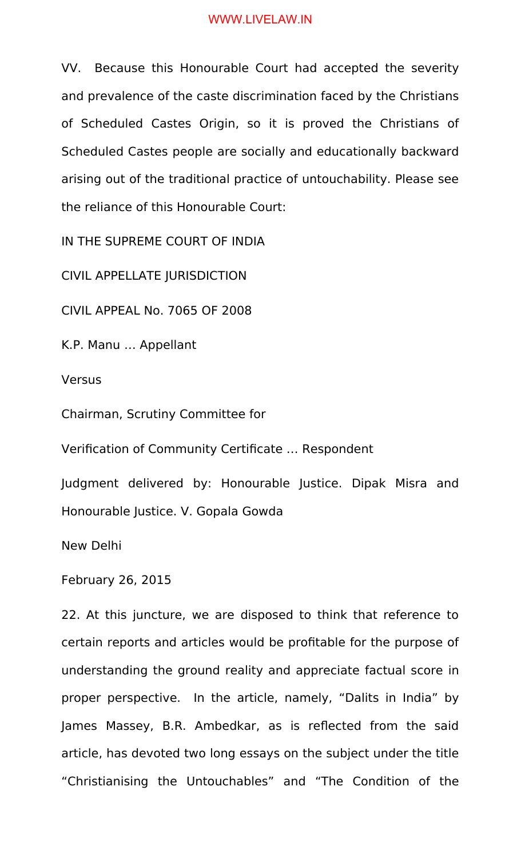VV. Because this Honourable Court had accepted the severity and prevalence of the caste discrimination faced by the Christians of Scheduled Castes Origin, so it is proved the Christians of Scheduled Castes people are socially and educationally backward arising out of the traditional practice of untouchability. Please see the reliance of this Honourable Court:

IN THE SUPREME COURT OF INDIA

CIVIL APPELLATE JURISDICTION

CIVIL APPEAL No. 7065 OF 2008

K.P. Manu … Appellant

**Versus** 

Chairman, Scrutiny Committee for

Verification of Community Certificate … Respondent

Judgment delivered by: Honourable Justice. Dipak Misra and Honourable Justice. V. Gopala Gowda

New Delhi

February 26, 2015

22. At this juncture, we are disposed to think that reference to certain reports and articles would be profitable for the purpose of understanding the ground reality and appreciate factual score in proper perspective. In the article, namely, "Dalits in India" by James Massey, B.R. Ambedkar, as is reflected from the said article, has devoted two long essays on the subject under the title "Christianising the Untouchables" and "The Condition of the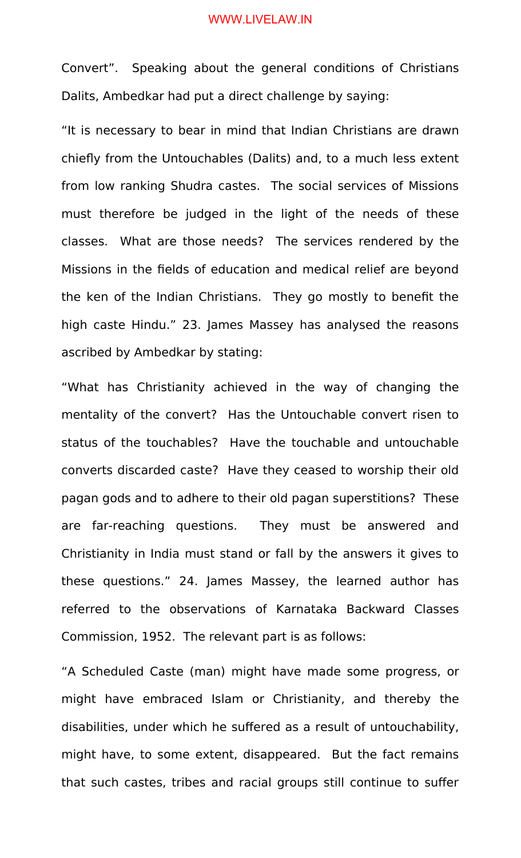Convert". Speaking about the general conditions of Christians Dalits, Ambedkar had put a direct challenge by saying:

"It is necessary to bear in mind that Indian Christians are drawn chiefly from the Untouchables (Dalits) and, to a much less extent from low ranking Shudra castes. The social services of Missions must therefore be judged in the light of the needs of these classes. What are those needs? The services rendered by the Missions in the fields of education and medical relief are beyond the ken of the Indian Christians. They go mostly to benefit the high caste Hindu." 23. James Massey has analysed the reasons ascribed by Ambedkar by stating:

"What has Christianity achieved in the way of changing the mentality of the convert? Has the Untouchable convert risen to status of the touchables? Have the touchable and untouchable converts discarded caste? Have they ceased to worship their old pagan gods and to adhere to their old pagan superstitions? These are far-reaching questions. They must be answered and Christianity in India must stand or fall by the answers it gives to these questions." 24. James Massey, the learned author has referred to the observations of Karnataka Backward Classes Commission, 1952. The relevant part is as follows:

"A Scheduled Caste (man) might have made some progress, or might have embraced Islam or Christianity, and thereby the disabilities, under which he suffered as a result of untouchability, might have, to some extent, disappeared. But the fact remains that such castes, tribes and racial groups still continue to suffer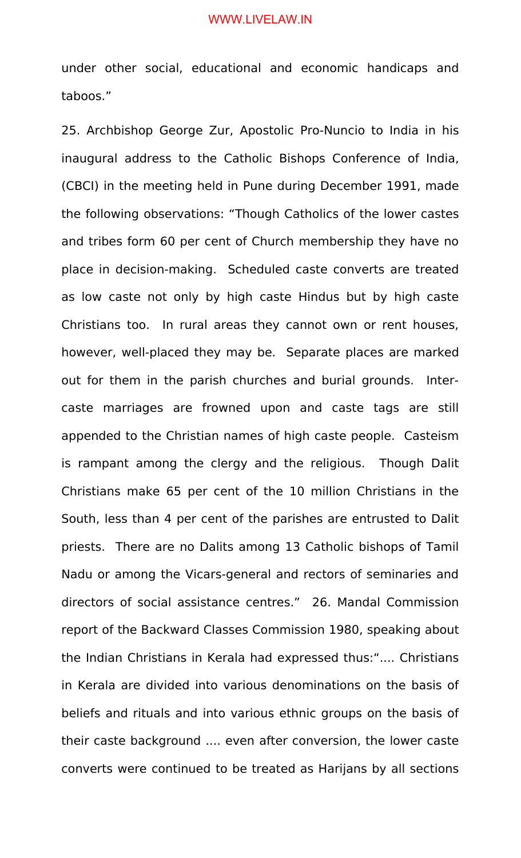under other social, educational and economic handicaps and taboos."

25. Archbishop George Zur, Apostolic Pro-Nuncio to India in his inaugural address to the Catholic Bishops Conference of India, (CBCI) in the meeting held in Pune during December 1991, made the following observations: "Though Catholics of the lower castes and tribes form 60 per cent of Church membership they have no place in decision-making. Scheduled caste converts are treated as low caste not only by high caste Hindus but by high caste Christians too. In rural areas they cannot own or rent houses, however, well-placed they may be. Separate places are marked out for them in the parish churches and burial grounds. Intercaste marriages are frowned upon and caste tags are still appended to the Christian names of high caste people. Casteism is rampant among the clergy and the religious. Though Dalit Christians make 65 per cent of the 10 million Christians in the South, less than 4 per cent of the parishes are entrusted to Dalit priests. There are no Dalits among 13 Catholic bishops of Tamil Nadu or among the Vicars-general and rectors of seminaries and directors of social assistance centres." 26. Mandal Commission report of the Backward Classes Commission 1980, speaking about the Indian Christians in Kerala had expressed thus:".... Christians in Kerala are divided into various denominations on the basis of beliefs and rituals and into various ethnic groups on the basis of their caste background .... even after conversion, the lower caste converts were continued to be treated as Harijans by all sections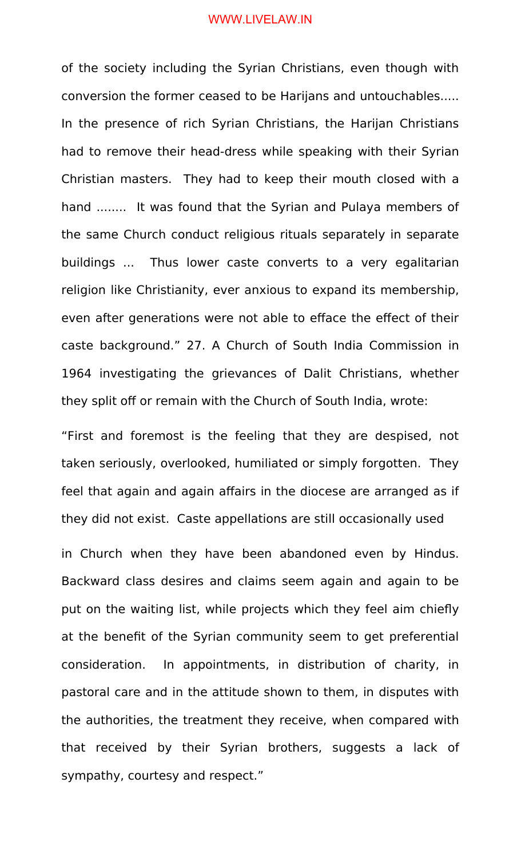of the society including the Syrian Christians, even though with conversion the former ceased to be Harijans and untouchables..... In the presence of rich Syrian Christians, the Harijan Christians had to remove their head-dress while speaking with their Syrian Christian masters. They had to keep their mouth closed with a hand ........ It was found that the Syrian and Pulaya members of the same Church conduct religious rituals separately in separate buildings ... Thus lower caste converts to a very egalitarian religion like Christianity, ever anxious to expand its membership, even after generations were not able to efface the effect of their caste background." 27. A Church of South India Commission in 1964 investigating the grievances of Dalit Christians, whether they split off or remain with the Church of South India, wrote:

"First and foremost is the feeling that they are despised, not taken seriously, overlooked, humiliated or simply forgotten. They feel that again and again affairs in the diocese are arranged as if they did not exist. Caste appellations are still occasionally used

in Church when they have been abandoned even by Hindus. Backward class desires and claims seem again and again to be put on the waiting list, while projects which they feel aim chiefly at the benefit of the Syrian community seem to get preferential consideration. In appointments, in distribution of charity, in pastoral care and in the attitude shown to them, in disputes with the authorities, the treatment they receive, when compared with that received by their Syrian brothers, suggests a lack of sympathy, courtesy and respect."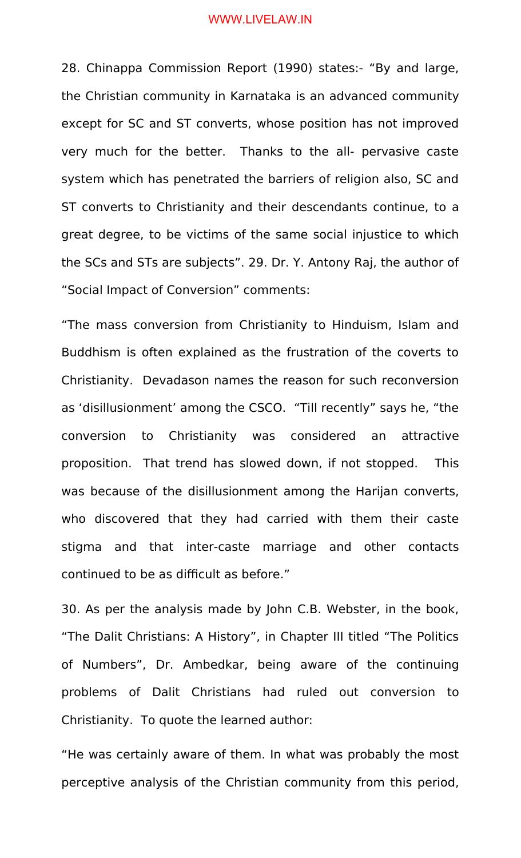28. Chinappa Commission Report (1990) states:- "By and large, the Christian community in Karnataka is an advanced community except for SC and ST converts, whose position has not improved very much for the better. Thanks to the all- pervasive caste system which has penetrated the barriers of religion also, SC and ST converts to Christianity and their descendants continue, to a great degree, to be victims of the same social injustice to which the SCs and STs are subjects". 29. Dr. Y. Antony Raj, the author of "Social Impact of Conversion" comments:

"The mass conversion from Christianity to Hinduism, Islam and Buddhism is often explained as the frustration of the coverts to Christianity. Devadason names the reason for such reconversion as 'disillusionment' among the CSCO. "Till recently" says he, "the conversion to Christianity was considered an attractive proposition. That trend has slowed down, if not stopped. This was because of the disillusionment among the Harijan converts, who discovered that they had carried with them their caste stigma and that inter-caste marriage and other contacts continued to be as difficult as before."

30. As per the analysis made by John C.B. Webster, in the book, "The Dalit Christians: A History", in Chapter III titled "The Politics of Numbers", Dr. Ambedkar, being aware of the continuing problems of Dalit Christians had ruled out conversion to Christianity. To quote the learned author:

"He was certainly aware of them. In what was probably the most perceptive analysis of the Christian community from this period,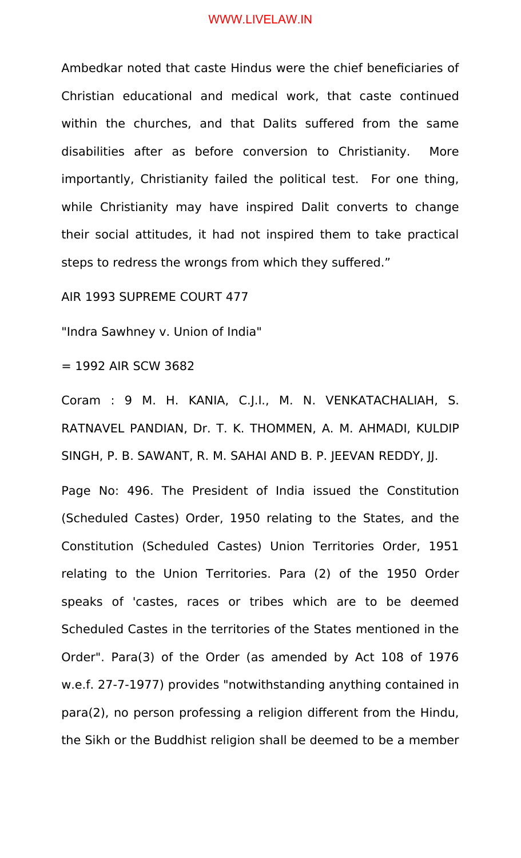Ambedkar noted that caste Hindus were the chief beneficiaries of Christian educational and medical work, that caste continued within the churches, and that Dalits suffered from the same disabilities after as before conversion to Christianity. More importantly, Christianity failed the political test. For one thing, while Christianity may have inspired Dalit converts to change their social attitudes, it had not inspired them to take practical steps to redress the wrongs from which they suffered."

AIR 1993 SUPREME COURT 477

"Indra Sawhney v. Union of India"

= 1992 AIR SCW 3682

Coram : 9 M. H. KANIA, C.J.I., M. N. VENKATACHALIAH, S. RATNAVEL PANDIAN, Dr. T. K. THOMMEN, A. M. AHMADI, KULDIP SINGH, P. B. SAWANT, R. M. SAHAI AND B. P. JEEVAN REDDY, JJ.

Page No: 496. The President of India issued the Constitution (Scheduled Castes) Order, 1950 relating to the States, and the Constitution (Scheduled Castes) Union Territories Order, 1951 relating to the Union Territories. Para (2) of the 1950 Order speaks of 'castes, races or tribes which are to be deemed Scheduled Castes in the territories of the States mentioned in the Order". Para(3) of the Order (as amended by Act 108 of 1976 w.e.f. 27-7-1977) provides "notwithstanding anything contained in para(2), no person professing a religion different from the Hindu, the Sikh or the Buddhist religion shall be deemed to be a member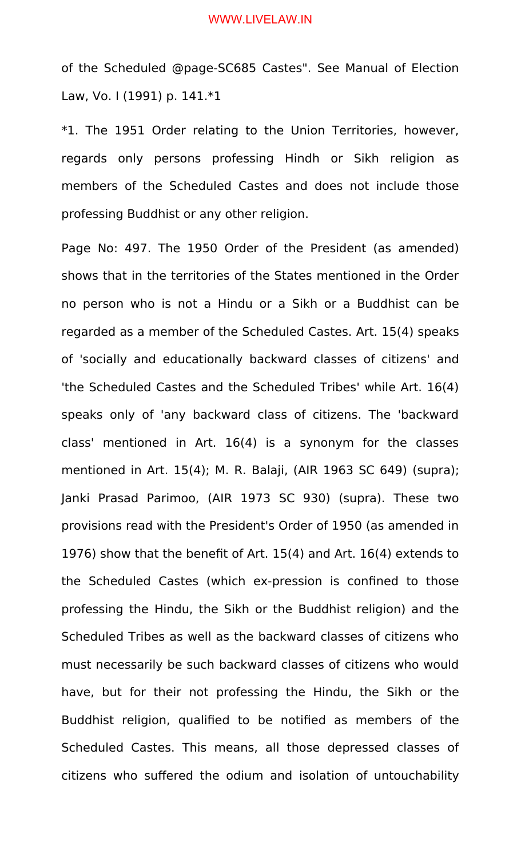of the Scheduled @page-SC685 Castes". See Manual of Election Law, Vo. I (1991) p. 141.\*1

\*1. The 1951 Order relating to the Union Territories, however, regards only persons professing Hindh or Sikh religion as members of the Scheduled Castes and does not include those professing Buddhist or any other religion.

Page No: 497. The 1950 Order of the President (as amended) shows that in the territories of the States mentioned in the Order no person who is not a Hindu or a Sikh or a Buddhist can be regarded as a member of the Scheduled Castes. Art. 15(4) speaks of 'socially and educationally backward classes of citizens' and 'the Scheduled Castes and the Scheduled Tribes' while Art. 16(4) speaks only of 'any backward class of citizens. The 'backward class' mentioned in Art. 16(4) is a synonym for the classes mentioned in Art. 15(4); M. R. Balaji, (AIR 1963 SC 649) (supra); Janki Prasad Parimoo, (AIR 1973 SC 930) (supra). These two provisions read with the President's Order of 1950 (as amended in 1976) show that the benefit of Art. 15(4) and Art. 16(4) extends to the Scheduled Castes (which ex-pression is confined to those professing the Hindu, the Sikh or the Buddhist religion) and the Scheduled Tribes as well as the backward classes of citizens who must necessarily be such backward classes of citizens who would have, but for their not professing the Hindu, the Sikh or the Buddhist religion, qualified to be notified as members of the Scheduled Castes. This means, all those depressed classes of citizens who suffered the odium and isolation of untouchability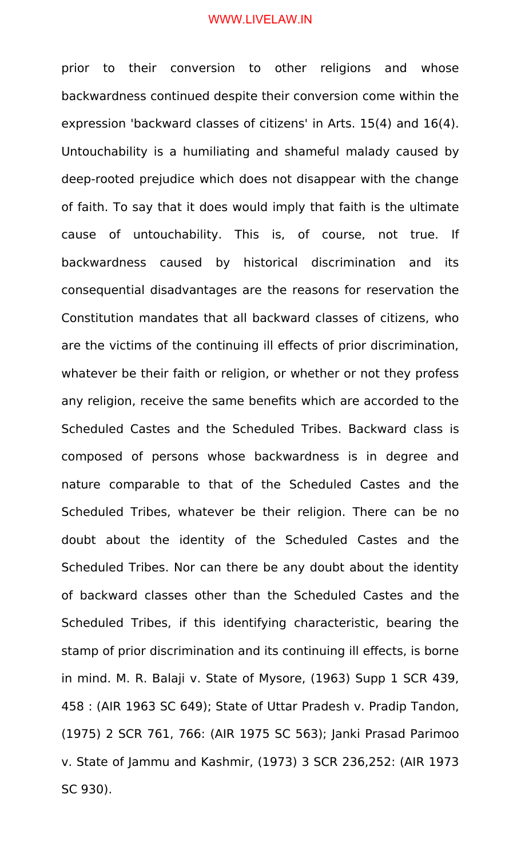prior to their conversion to other religions and whose backwardness continued despite their conversion come within the expression 'backward classes of citizens' in Arts. 15(4) and 16(4). Untouchability is a humiliating and shameful malady caused by deep-rooted prejudice which does not disappear with the change of faith. To say that it does would imply that faith is the ultimate cause of untouchability. This is, of course, not true. If backwardness caused by historical discrimination and its consequential disadvantages are the reasons for reservation the Constitution mandates that all backward classes of citizens, who are the victims of the continuing ill effects of prior discrimination, whatever be their faith or religion, or whether or not they profess any religion, receive the same benefits which are accorded to the Scheduled Castes and the Scheduled Tribes. Backward class is composed of persons whose backwardness is in degree and nature comparable to that of the Scheduled Castes and the Scheduled Tribes, whatever be their religion. There can be no doubt about the identity of the Scheduled Castes and the Scheduled Tribes. Nor can there be any doubt about the identity of backward classes other than the Scheduled Castes and the Scheduled Tribes, if this identifying characteristic, bearing the stamp of prior discrimination and its continuing ill effects, is borne in mind. M. R. Balaji v. State of Mysore, (1963) Supp 1 SCR 439, 458 : (AIR 1963 SC 649); State of Uttar Pradesh v. Pradip Tandon, (1975) 2 SCR 761, 766: (AIR 1975 SC 563); Janki Prasad Parimoo v. State of Jammu and Kashmir, (1973) 3 SCR 236,252: (AIR 1973 SC 930).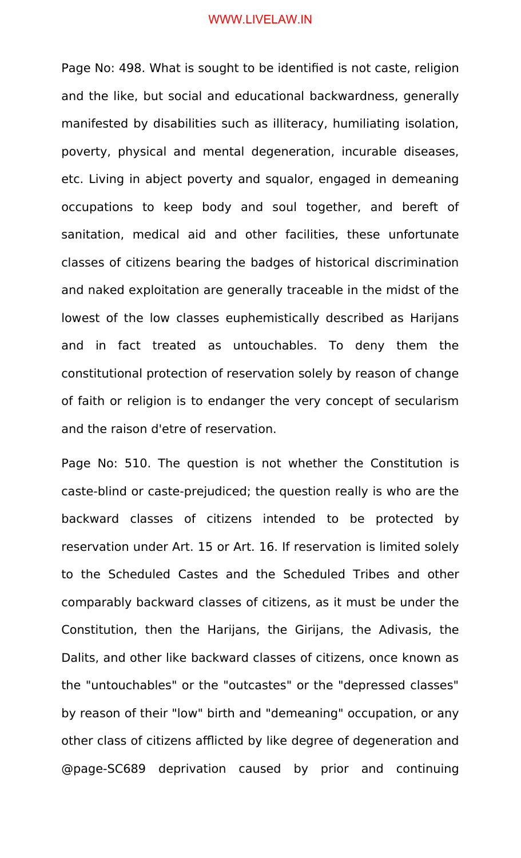Page No: 498. What is sought to be identified is not caste, religion and the like, but social and educational backwardness, generally manifested by disabilities such as illiteracy, humiliating isolation, poverty, physical and mental degeneration, incurable diseases, etc. Living in abject poverty and squalor, engaged in demeaning occupations to keep body and soul together, and bereft of sanitation, medical aid and other facilities, these unfortunate classes of citizens bearing the badges of historical discrimination and naked exploitation are generally traceable in the midst of the lowest of the low classes euphemistically described as Harijans and in fact treated as untouchables. To deny them the constitutional protection of reservation solely by reason of change of faith or religion is to endanger the very concept of secularism and the raison d'etre of reservation.

Page No: 510. The question is not whether the Constitution is caste-blind or caste-prejudiced; the question really is who are the backward classes of citizens intended to be protected by reservation under Art. 15 or Art. 16. If reservation is limited solely to the Scheduled Castes and the Scheduled Tribes and other comparably backward classes of citizens, as it must be under the Constitution, then the Harijans, the Girijans, the Adivasis, the Dalits, and other like backward classes of citizens, once known as the "untouchables" or the "outcastes" or the "depressed classes" by reason of their "low" birth and "demeaning" occupation, or any other class of citizens afflicted by like degree of degeneration and @page-SC689 deprivation caused by prior and continuing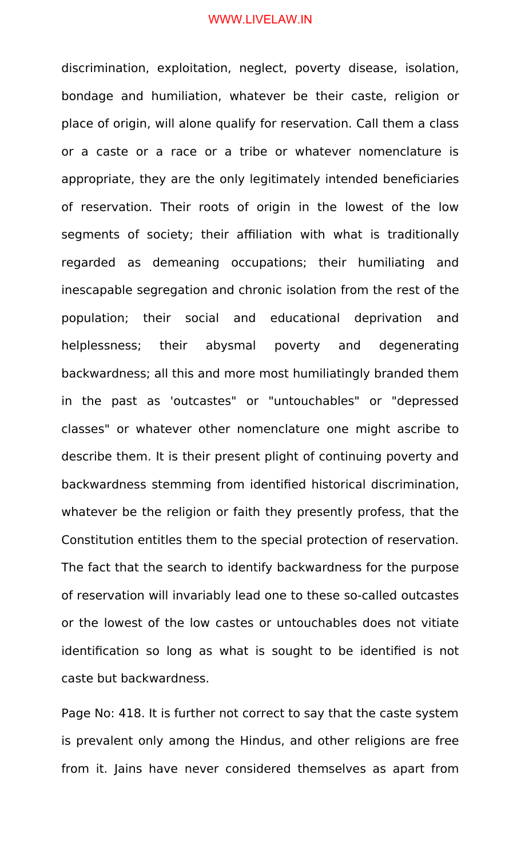discrimination, exploitation, neglect, poverty disease, isolation, bondage and humiliation, whatever be their caste, religion or place of origin, will alone qualify for reservation. Call them a class or a caste or a race or a tribe or whatever nomenclature is appropriate, they are the only legitimately intended beneficiaries of reservation. Their roots of origin in the lowest of the low segments of society; their affiliation with what is traditionally regarded as demeaning occupations; their humiliating and inescapable segregation and chronic isolation from the rest of the population; their social and educational deprivation and helplessness; their abysmal poverty and degenerating backwardness; all this and more most humiliatingly branded them in the past as 'outcastes" or "untouchables" or "depressed classes" or whatever other nomenclature one might ascribe to describe them. It is their present plight of continuing poverty and backwardness stemming from identified historical discrimination, whatever be the religion or faith they presently profess, that the Constitution entitles them to the special protection of reservation. The fact that the search to identify backwardness for the purpose of reservation will invariably lead one to these so-called outcastes or the lowest of the low castes or untouchables does not vitiate identification so long as what is sought to be identified is not caste but backwardness.

Page No: 418. It is further not correct to say that the caste system is prevalent only among the Hindus, and other religions are free from it. Jains have never considered themselves as apart from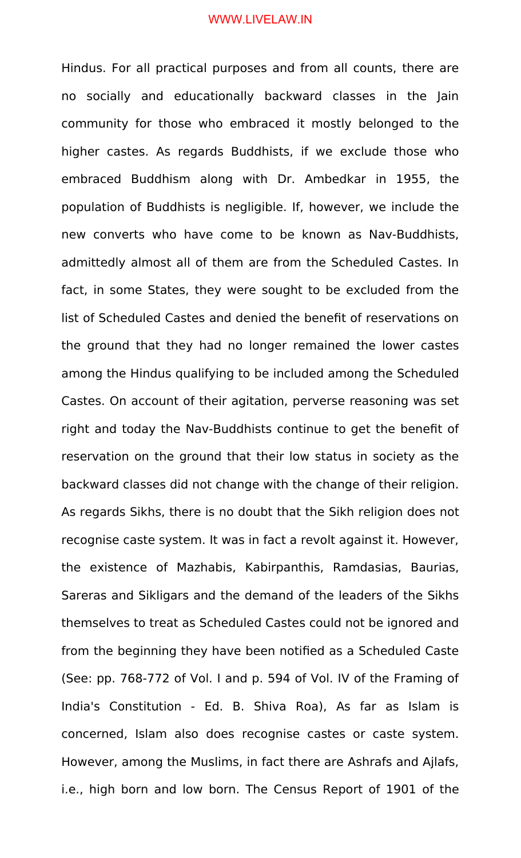Hindus. For all practical purposes and from all counts, there are no socially and educationally backward classes in the Jain community for those who embraced it mostly belonged to the higher castes. As regards Buddhists, if we exclude those who embraced Buddhism along with Dr. Ambedkar in 1955, the population of Buddhists is negligible. If, however, we include the new converts who have come to be known as Nav-Buddhists, admittedly almost all of them are from the Scheduled Castes. In fact, in some States, they were sought to be excluded from the list of Scheduled Castes and denied the benefit of reservations on the ground that they had no longer remained the lower castes among the Hindus qualifying to be included among the Scheduled Castes. On account of their agitation, perverse reasoning was set right and today the Nav-Buddhists continue to get the benefit of reservation on the ground that their low status in society as the backward classes did not change with the change of their religion. As regards Sikhs, there is no doubt that the Sikh religion does not recognise caste system. It was in fact a revolt against it. However, the existence of Mazhabis, Kabirpanthis, Ramdasias, Baurias, Sareras and Sikligars and the demand of the leaders of the Sikhs themselves to treat as Scheduled Castes could not be ignored and from the beginning they have been notified as a Scheduled Caste (See: pp. 768-772 of Vol. I and p. 594 of Vol. IV of the Framing of India's Constitution - Ed. B. Shiva Roa), As far as Islam is concerned, Islam also does recognise castes or caste system. However, among the Muslims, in fact there are Ashrafs and Ajlafs, i.e., high born and low born. The Census Report of 1901 of the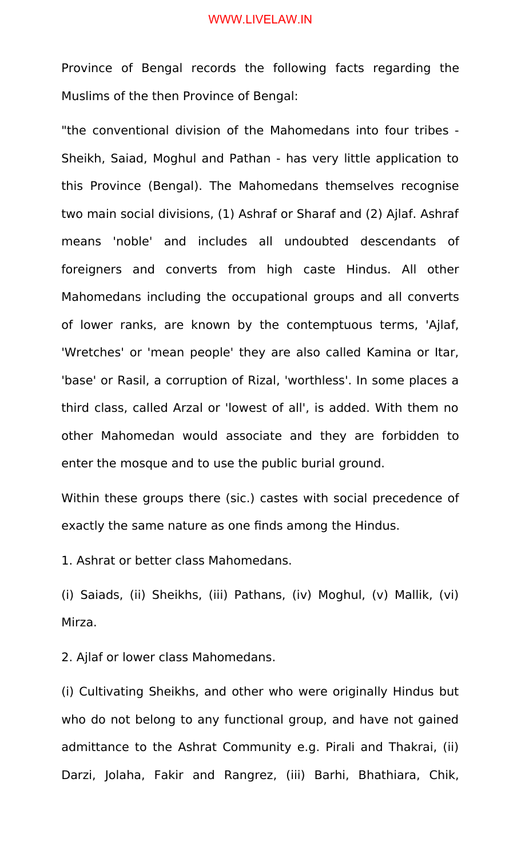Province of Bengal records the following facts regarding the Muslims of the then Province of Bengal:

"the conventional division of the Mahomedans into four tribes - Sheikh, Saiad, Moghul and Pathan - has very little application to this Province (Bengal). The Mahomedans themselves recognise two main social divisions, (1) Ashraf or Sharaf and (2) Ajlaf. Ashraf means 'noble' and includes all undoubted descendants of foreigners and converts from high caste Hindus. All other Mahomedans including the occupational groups and all converts of lower ranks, are known by the contemptuous terms, 'Ajlaf, 'Wretches' or 'mean people' they are also called Kamina or Itar, 'base' or Rasil, a corruption of Rizal, 'worthless'. In some places a third class, called Arzal or 'lowest of all', is added. With them no other Mahomedan would associate and they are forbidden to enter the mosque and to use the public burial ground.

Within these groups there (sic.) castes with social precedence of exactly the same nature as one finds among the Hindus.

1. Ashrat or better class Mahomedans.

(i) Saiads, (ii) Sheikhs, (iii) Pathans, (iv) Moghul, (v) Mallik, (vi) Mirza.

2. Ajlaf or lower class Mahomedans.

(i) Cultivating Sheikhs, and other who were originally Hindus but who do not belong to any functional group, and have not gained admittance to the Ashrat Community e.g. Pirali and Thakrai, (ii) Darzi, Jolaha, Fakir and Rangrez, (iii) Barhi, Bhathiara, Chik,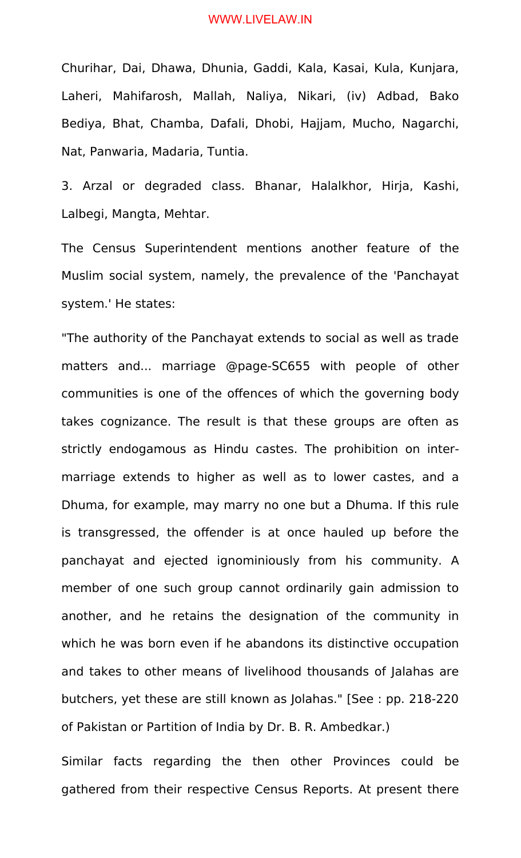Churihar, Dai, Dhawa, Dhunia, Gaddi, Kala, Kasai, Kula, Kunjara, Laheri, Mahifarosh, Mallah, Naliya, Nikari, (iv) Adbad, Bako Bediya, Bhat, Chamba, Dafali, Dhobi, Hajjam, Mucho, Nagarchi, Nat, Panwaria, Madaria, Tuntia.

3. Arzal or degraded class. Bhanar, Halalkhor, Hirja, Kashi, Lalbegi, Mangta, Mehtar.

The Census Superintendent mentions another feature of the Muslim social system, namely, the prevalence of the 'Panchayat system.' He states:

"The authority of the Panchayat extends to social as well as trade matters and... marriage @page-SC655 with people of other communities is one of the offences of which the governing body takes cognizance. The result is that these groups are often as strictly endogamous as Hindu castes. The prohibition on intermarriage extends to higher as well as to lower castes, and a Dhuma, for example, may marry no one but a Dhuma. If this rule is transgressed, the offender is at once hauled up before the panchayat and ejected ignominiously from his community. A member of one such group cannot ordinarily gain admission to another, and he retains the designation of the community in which he was born even if he abandons its distinctive occupation and takes to other means of livelihood thousands of Jalahas are butchers, yet these are still known as Jolahas." [See : pp. 218-220 of Pakistan or Partition of India by Dr. B. R. Ambedkar.)

Similar facts regarding the then other Provinces could be gathered from their respective Census Reports. At present there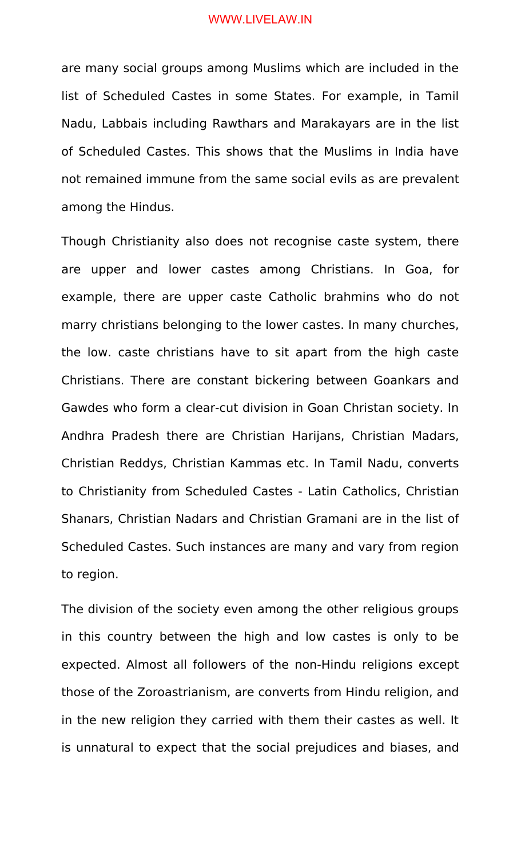are many social groups among Muslims which are included in the list of Scheduled Castes in some States. For example, in Tamil Nadu, Labbais including Rawthars and Marakayars are in the list of Scheduled Castes. This shows that the Muslims in India have not remained immune from the same social evils as are prevalent among the Hindus.

Though Christianity also does not recognise caste system, there are upper and lower castes among Christians. In Goa, for example, there are upper caste Catholic brahmins who do not marry christians belonging to the lower castes. In many churches, the low. caste christians have to sit apart from the high caste Christians. There are constant bickering between Goankars and Gawdes who form a clear-cut division in Goan Christan society. In Andhra Pradesh there are Christian Harijans, Christian Madars, Christian Reddys, Christian Kammas etc. In Tamil Nadu, converts to Christianity from Scheduled Castes - Latin Catholics, Christian Shanars, Christian Nadars and Christian Gramani are in the list of Scheduled Castes. Such instances are many and vary from region to region.

The division of the society even among the other religious groups in this country between the high and low castes is only to be expected. Almost all followers of the non-Hindu religions except those of the Zoroastrianism, are converts from Hindu religion, and in the new religion they carried with them their castes as well. It is unnatural to expect that the social prejudices and biases, and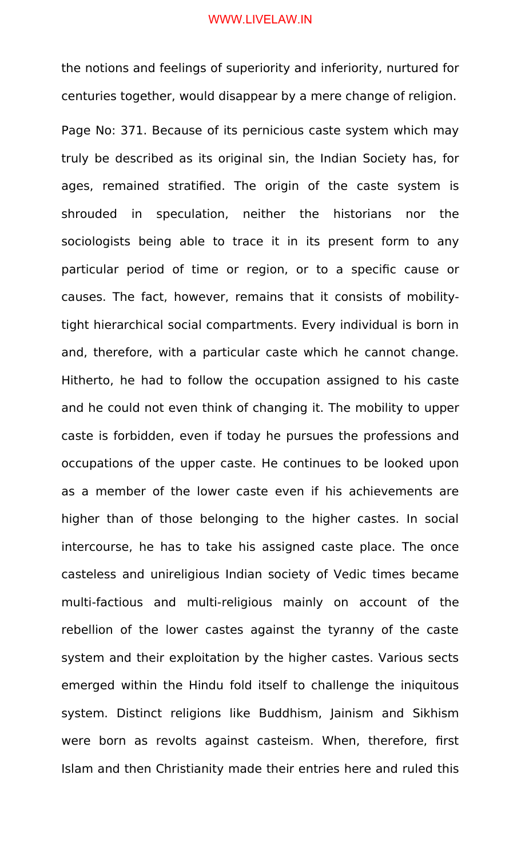the notions and feelings of superiority and inferiority, nurtured for centuries together, would disappear by a mere change of religion.

Page No: 371. Because of its pernicious caste system which may truly be described as its original sin, the Indian Society has, for ages, remained stratified. The origin of the caste system is shrouded in speculation, neither the historians nor the sociologists being able to trace it in its present form to any particular period of time or region, or to a specific cause or causes. The fact, however, remains that it consists of mobilitytight hierarchical social compartments. Every individual is born in and, therefore, with a particular caste which he cannot change. Hitherto, he had to follow the occupation assigned to his caste and he could not even think of changing it. The mobility to upper caste is forbidden, even if today he pursues the professions and occupations of the upper caste. He continues to be looked upon as a member of the lower caste even if his achievements are higher than of those belonging to the higher castes. In social intercourse, he has to take his assigned caste place. The once casteless and unireligious Indian society of Vedic times became multi-factious and multi-religious mainly on account of the rebellion of the lower castes against the tyranny of the caste system and their exploitation by the higher castes. Various sects emerged within the Hindu fold itself to challenge the iniquitous system. Distinct religions like Buddhism, Jainism and Sikhism were born as revolts against casteism. When, therefore, first Islam and then Christianity made their entries here and ruled this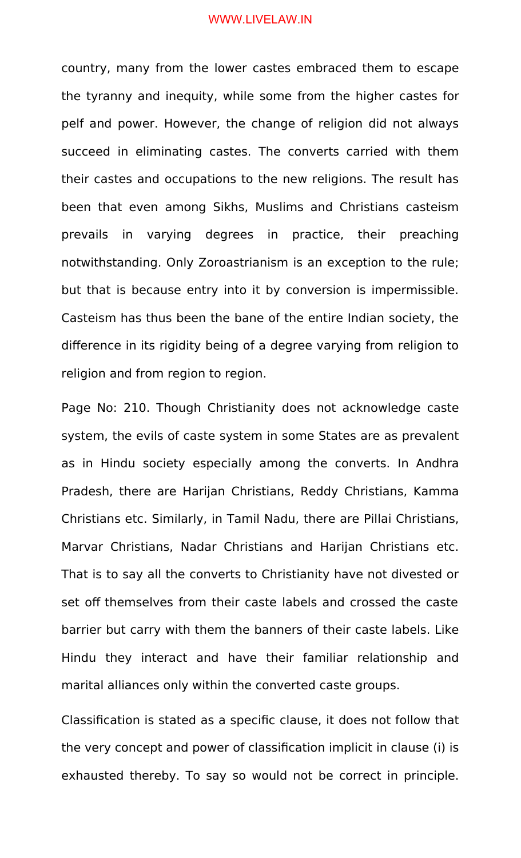country, many from the lower castes embraced them to escape the tyranny and inequity, while some from the higher castes for pelf and power. However, the change of religion did not always succeed in eliminating castes. The converts carried with them their castes and occupations to the new religions. The result has been that even among Sikhs, Muslims and Christians casteism prevails in varying degrees in practice, their preaching notwithstanding. Only Zoroastrianism is an exception to the rule; but that is because entry into it by conversion is impermissible. Casteism has thus been the bane of the entire Indian society, the difference in its rigidity being of a degree varying from religion to religion and from region to region.

Page No: 210. Though Christianity does not acknowledge caste system, the evils of caste system in some States are as prevalent as in Hindu society especially among the converts. In Andhra Pradesh, there are Harijan Christians, Reddy Christians, Kamma Christians etc. Similarly, in Tamil Nadu, there are Pillai Christians, Marvar Christians, Nadar Christians and Harijan Christians etc. That is to say all the converts to Christianity have not divested or set off themselves from their caste labels and crossed the caste barrier but carry with them the banners of their caste labels. Like Hindu they interact and have their familiar relationship and marital alliances only within the converted caste groups.

Classification is stated as a specific clause, it does not follow that the very concept and power of classification implicit in clause (i) is exhausted thereby. To say so would not be correct in principle.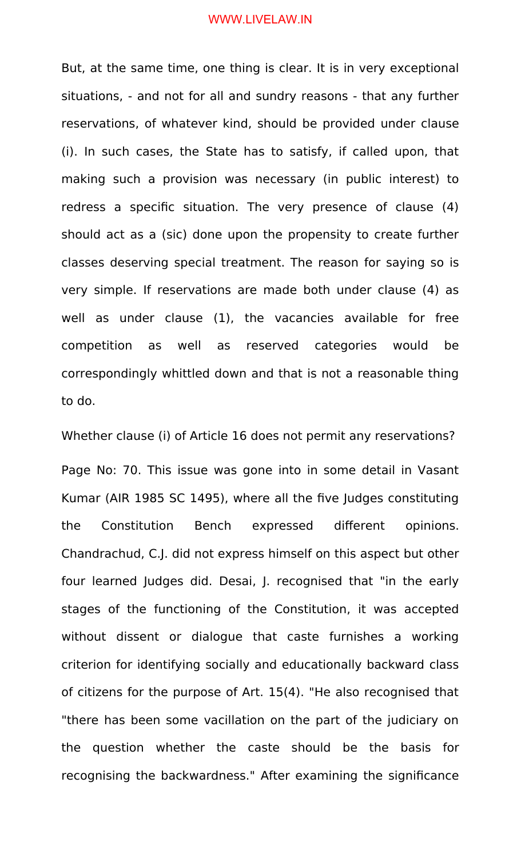But, at the same time, one thing is clear. It is in very exceptional situations, - and not for all and sundry reasons - that any further reservations, of whatever kind, should be provided under clause (i). In such cases, the State has to satisfy, if called upon, that making such a provision was necessary (in public interest) to redress a specific situation. The very presence of clause (4) should act as a (sic) done upon the propensity to create further classes deserving special treatment. The reason for saying so is very simple. If reservations are made both under clause (4) as well as under clause (1), the vacancies available for free competition as well as reserved categories would be correspondingly whittled down and that is not a reasonable thing to do.

Whether clause (i) of Article 16 does not permit any reservations?

Page No: 70. This issue was gone into in some detail in Vasant Kumar (AIR 1985 SC 1495), where all the five Judges constituting the Constitution Bench expressed different opinions. Chandrachud, C.J. did not express himself on this aspect but other four learned Judges did. Desai, J. recognised that "in the early stages of the functioning of the Constitution, it was accepted without dissent or dialogue that caste furnishes a working criterion for identifying socially and educationally backward class of citizens for the purpose of Art. 15(4). "He also recognised that "there has been some vacillation on the part of the judiciary on the question whether the caste should be the basis for recognising the backwardness." After examining the significance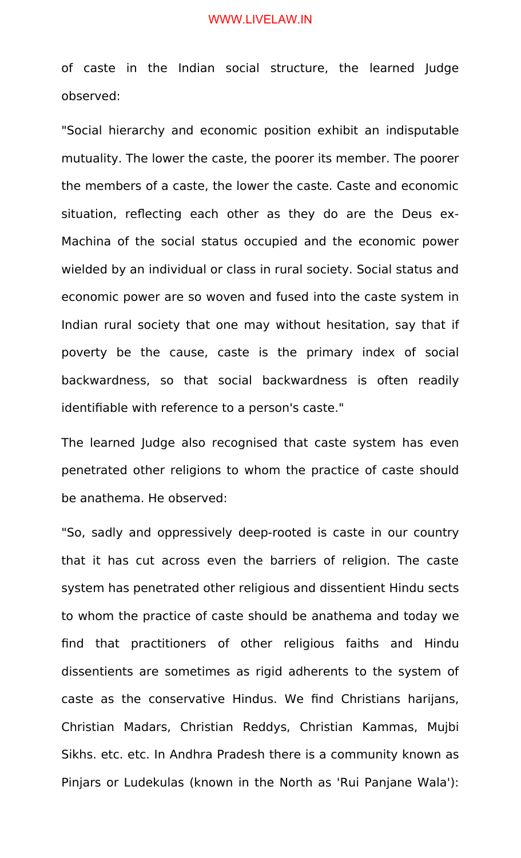of caste in the Indian social structure, the learned Judge observed:

"Social hierarchy and economic position exhibit an indisputable mutuality. The lower the caste, the poorer its member. The poorer the members of a caste, the lower the caste. Caste and economic situation, reflecting each other as they do are the Deus ex-Machina of the social status occupied and the economic power wielded by an individual or class in rural society. Social status and economic power are so woven and fused into the caste system in Indian rural society that one may without hesitation, say that if poverty be the cause, caste is the primary index of social backwardness, so that social backwardness is often readily identifiable with reference to a person's caste."

The learned Judge also recognised that caste system has even penetrated other religions to whom the practice of caste should be anathema. He observed:

"So, sadly and oppressively deep-rooted is caste in our country that it has cut across even the barriers of religion. The caste system has penetrated other religious and dissentient Hindu sects to whom the practice of caste should be anathema and today we find that practitioners of other religious faiths and Hindu dissentients are sometimes as rigid adherents to the system of caste as the conservative Hindus. We find Christians harijans, Christian Madars, Christian Reddys, Christian Kammas, Mujbi Sikhs. etc. etc. In Andhra Pradesh there is a community known as Pinjars or Ludekulas (known in the North as 'Rui Panjane Wala'):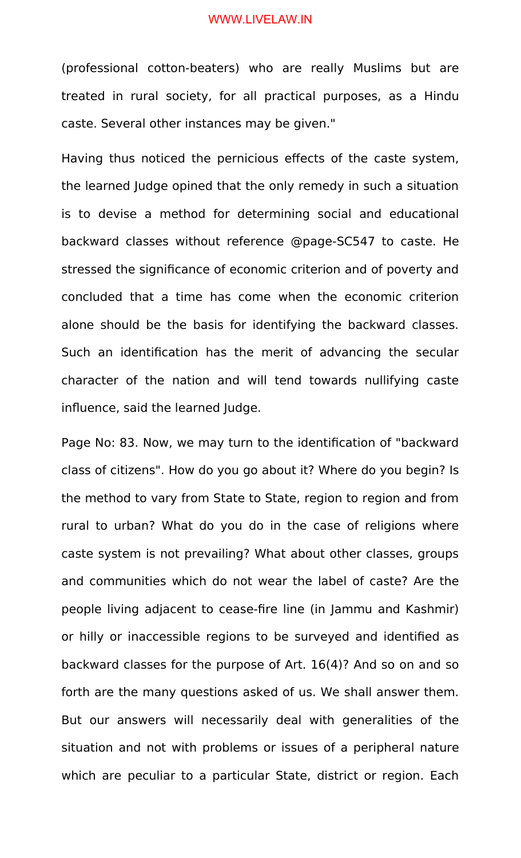(professional cotton-beaters) who are really Muslims but are treated in rural society, for all practical purposes, as a Hindu caste. Several other instances may be given."

Having thus noticed the pernicious effects of the caste system, the learned Judge opined that the only remedy in such a situation is to devise a method for determining social and educational backward classes without reference @page-SC547 to caste. He stressed the significance of economic criterion and of poverty and concluded that a time has come when the economic criterion alone should be the basis for identifying the backward classes. Such an identification has the merit of advancing the secular character of the nation and will tend towards nullifying caste influence, said the learned Judge.

Page No: 83. Now, we may turn to the identification of "backward class of citizens". How do you go about it? Where do you begin? Is the method to vary from State to State, region to region and from rural to urban? What do you do in the case of religions where caste system is not prevailing? What about other classes, groups and communities which do not wear the label of caste? Are the people living adjacent to cease-fire line (in Jammu and Kashmir) or hilly or inaccessible regions to be surveyed and identified as backward classes for the purpose of Art. 16(4)? And so on and so forth are the many questions asked of us. We shall answer them. But our answers will necessarily deal with generalities of the situation and not with problems or issues of a peripheral nature which are peculiar to a particular State, district or region. Each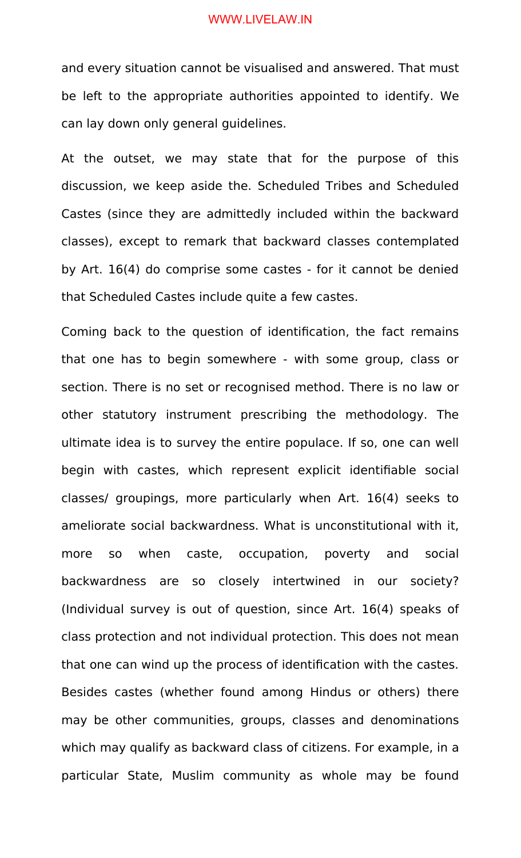and every situation cannot be visualised and answered. That must be left to the appropriate authorities appointed to identify. We can lay down only general guidelines.

At the outset, we may state that for the purpose of this discussion, we keep aside the. Scheduled Tribes and Scheduled Castes (since they are admittedly included within the backward classes), except to remark that backward classes contemplated by Art. 16(4) do comprise some castes - for it cannot be denied that Scheduled Castes include quite a few castes.

Coming back to the question of identification, the fact remains that one has to begin somewhere - with some group, class or section. There is no set or recognised method. There is no law or other statutory instrument prescribing the methodology. The ultimate idea is to survey the entire populace. If so, one can well begin with castes, which represent explicit identifiable social classes/ groupings, more particularly when Art. 16(4) seeks to ameliorate social backwardness. What is unconstitutional with it, more so when caste, occupation, poverty and social backwardness are so closely intertwined in our society? (Individual survey is out of question, since Art. 16(4) speaks of class protection and not individual protection. This does not mean that one can wind up the process of identification with the castes. Besides castes (whether found among Hindus or others) there may be other communities, groups, classes and denominations which may qualify as backward class of citizens. For example, in a particular State, Muslim community as whole may be found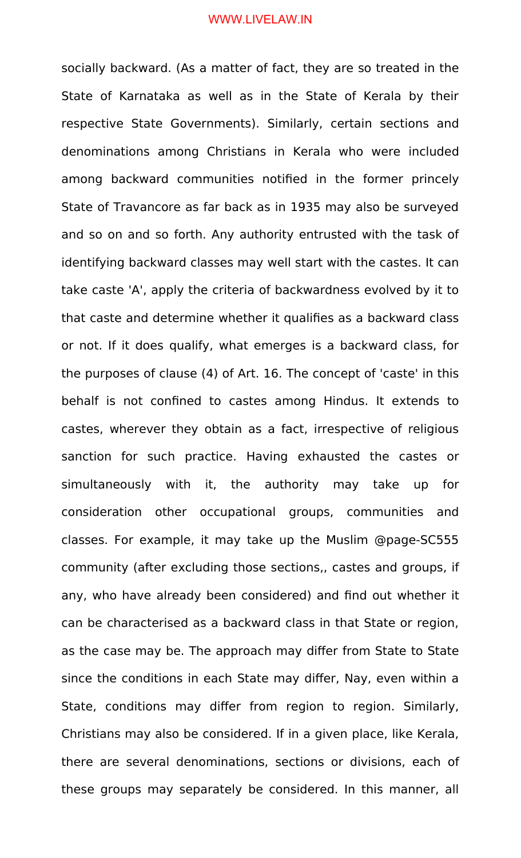socially backward. (As a matter of fact, they are so treated in the State of Karnataka as well as in the State of Kerala by their respective State Governments). Similarly, certain sections and denominations among Christians in Kerala who were included among backward communities notified in the former princely State of Travancore as far back as in 1935 may also be surveyed and so on and so forth. Any authority entrusted with the task of identifying backward classes may well start with the castes. It can take caste 'A', apply the criteria of backwardness evolved by it to that caste and determine whether it qualifies as a backward class or not. If it does qualify, what emerges is a backward class, for the purposes of clause (4) of Art. 16. The concept of 'caste' in this behalf is not confined to castes among Hindus. It extends to castes, wherever they obtain as a fact, irrespective of religious sanction for such practice. Having exhausted the castes or simultaneously with it, the authority may take up for consideration other occupational groups, communities and classes. For example, it may take up the Muslim @page-SC555 community (after excluding those sections,, castes and groups, if any, who have already been considered) and find out whether it can be characterised as a backward class in that State or region, as the case may be. The approach may differ from State to State since the conditions in each State may differ, Nay, even within a State, conditions may differ from region to region. Similarly, Christians may also be considered. If in a given place, like Kerala, there are several denominations, sections or divisions, each of these groups may separately be considered. In this manner, all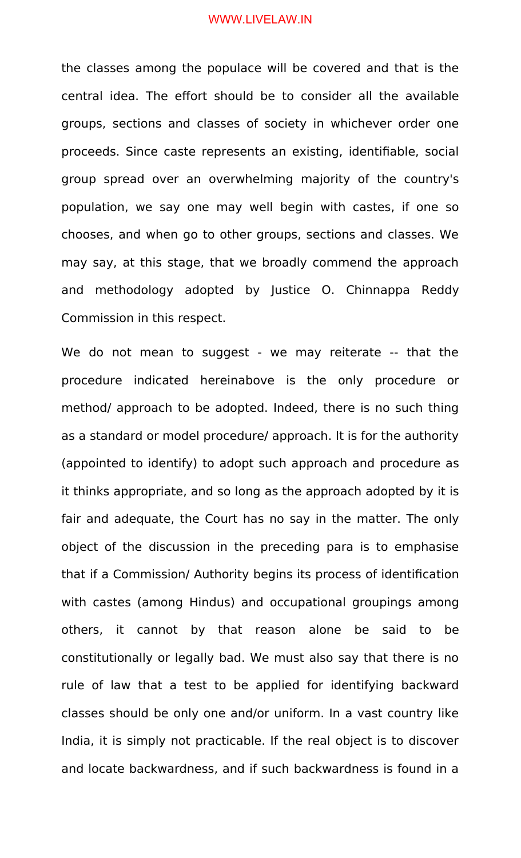the classes among the populace will be covered and that is the central idea. The effort should be to consider all the available groups, sections and classes of society in whichever order one proceeds. Since caste represents an existing, identifiable, social group spread over an overwhelming majority of the country's population, we say one may well begin with castes, if one so chooses, and when go to other groups, sections and classes. We may say, at this stage, that we broadly commend the approach and methodology adopted by Justice O. Chinnappa Reddy Commission in this respect.

We do not mean to suggest - we may reiterate -- that the procedure indicated hereinabove is the only procedure or method/ approach to be adopted. Indeed, there is no such thing as a standard or model procedure/ approach. It is for the authority (appointed to identify) to adopt such approach and procedure as it thinks appropriate, and so long as the approach adopted by it is fair and adequate, the Court has no say in the matter. The only object of the discussion in the preceding para is to emphasise that if a Commission/ Authority begins its process of identification with castes (among Hindus) and occupational groupings among others, it cannot by that reason alone be said to be constitutionally or legally bad. We must also say that there is no rule of law that a test to be applied for identifying backward classes should be only one and/or uniform. In a vast country like India, it is simply not practicable. If the real object is to discover and locate backwardness, and if such backwardness is found in a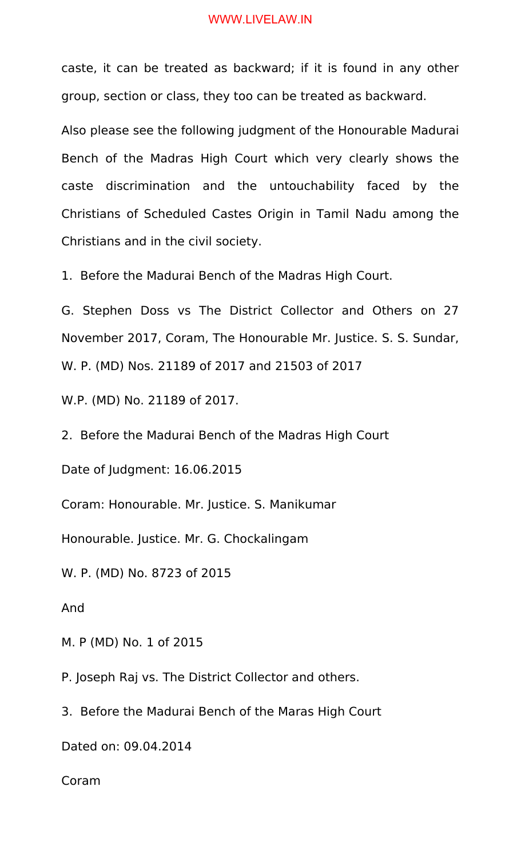caste, it can be treated as backward; if it is found in any other group, section or class, they too can be treated as backward.

Also please see the following judgment of the Honourable Madurai Bench of the Madras High Court which very clearly shows the caste discrimination and the untouchability faced by the Christians of Scheduled Castes Origin in Tamil Nadu among the Christians and in the civil society.

1. Before the Madurai Bench of the Madras High Court.

G. Stephen Doss vs The District Collector and Others on 27 November 2017, Coram, The Honourable Mr. Justice. S. S. Sundar, W. P. (MD) Nos. 21189 of 2017 and 21503 of 2017

W.P. (MD) No. 21189 of 2017.

2. Before the Madurai Bench of the Madras High Court

Date of Judgment: 16.06.2015

Coram: Honourable. Mr. Justice. S. Manikumar

Honourable. Justice. Mr. G. Chockalingam

W. P. (MD) No. 8723 of 2015

And

M. P (MD) No. 1 of 2015

P. Joseph Raj vs. The District Collector and others.

3. Before the Madurai Bench of the Maras High Court

Dated on: 09.04.2014

Coram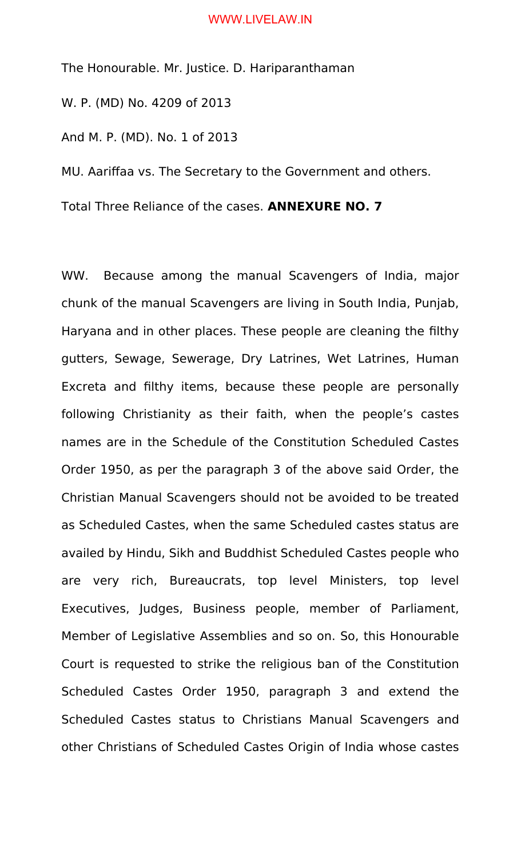The Honourable. Mr. Justice. D. Hariparanthaman

W. P. (MD) No. 4209 of 2013

And M. P. (MD). No. 1 of 2013

MU. Aariffaa vs. The Secretary to the Government and others.

Total Three Reliance of the cases. **ANNEXURE NO. 7**

WW. Because among the manual Scavengers of India, major chunk of the manual Scavengers are living in South India, Punjab, Haryana and in other places. These people are cleaning the filthy gutters, Sewage, Sewerage, Dry Latrines, Wet Latrines, Human Excreta and filthy items, because these people are personally following Christianity as their faith, when the people's castes names are in the Schedule of the Constitution Scheduled Castes Order 1950, as per the paragraph 3 of the above said Order, the Christian Manual Scavengers should not be avoided to be treated as Scheduled Castes, when the same Scheduled castes status are availed by Hindu, Sikh and Buddhist Scheduled Castes people who are very rich, Bureaucrats, top level Ministers, top level Executives, Judges, Business people, member of Parliament, Member of Legislative Assemblies and so on. So, this Honourable Court is requested to strike the religious ban of the Constitution Scheduled Castes Order 1950, paragraph 3 and extend the Scheduled Castes status to Christians Manual Scavengers and other Christians of Scheduled Castes Origin of India whose castes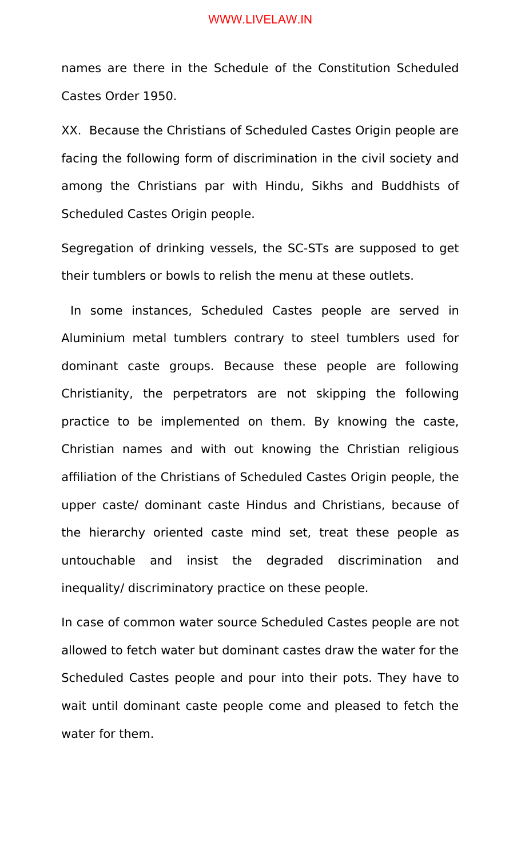names are there in the Schedule of the Constitution Scheduled Castes Order 1950.

XX. Because the Christians of Scheduled Castes Origin people are facing the following form of discrimination in the civil society and among the Christians par with Hindu, Sikhs and Buddhists of Scheduled Castes Origin people.

Segregation of drinking vessels, the SC-STs are supposed to get their tumblers or bowls to relish the menu at these outlets.

 In some instances, Scheduled Castes people are served in Aluminium metal tumblers contrary to steel tumblers used for dominant caste groups. Because these people are following Christianity, the perpetrators are not skipping the following practice to be implemented on them. By knowing the caste, Christian names and with out knowing the Christian religious affiliation of the Christians of Scheduled Castes Origin people, the upper caste/ dominant caste Hindus and Christians, because of the hierarchy oriented caste mind set, treat these people as untouchable and insist the degraded discrimination and inequality/ discriminatory practice on these people.

In case of common water source Scheduled Castes people are not allowed to fetch water but dominant castes draw the water for the Scheduled Castes people and pour into their pots. They have to wait until dominant caste people come and pleased to fetch the water for them.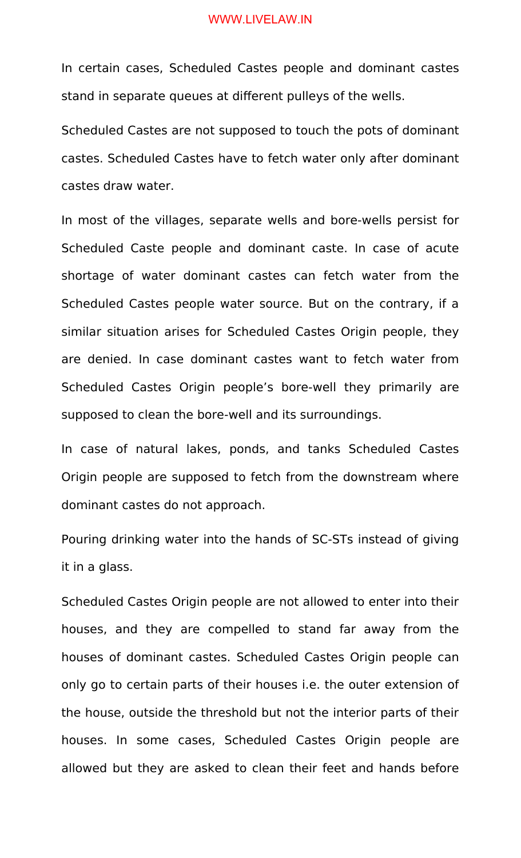In certain cases, Scheduled Castes people and dominant castes stand in separate queues at different pulleys of the wells.

Scheduled Castes are not supposed to touch the pots of dominant castes. Scheduled Castes have to fetch water only after dominant castes draw water.

In most of the villages, separate wells and bore-wells persist for Scheduled Caste people and dominant caste. In case of acute shortage of water dominant castes can fetch water from the Scheduled Castes people water source. But on the contrary, if a similar situation arises for Scheduled Castes Origin people, they are denied. In case dominant castes want to fetch water from Scheduled Castes Origin people's bore-well they primarily are supposed to clean the bore-well and its surroundings.

In case of natural lakes, ponds, and tanks Scheduled Castes Origin people are supposed to fetch from the downstream where dominant castes do not approach.

Pouring drinking water into the hands of SC-STs instead of giving it in a glass.

Scheduled Castes Origin people are not allowed to enter into their houses, and they are compelled to stand far away from the houses of dominant castes. Scheduled Castes Origin people can only go to certain parts of their houses i.e. the outer extension of the house, outside the threshold but not the interior parts of their houses. In some cases, Scheduled Castes Origin people are allowed but they are asked to clean their feet and hands before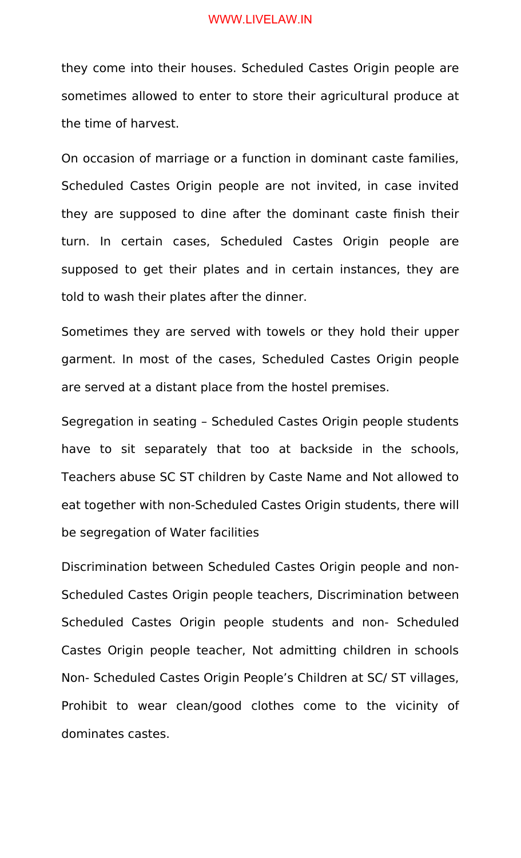they come into their houses. Scheduled Castes Origin people are sometimes allowed to enter to store their agricultural produce at the time of harvest.

On occasion of marriage or a function in dominant caste families, Scheduled Castes Origin people are not invited, in case invited they are supposed to dine after the dominant caste finish their turn. In certain cases, Scheduled Castes Origin people are supposed to get their plates and in certain instances, they are told to wash their plates after the dinner.

Sometimes they are served with towels or they hold their upper garment. In most of the cases, Scheduled Castes Origin people are served at a distant place from the hostel premises.

Segregation in seating – Scheduled Castes Origin people students have to sit separately that too at backside in the schools, Teachers abuse SC ST children by Caste Name and Not allowed to eat together with non-Scheduled Castes Origin students, there will be segregation of Water facilities

Discrimination between Scheduled Castes Origin people and non-Scheduled Castes Origin people teachers, Discrimination between Scheduled Castes Origin people students and non- Scheduled Castes Origin people teacher, Not admitting children in schools Non- Scheduled Castes Origin People's Children at SC/ ST villages, Prohibit to wear clean/good clothes come to the vicinity of dominates castes.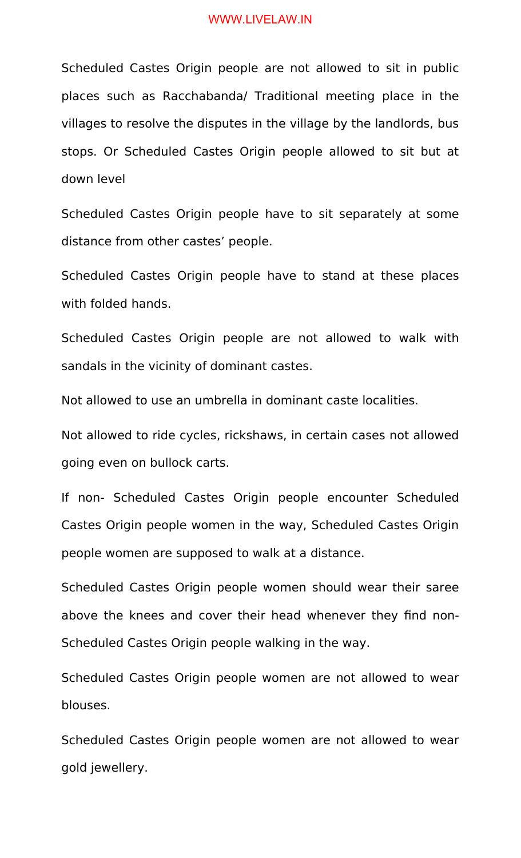Scheduled Castes Origin people are not allowed to sit in public places such as Racchabanda/ Traditional meeting place in the villages to resolve the disputes in the village by the landlords, bus stops. Or Scheduled Castes Origin people allowed to sit but at down level

Scheduled Castes Origin people have to sit separately at some distance from other castes' people.

Scheduled Castes Origin people have to stand at these places with folded hands.

Scheduled Castes Origin people are not allowed to walk with sandals in the vicinity of dominant castes.

Not allowed to use an umbrella in dominant caste localities.

Not allowed to ride cycles, rickshaws, in certain cases not allowed going even on bullock carts.

If non- Scheduled Castes Origin people encounter Scheduled Castes Origin people women in the way, Scheduled Castes Origin people women are supposed to walk at a distance.

Scheduled Castes Origin people women should wear their saree above the knees and cover their head whenever they find non-Scheduled Castes Origin people walking in the way.

Scheduled Castes Origin people women are not allowed to wear blouses.

Scheduled Castes Origin people women are not allowed to wear gold jewellery.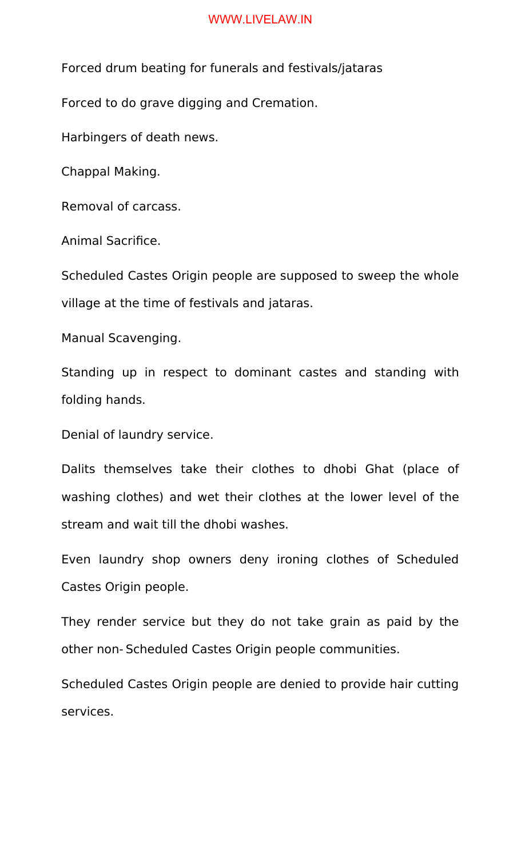Forced drum beating for funerals and festivals/jataras

Forced to do grave digging and Cremation.

Harbingers of death news.

Chappal Making.

Removal of carcass.

Animal Sacrifice.

Scheduled Castes Origin people are supposed to sweep the whole village at the time of festivals and jataras.

Manual Scavenging.

Standing up in respect to dominant castes and standing with folding hands.

Denial of laundry service.

Dalits themselves take their clothes to dhobi Ghat (place of washing clothes) and wet their clothes at the lower level of the stream and wait till the dhobi washes.

Even laundry shop owners deny ironing clothes of Scheduled Castes Origin people.

They render service but they do not take grain as paid by the other non- Scheduled Castes Origin people communities.

Scheduled Castes Origin people are denied to provide hair cutting services.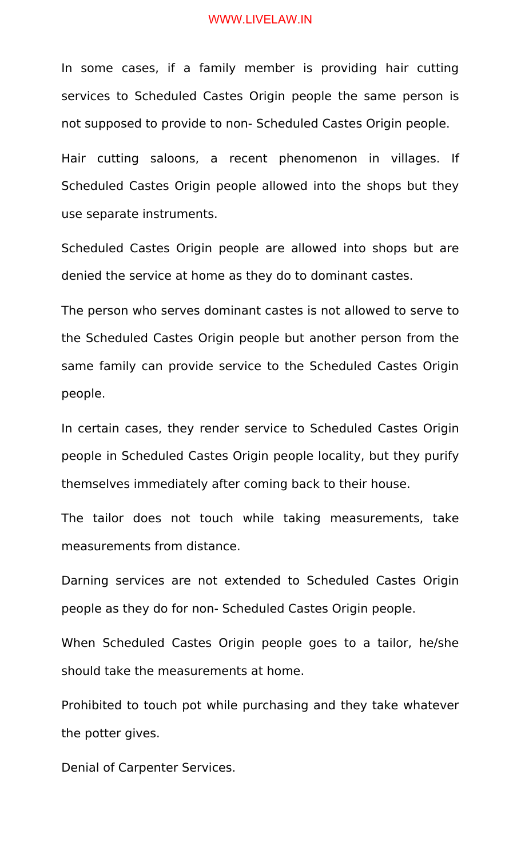In some cases, if a family member is providing hair cutting services to Scheduled Castes Origin people the same person is not supposed to provide to non- Scheduled Castes Origin people.

Hair cutting saloons, a recent phenomenon in villages. If Scheduled Castes Origin people allowed into the shops but they use separate instruments.

Scheduled Castes Origin people are allowed into shops but are denied the service at home as they do to dominant castes.

The person who serves dominant castes is not allowed to serve to the Scheduled Castes Origin people but another person from the same family can provide service to the Scheduled Castes Origin people.

In certain cases, they render service to Scheduled Castes Origin people in Scheduled Castes Origin people locality, but they purify themselves immediately after coming back to their house.

The tailor does not touch while taking measurements, take measurements from distance.

Darning services are not extended to Scheduled Castes Origin people as they do for non- Scheduled Castes Origin people.

When Scheduled Castes Origin people goes to a tailor, he/she should take the measurements at home.

Prohibited to touch pot while purchasing and they take whatever the potter gives.

Denial of Carpenter Services.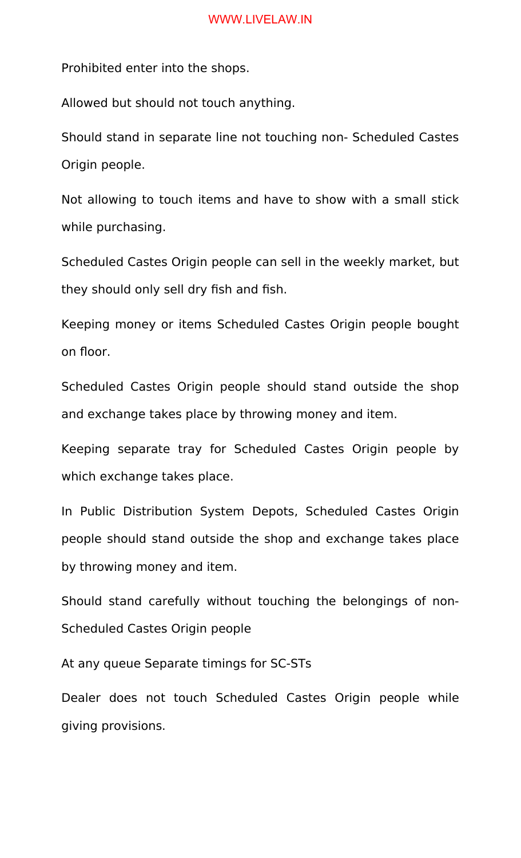Prohibited enter into the shops.

Allowed but should not touch anything.

Should stand in separate line not touching non- Scheduled Castes Origin people.

Not allowing to touch items and have to show with a small stick while purchasing.

Scheduled Castes Origin people can sell in the weekly market, but they should only sell dry fish and fish.

Keeping money or items Scheduled Castes Origin people bought on floor.

Scheduled Castes Origin people should stand outside the shop and exchange takes place by throwing money and item.

Keeping separate tray for Scheduled Castes Origin people by which exchange takes place.

In Public Distribution System Depots, Scheduled Castes Origin people should stand outside the shop and exchange takes place by throwing money and item.

Should stand carefully without touching the belongings of non-Scheduled Castes Origin people

At any queue Separate timings for SC-STs

Dealer does not touch Scheduled Castes Origin people while giving provisions.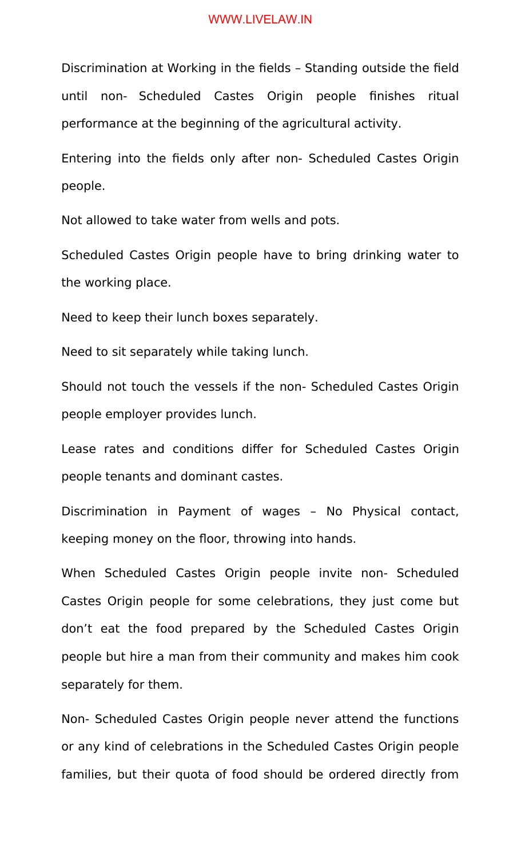Discrimination at Working in the fields – Standing outside the field until non- Scheduled Castes Origin people finishes ritual performance at the beginning of the agricultural activity.

Entering into the fields only after non- Scheduled Castes Origin people.

Not allowed to take water from wells and pots.

Scheduled Castes Origin people have to bring drinking water to the working place.

Need to keep their lunch boxes separately.

Need to sit separately while taking lunch.

Should not touch the vessels if the non- Scheduled Castes Origin people employer provides lunch.

Lease rates and conditions differ for Scheduled Castes Origin people tenants and dominant castes.

Discrimination in Payment of wages – No Physical contact, keeping money on the floor, throwing into hands.

When Scheduled Castes Origin people invite non- Scheduled Castes Origin people for some celebrations, they just come but don't eat the food prepared by the Scheduled Castes Origin people but hire a man from their community and makes him cook separately for them.

Non- Scheduled Castes Origin people never attend the functions or any kind of celebrations in the Scheduled Castes Origin people families, but their quota of food should be ordered directly from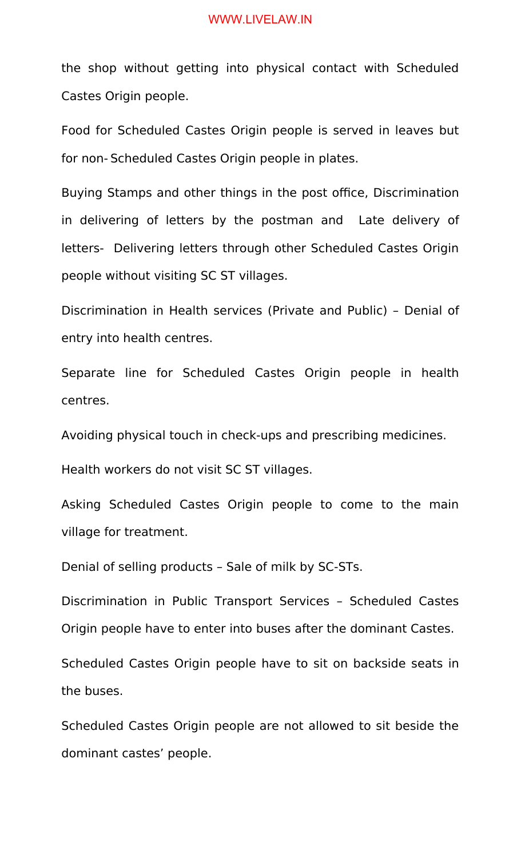the shop without getting into physical contact with Scheduled Castes Origin people.

Food for Scheduled Castes Origin people is served in leaves but for non- Scheduled Castes Origin people in plates.

Buying Stamps and other things in the post office, Discrimination in delivering of letters by the postman and Late delivery of letters- Delivering letters through other Scheduled Castes Origin people without visiting SC ST villages.

Discrimination in Health services (Private and Public) – Denial of entry into health centres.

Separate line for Scheduled Castes Origin people in health centres.

Avoiding physical touch in check-ups and prescribing medicines.

Health workers do not visit SC ST villages.

Asking Scheduled Castes Origin people to come to the main village for treatment.

Denial of selling products – Sale of milk by SC-STs.

Discrimination in Public Transport Services – Scheduled Castes Origin people have to enter into buses after the dominant Castes.

Scheduled Castes Origin people have to sit on backside seats in the buses.

Scheduled Castes Origin people are not allowed to sit beside the dominant castes' people.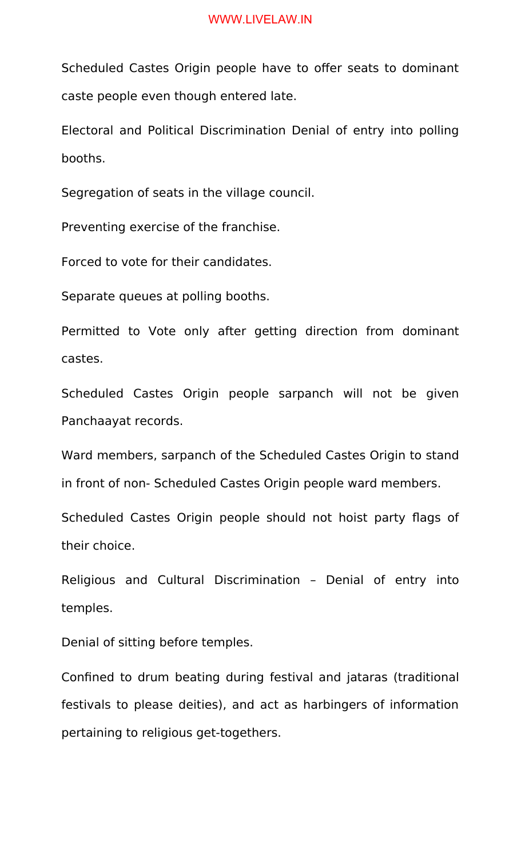Scheduled Castes Origin people have to offer seats to dominant caste people even though entered late.

Electoral and Political Discrimination Denial of entry into polling booths.

Segregation of seats in the village council.

Preventing exercise of the franchise.

Forced to vote for their candidates.

Separate queues at polling booths.

Permitted to Vote only after getting direction from dominant castes.

Scheduled Castes Origin people sarpanch will not be given Panchaayat records.

Ward members, sarpanch of the Scheduled Castes Origin to stand in front of non- Scheduled Castes Origin people ward members.

Scheduled Castes Origin people should not hoist party flags of their choice.

Religious and Cultural Discrimination – Denial of entry into temples.

Denial of sitting before temples.

Confined to drum beating during festival and jataras (traditional festivals to please deities), and act as harbingers of information pertaining to religious get-togethers.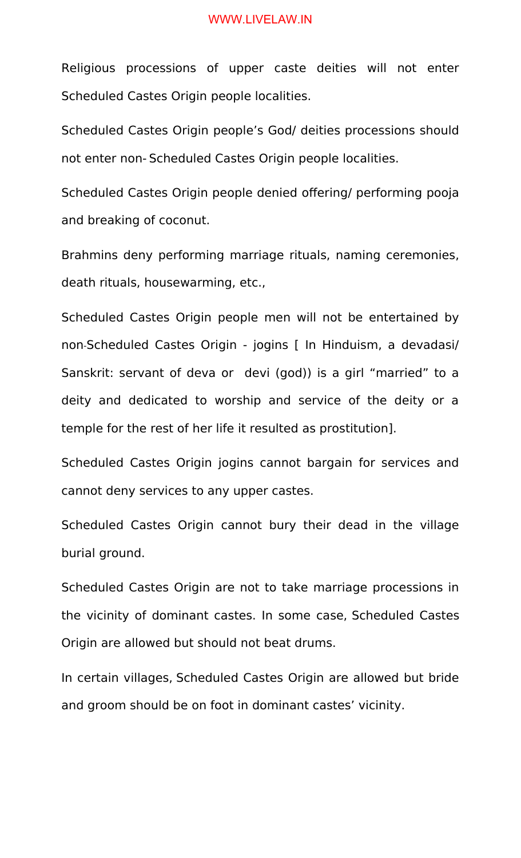Religious processions of upper caste deities will not enter Scheduled Castes Origin people localities.

Scheduled Castes Origin people's God/ deities processions should not enter non- Scheduled Castes Origin people localities.

Scheduled Castes Origin people denied offering/ performing pooja and breaking of coconut.

Brahmins deny performing marriage rituals, naming ceremonies, death rituals, housewarming, etc.,

Scheduled Castes Origin people men will not be entertained by non-Scheduled Castes Origin - jogins [ In Hinduism, a devadasi/ Sanskrit: servant of deva or devi (god)) is a girl "married" to a deity and dedicated to worship and service of the deity or a temple for the rest of her life it resulted as prostitution].

Scheduled Castes Origin jogins cannot bargain for services and cannot deny services to any upper castes.

Scheduled Castes Origin cannot bury their dead in the village burial ground.

Scheduled Castes Origin are not to take marriage processions in the vicinity of dominant castes. In some case, Scheduled Castes Origin are allowed but should not beat drums.

In certain villages, Scheduled Castes Origin are allowed but bride and groom should be on foot in dominant castes' vicinity.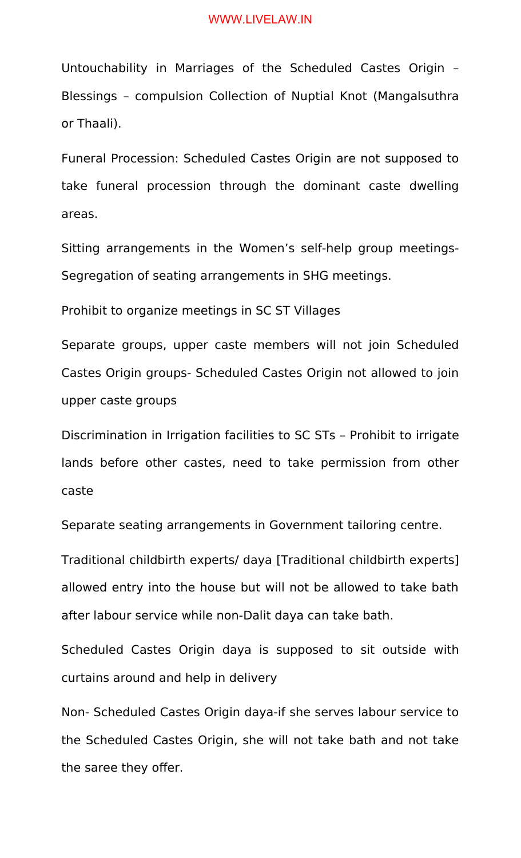Untouchability in Marriages of the Scheduled Castes Origin – Blessings – compulsion Collection of Nuptial Knot (Mangalsuthra or Thaali).

Funeral Procession: Scheduled Castes Origin are not supposed to take funeral procession through the dominant caste dwelling areas.

Sitting arrangements in the Women's self-help group meetings-Segregation of seating arrangements in SHG meetings.

Prohibit to organize meetings in SC ST Villages

Separate groups, upper caste members will not join Scheduled Castes Origin groups- Scheduled Castes Origin not allowed to join upper caste groups

Discrimination in Irrigation facilities to SC STs – Prohibit to irrigate lands before other castes, need to take permission from other caste

Separate seating arrangements in Government tailoring centre.

Traditional childbirth experts/ daya [Traditional childbirth experts] allowed entry into the house but will not be allowed to take bath after labour service while non-Dalit daya can take bath.

Scheduled Castes Origin daya is supposed to sit outside with curtains around and help in delivery

Non- Scheduled Castes Origin daya-if she serves labour service to the Scheduled Castes Origin, she will not take bath and not take the saree they offer.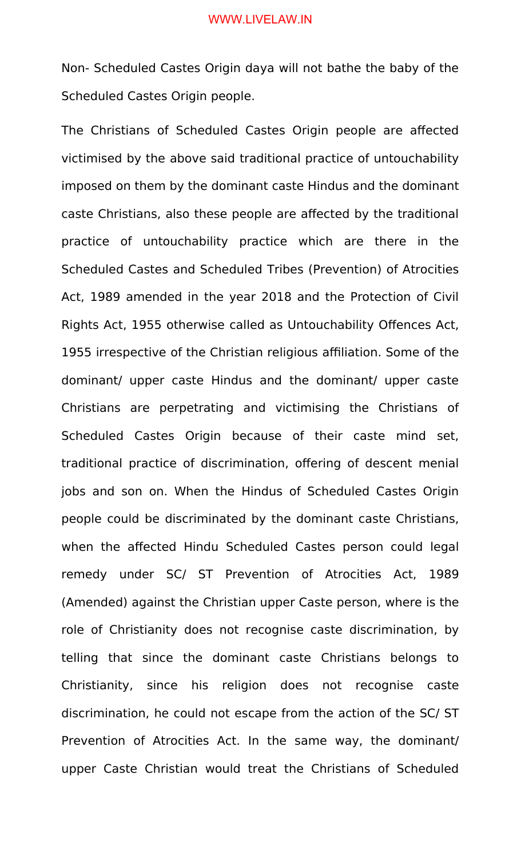Non- Scheduled Castes Origin daya will not bathe the baby of the Scheduled Castes Origin people.

The Christians of Scheduled Castes Origin people are affected victimised by the above said traditional practice of untouchability imposed on them by the dominant caste Hindus and the dominant caste Christians, also these people are affected by the traditional practice of untouchability practice which are there in the Scheduled Castes and Scheduled Tribes (Prevention) of Atrocities Act, 1989 amended in the year 2018 and the Protection of Civil Rights Act, 1955 otherwise called as Untouchability Offences Act, 1955 irrespective of the Christian religious affiliation. Some of the dominant/ upper caste Hindus and the dominant/ upper caste Christians are perpetrating and victimising the Christians of Scheduled Castes Origin because of their caste mind set, traditional practice of discrimination, offering of descent menial jobs and son on. When the Hindus of Scheduled Castes Origin people could be discriminated by the dominant caste Christians, when the affected Hindu Scheduled Castes person could legal remedy under SC/ ST Prevention of Atrocities Act, 1989 (Amended) against the Christian upper Caste person, where is the role of Christianity does not recognise caste discrimination, by telling that since the dominant caste Christians belongs to Christianity, since his religion does not recognise caste discrimination, he could not escape from the action of the SC/ ST Prevention of Atrocities Act. In the same way, the dominant/ upper Caste Christian would treat the Christians of Scheduled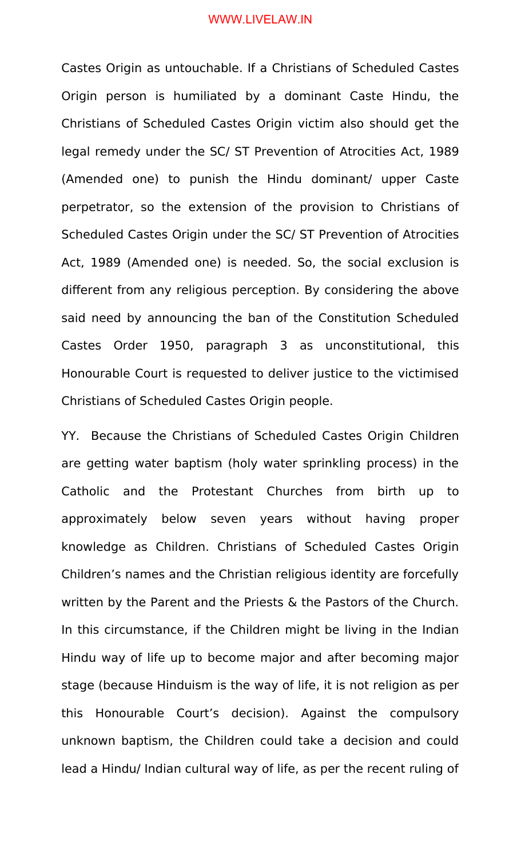Castes Origin as untouchable. If a Christians of Scheduled Castes Origin person is humiliated by a dominant Caste Hindu, the Christians of Scheduled Castes Origin victim also should get the legal remedy under the SC/ ST Prevention of Atrocities Act, 1989 (Amended one) to punish the Hindu dominant/ upper Caste perpetrator, so the extension of the provision to Christians of Scheduled Castes Origin under the SC/ ST Prevention of Atrocities Act, 1989 (Amended one) is needed. So, the social exclusion is different from any religious perception. By considering the above said need by announcing the ban of the Constitution Scheduled Castes Order 1950, paragraph 3 as unconstitutional, this Honourable Court is requested to deliver justice to the victimised Christians of Scheduled Castes Origin people.

YY. Because the Christians of Scheduled Castes Origin Children are getting water baptism (holy water sprinkling process) in the Catholic and the Protestant Churches from birth up to approximately below seven years without having proper knowledge as Children. Christians of Scheduled Castes Origin Children's names and the Christian religious identity are forcefully written by the Parent and the Priests & the Pastors of the Church. In this circumstance, if the Children might be living in the Indian Hindu way of life up to become major and after becoming major stage (because Hinduism is the way of life, it is not religion as per this Honourable Court's decision). Against the compulsory unknown baptism, the Children could take a decision and could lead a Hindu/ Indian cultural way of life, as per the recent ruling of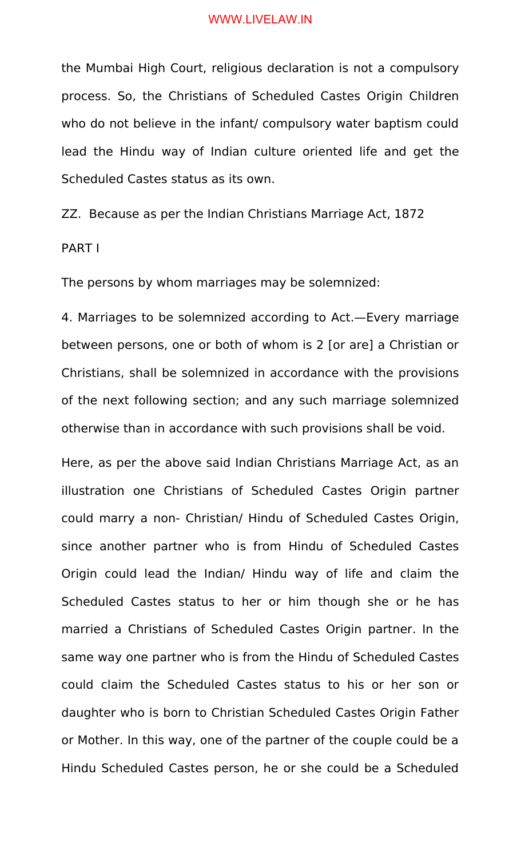the Mumbai High Court, religious declaration is not a compulsory process. So, the Christians of Scheduled Castes Origin Children who do not believe in the infant/ compulsory water baptism could lead the Hindu way of Indian culture oriented life and get the Scheduled Castes status as its own.

ZZ. Because as per the Indian Christians Marriage Act, 1872

## PART I

The persons by whom marriages may be solemnized:

4. Marriages to be solemnized according to Act.—Every marriage between persons, one or both of whom is 2 [or are] a Christian or Christians, shall be solemnized in accordance with the provisions of the next following section; and any such marriage solemnized otherwise than in accordance with such provisions shall be void.

Here, as per the above said Indian Christians Marriage Act, as an illustration one Christians of Scheduled Castes Origin partner could marry a non- Christian/ Hindu of Scheduled Castes Origin, since another partner who is from Hindu of Scheduled Castes Origin could lead the Indian/ Hindu way of life and claim the Scheduled Castes status to her or him though she or he has married a Christians of Scheduled Castes Origin partner. In the same way one partner who is from the Hindu of Scheduled Castes could claim the Scheduled Castes status to his or her son or daughter who is born to Christian Scheduled Castes Origin Father or Mother. In this way, one of the partner of the couple could be a Hindu Scheduled Castes person, he or she could be a Scheduled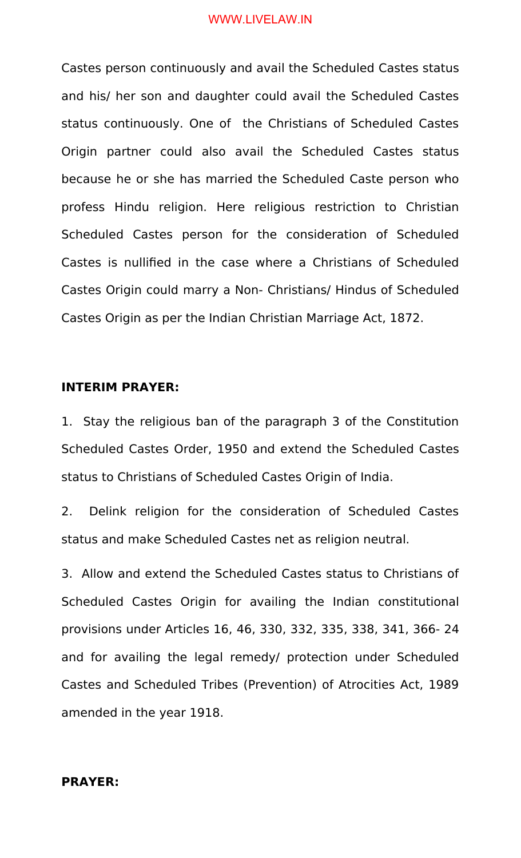Castes person continuously and avail the Scheduled Castes status and his/ her son and daughter could avail the Scheduled Castes status continuously. One of the Christians of Scheduled Castes Origin partner could also avail the Scheduled Castes status because he or she has married the Scheduled Caste person who profess Hindu religion. Here religious restriction to Christian Scheduled Castes person for the consideration of Scheduled Castes is nullified in the case where a Christians of Scheduled Castes Origin could marry a Non- Christians/ Hindus of Scheduled Castes Origin as per the Indian Christian Marriage Act, 1872.

## **INTERIM PRAYER:**

1. Stay the religious ban of the paragraph 3 of the Constitution Scheduled Castes Order, 1950 and extend the Scheduled Castes status to Christians of Scheduled Castes Origin of India.

2. Delink religion for the consideration of Scheduled Castes status and make Scheduled Castes net as religion neutral.

3. Allow and extend the Scheduled Castes status to Christians of Scheduled Castes Origin for availing the Indian constitutional provisions under Articles 16, 46, 330, 332, 335, 338, 341, 366- 24 and for availing the legal remedy/ protection under Scheduled Castes and Scheduled Tribes (Prevention) of Atrocities Act, 1989 amended in the year 1918.

## **PRAYER:**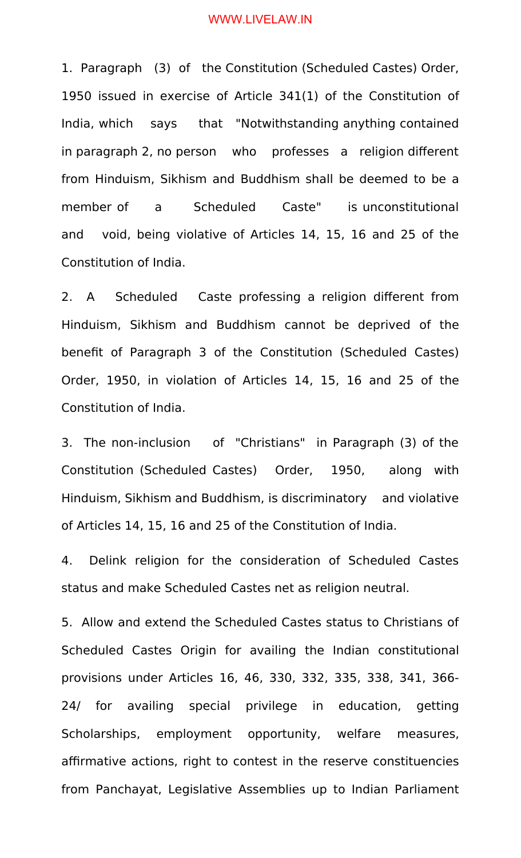1. Paragraph (3) of the Constitution (Scheduled Castes) Order, 1950 issued in exercise of Article 341(1) of the Constitution of India, which says that "Notwithstanding anything contained in paragraph 2, no person who professes a religion different from Hinduism, Sikhism and Buddhism shall be deemed to be a member of a Scheduled Caste" is unconstitutional and void, being violative of Articles 14, 15, 16 and 25 of the Constitution of India.

2. A Scheduled Caste professing a religion different from Hinduism, Sikhism and Buddhism cannot be deprived of the benefit of Paragraph 3 of the Constitution (Scheduled Castes) Order, 1950, in violation of Articles 14, 15, 16 and 25 of the Constitution of India.

3. The non-inclusion of "Christians" in Paragraph (3) of the Constitution (Scheduled Castes) Order, 1950, along with Hinduism, Sikhism and Buddhism, is discriminatory and violative of Articles 14, 15, 16 and 25 of the Constitution of India.

4. Delink religion for the consideration of Scheduled Castes status and make Scheduled Castes net as religion neutral.

5. Allow and extend the Scheduled Castes status to Christians of Scheduled Castes Origin for availing the Indian constitutional provisions under Articles 16, 46, 330, 332, 335, 338, 341, 366- 24/ for availing special privilege in education, getting Scholarships, employment opportunity, welfare measures, affirmative actions, right to contest in the reserve constituencies from Panchayat, Legislative Assemblies up to Indian Parliament